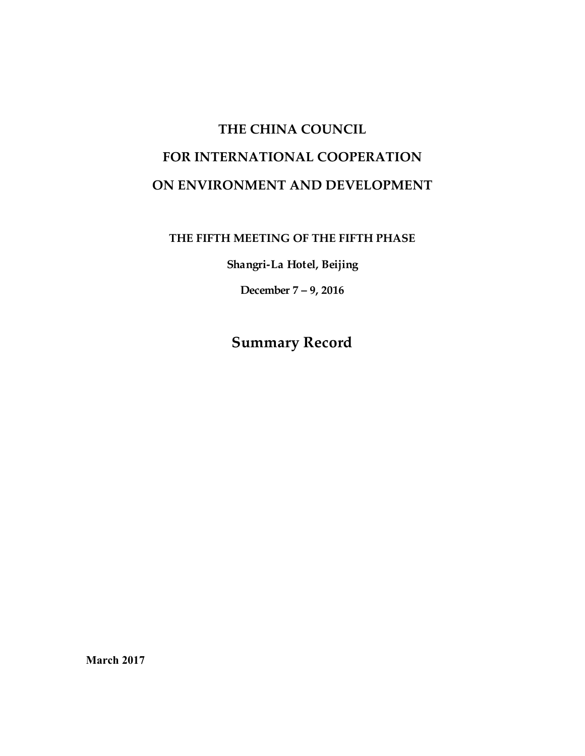# **THE CHINA COUNCIL FOR INTERNATIONAL COOPERATION ON ENVIRONMENT AND DEVELOPMENT**

## **THE FIFTH MEETING OF THE FIFTH PHASE**

**Shangri-La Hotel, Beijing** 

**December 7 – 9, 2016**

**Summary Record**

**March 2017**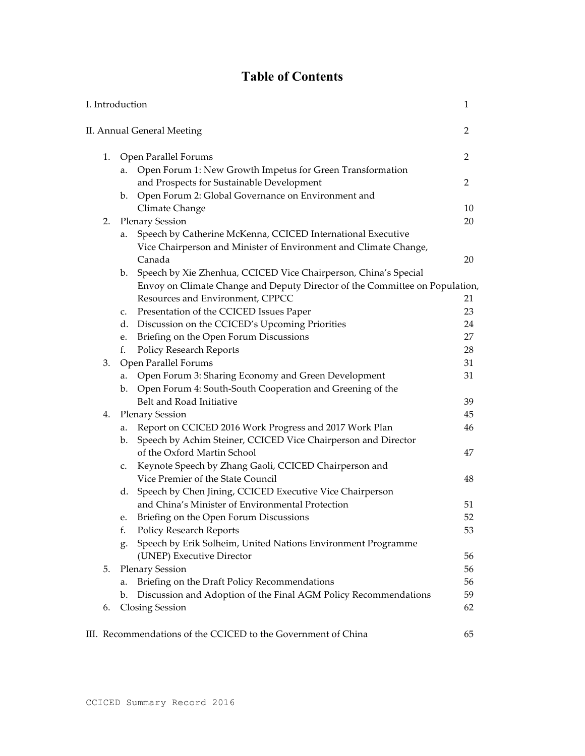## **Table of Contents**

| II. Annual General Meeting<br>Open Parallel Forums<br>1.<br>Open Forum 1: New Growth Impetus for Green Transformation<br>a.<br>and Prospects for Sustainable Development<br>b. Open Forum 2: Global Governance on Environment and<br>Climate Change<br><b>Plenary Session</b><br>2.<br>Speech by Catherine McKenna, CCICED International Executive<br>a.<br>Vice Chairperson and Minister of Environment and Climate Change,<br>Canada<br>b. Speech by Xie Zhenhua, CCICED Vice Chairperson, China's Special<br>Envoy on Climate Change and Deputy Director of the Committee on Population,<br>Resources and Environment, CPPCC<br>Presentation of the CCICED Issues Paper<br>c.<br>Discussion on the CCICED's Upcoming Priorities<br>d.<br>Briefing on the Open Forum Discussions<br>e.<br>Policy Research Reports<br>f.<br>Open Parallel Forums<br>31<br>3.<br>Open Forum 3: Sharing Economy and Green Development<br>a.<br>b. Open Forum 4: South-South Cooperation and Greening of the<br>Belt and Road Initiative<br><b>Plenary Session</b><br>4.<br>Report on CCICED 2016 Work Progress and 2017 Work Plan<br>a.<br>Speech by Achim Steiner, CCICED Vice Chairperson and Director<br>b.<br>of the Oxford Martin School<br>Keynote Speech by Zhang Gaoli, CCICED Chairperson and<br>c.<br>Vice Premier of the State Council<br>Speech by Chen Jining, CCICED Executive Vice Chairperson<br>d.<br>and China's Minister of Environmental Protection<br>Briefing on the Open Forum Discussions<br>e.<br>Policy Research Reports<br>Speech by Erik Solheim, United Nations Environment Programme<br>g.<br>(UNEP) Executive Director<br><b>Plenary Session</b><br>5. | I. Introduction |  |  | 1  |
|----------------------------------------------------------------------------------------------------------------------------------------------------------------------------------------------------------------------------------------------------------------------------------------------------------------------------------------------------------------------------------------------------------------------------------------------------------------------------------------------------------------------------------------------------------------------------------------------------------------------------------------------------------------------------------------------------------------------------------------------------------------------------------------------------------------------------------------------------------------------------------------------------------------------------------------------------------------------------------------------------------------------------------------------------------------------------------------------------------------------------------------------------------------------------------------------------------------------------------------------------------------------------------------------------------------------------------------------------------------------------------------------------------------------------------------------------------------------------------------------------------------------------------------------------------------------------------------------------------------------------------------------------------------------|-----------------|--|--|----|
|                                                                                                                                                                                                                                                                                                                                                                                                                                                                                                                                                                                                                                                                                                                                                                                                                                                                                                                                                                                                                                                                                                                                                                                                                                                                                                                                                                                                                                                                                                                                                                                                                                                                      |                 |  |  | 2  |
|                                                                                                                                                                                                                                                                                                                                                                                                                                                                                                                                                                                                                                                                                                                                                                                                                                                                                                                                                                                                                                                                                                                                                                                                                                                                                                                                                                                                                                                                                                                                                                                                                                                                      |                 |  |  | 2  |
|                                                                                                                                                                                                                                                                                                                                                                                                                                                                                                                                                                                                                                                                                                                                                                                                                                                                                                                                                                                                                                                                                                                                                                                                                                                                                                                                                                                                                                                                                                                                                                                                                                                                      |                 |  |  |    |
|                                                                                                                                                                                                                                                                                                                                                                                                                                                                                                                                                                                                                                                                                                                                                                                                                                                                                                                                                                                                                                                                                                                                                                                                                                                                                                                                                                                                                                                                                                                                                                                                                                                                      |                 |  |  | 2  |
|                                                                                                                                                                                                                                                                                                                                                                                                                                                                                                                                                                                                                                                                                                                                                                                                                                                                                                                                                                                                                                                                                                                                                                                                                                                                                                                                                                                                                                                                                                                                                                                                                                                                      |                 |  |  |    |
|                                                                                                                                                                                                                                                                                                                                                                                                                                                                                                                                                                                                                                                                                                                                                                                                                                                                                                                                                                                                                                                                                                                                                                                                                                                                                                                                                                                                                                                                                                                                                                                                                                                                      |                 |  |  | 10 |
|                                                                                                                                                                                                                                                                                                                                                                                                                                                                                                                                                                                                                                                                                                                                                                                                                                                                                                                                                                                                                                                                                                                                                                                                                                                                                                                                                                                                                                                                                                                                                                                                                                                                      |                 |  |  | 20 |
|                                                                                                                                                                                                                                                                                                                                                                                                                                                                                                                                                                                                                                                                                                                                                                                                                                                                                                                                                                                                                                                                                                                                                                                                                                                                                                                                                                                                                                                                                                                                                                                                                                                                      |                 |  |  |    |
|                                                                                                                                                                                                                                                                                                                                                                                                                                                                                                                                                                                                                                                                                                                                                                                                                                                                                                                                                                                                                                                                                                                                                                                                                                                                                                                                                                                                                                                                                                                                                                                                                                                                      |                 |  |  |    |
|                                                                                                                                                                                                                                                                                                                                                                                                                                                                                                                                                                                                                                                                                                                                                                                                                                                                                                                                                                                                                                                                                                                                                                                                                                                                                                                                                                                                                                                                                                                                                                                                                                                                      |                 |  |  | 20 |
|                                                                                                                                                                                                                                                                                                                                                                                                                                                                                                                                                                                                                                                                                                                                                                                                                                                                                                                                                                                                                                                                                                                                                                                                                                                                                                                                                                                                                                                                                                                                                                                                                                                                      |                 |  |  |    |
|                                                                                                                                                                                                                                                                                                                                                                                                                                                                                                                                                                                                                                                                                                                                                                                                                                                                                                                                                                                                                                                                                                                                                                                                                                                                                                                                                                                                                                                                                                                                                                                                                                                                      |                 |  |  |    |
|                                                                                                                                                                                                                                                                                                                                                                                                                                                                                                                                                                                                                                                                                                                                                                                                                                                                                                                                                                                                                                                                                                                                                                                                                                                                                                                                                                                                                                                                                                                                                                                                                                                                      |                 |  |  | 21 |
|                                                                                                                                                                                                                                                                                                                                                                                                                                                                                                                                                                                                                                                                                                                                                                                                                                                                                                                                                                                                                                                                                                                                                                                                                                                                                                                                                                                                                                                                                                                                                                                                                                                                      |                 |  |  | 23 |
|                                                                                                                                                                                                                                                                                                                                                                                                                                                                                                                                                                                                                                                                                                                                                                                                                                                                                                                                                                                                                                                                                                                                                                                                                                                                                                                                                                                                                                                                                                                                                                                                                                                                      |                 |  |  | 24 |
|                                                                                                                                                                                                                                                                                                                                                                                                                                                                                                                                                                                                                                                                                                                                                                                                                                                                                                                                                                                                                                                                                                                                                                                                                                                                                                                                                                                                                                                                                                                                                                                                                                                                      |                 |  |  | 27 |
|                                                                                                                                                                                                                                                                                                                                                                                                                                                                                                                                                                                                                                                                                                                                                                                                                                                                                                                                                                                                                                                                                                                                                                                                                                                                                                                                                                                                                                                                                                                                                                                                                                                                      |                 |  |  | 28 |
|                                                                                                                                                                                                                                                                                                                                                                                                                                                                                                                                                                                                                                                                                                                                                                                                                                                                                                                                                                                                                                                                                                                                                                                                                                                                                                                                                                                                                                                                                                                                                                                                                                                                      |                 |  |  |    |
|                                                                                                                                                                                                                                                                                                                                                                                                                                                                                                                                                                                                                                                                                                                                                                                                                                                                                                                                                                                                                                                                                                                                                                                                                                                                                                                                                                                                                                                                                                                                                                                                                                                                      |                 |  |  | 31 |
|                                                                                                                                                                                                                                                                                                                                                                                                                                                                                                                                                                                                                                                                                                                                                                                                                                                                                                                                                                                                                                                                                                                                                                                                                                                                                                                                                                                                                                                                                                                                                                                                                                                                      |                 |  |  |    |
|                                                                                                                                                                                                                                                                                                                                                                                                                                                                                                                                                                                                                                                                                                                                                                                                                                                                                                                                                                                                                                                                                                                                                                                                                                                                                                                                                                                                                                                                                                                                                                                                                                                                      |                 |  |  | 39 |
|                                                                                                                                                                                                                                                                                                                                                                                                                                                                                                                                                                                                                                                                                                                                                                                                                                                                                                                                                                                                                                                                                                                                                                                                                                                                                                                                                                                                                                                                                                                                                                                                                                                                      |                 |  |  | 45 |
|                                                                                                                                                                                                                                                                                                                                                                                                                                                                                                                                                                                                                                                                                                                                                                                                                                                                                                                                                                                                                                                                                                                                                                                                                                                                                                                                                                                                                                                                                                                                                                                                                                                                      |                 |  |  | 46 |
|                                                                                                                                                                                                                                                                                                                                                                                                                                                                                                                                                                                                                                                                                                                                                                                                                                                                                                                                                                                                                                                                                                                                                                                                                                                                                                                                                                                                                                                                                                                                                                                                                                                                      |                 |  |  |    |
|                                                                                                                                                                                                                                                                                                                                                                                                                                                                                                                                                                                                                                                                                                                                                                                                                                                                                                                                                                                                                                                                                                                                                                                                                                                                                                                                                                                                                                                                                                                                                                                                                                                                      |                 |  |  | 47 |
|                                                                                                                                                                                                                                                                                                                                                                                                                                                                                                                                                                                                                                                                                                                                                                                                                                                                                                                                                                                                                                                                                                                                                                                                                                                                                                                                                                                                                                                                                                                                                                                                                                                                      |                 |  |  |    |
|                                                                                                                                                                                                                                                                                                                                                                                                                                                                                                                                                                                                                                                                                                                                                                                                                                                                                                                                                                                                                                                                                                                                                                                                                                                                                                                                                                                                                                                                                                                                                                                                                                                                      |                 |  |  | 48 |
|                                                                                                                                                                                                                                                                                                                                                                                                                                                                                                                                                                                                                                                                                                                                                                                                                                                                                                                                                                                                                                                                                                                                                                                                                                                                                                                                                                                                                                                                                                                                                                                                                                                                      |                 |  |  |    |
|                                                                                                                                                                                                                                                                                                                                                                                                                                                                                                                                                                                                                                                                                                                                                                                                                                                                                                                                                                                                                                                                                                                                                                                                                                                                                                                                                                                                                                                                                                                                                                                                                                                                      |                 |  |  | 51 |
|                                                                                                                                                                                                                                                                                                                                                                                                                                                                                                                                                                                                                                                                                                                                                                                                                                                                                                                                                                                                                                                                                                                                                                                                                                                                                                                                                                                                                                                                                                                                                                                                                                                                      |                 |  |  | 52 |
|                                                                                                                                                                                                                                                                                                                                                                                                                                                                                                                                                                                                                                                                                                                                                                                                                                                                                                                                                                                                                                                                                                                                                                                                                                                                                                                                                                                                                                                                                                                                                                                                                                                                      |                 |  |  | 53 |
|                                                                                                                                                                                                                                                                                                                                                                                                                                                                                                                                                                                                                                                                                                                                                                                                                                                                                                                                                                                                                                                                                                                                                                                                                                                                                                                                                                                                                                                                                                                                                                                                                                                                      |                 |  |  |    |
|                                                                                                                                                                                                                                                                                                                                                                                                                                                                                                                                                                                                                                                                                                                                                                                                                                                                                                                                                                                                                                                                                                                                                                                                                                                                                                                                                                                                                                                                                                                                                                                                                                                                      |                 |  |  | 56 |
|                                                                                                                                                                                                                                                                                                                                                                                                                                                                                                                                                                                                                                                                                                                                                                                                                                                                                                                                                                                                                                                                                                                                                                                                                                                                                                                                                                                                                                                                                                                                                                                                                                                                      |                 |  |  | 56 |
| Briefing on the Draft Policy Recommendations<br>a.                                                                                                                                                                                                                                                                                                                                                                                                                                                                                                                                                                                                                                                                                                                                                                                                                                                                                                                                                                                                                                                                                                                                                                                                                                                                                                                                                                                                                                                                                                                                                                                                                   |                 |  |  | 56 |
| Discussion and Adoption of the Final AGM Policy Recommendations<br>b.                                                                                                                                                                                                                                                                                                                                                                                                                                                                                                                                                                                                                                                                                                                                                                                                                                                                                                                                                                                                                                                                                                                                                                                                                                                                                                                                                                                                                                                                                                                                                                                                |                 |  |  | 59 |
| <b>Closing Session</b><br>6.                                                                                                                                                                                                                                                                                                                                                                                                                                                                                                                                                                                                                                                                                                                                                                                                                                                                                                                                                                                                                                                                                                                                                                                                                                                                                                                                                                                                                                                                                                                                                                                                                                         |                 |  |  | 62 |
| III. Recommendations of the CCICED to the Government of China                                                                                                                                                                                                                                                                                                                                                                                                                                                                                                                                                                                                                                                                                                                                                                                                                                                                                                                                                                                                                                                                                                                                                                                                                                                                                                                                                                                                                                                                                                                                                                                                        |                 |  |  | 65 |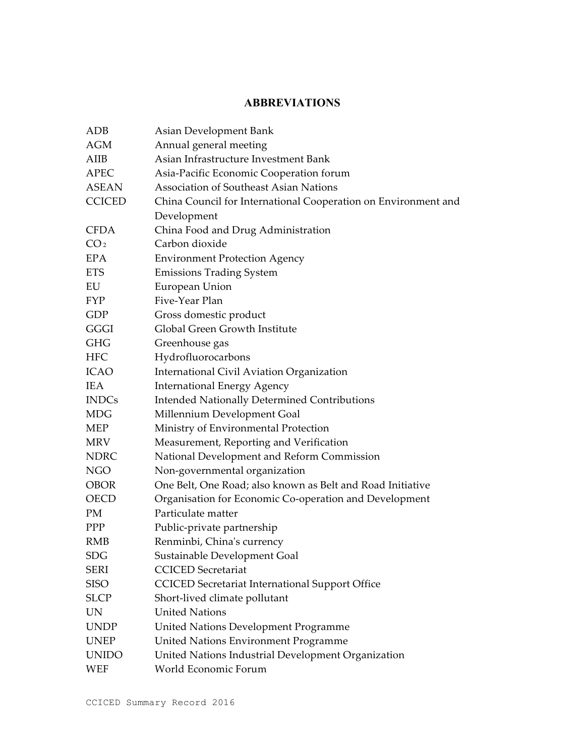## **ABBREVIATIONS**

| <b>ADB</b>      | Asian Development Bank                                         |
|-----------------|----------------------------------------------------------------|
| <b>AGM</b>      | Annual general meeting                                         |
| AIIB            | Asian Infrastructure Investment Bank                           |
| <b>APEC</b>     | Asia-Pacific Economic Cooperation forum                        |
| <b>ASEAN</b>    | <b>Association of Southeast Asian Nations</b>                  |
| <b>CCICED</b>   | China Council for International Cooperation on Environment and |
|                 | Development                                                    |
| <b>CFDA</b>     | China Food and Drug Administration                             |
| CO <sub>2</sub> | Carbon dioxide                                                 |
| <b>EPA</b>      | <b>Environment Protection Agency</b>                           |
| <b>ETS</b>      | <b>Emissions Trading System</b>                                |
| EU              | European Union                                                 |
| <b>FYP</b>      | Five-Year Plan                                                 |
| GDP             | Gross domestic product                                         |
| GGGI            | Global Green Growth Institute                                  |
| <b>GHG</b>      | Greenhouse gas                                                 |
| <b>HFC</b>      | Hydrofluorocarbons                                             |
| <b>ICAO</b>     | International Civil Aviation Organization                      |
| <b>IEA</b>      | <b>International Energy Agency</b>                             |
| <b>INDCs</b>    | <b>Intended Nationally Determined Contributions</b>            |
| <b>MDG</b>      | Millennium Development Goal                                    |
| <b>MEP</b>      | Ministry of Environmental Protection                           |
| <b>MRV</b>      | Measurement, Reporting and Verification                        |
| <b>NDRC</b>     | National Development and Reform Commission                     |
| <b>NGO</b>      | Non-governmental organization                                  |
| <b>OBOR</b>     | One Belt, One Road; also known as Belt and Road Initiative     |
| <b>OECD</b>     | Organisation for Economic Co-operation and Development         |
| PM              | Particulate matter                                             |
| <b>PPP</b>      | Public-private partnership                                     |
| <b>RMB</b>      | Renminbi, China's currency                                     |
| <b>SDG</b>      | Sustainable Development Goal                                   |
| <b>SERI</b>     | <b>CCICED</b> Secretariat                                      |
| <b>SISO</b>     | <b>CCICED</b> Secretariat International Support Office         |
| <b>SLCP</b>     | Short-lived climate pollutant                                  |
| <b>UN</b>       | <b>United Nations</b>                                          |
| <b>UNDP</b>     | <b>United Nations Development Programme</b>                    |
| <b>UNEP</b>     | United Nations Environment Programme                           |
| <b>UNIDO</b>    | United Nations Industrial Development Organization             |
| WEF             | World Economic Forum                                           |
|                 |                                                                |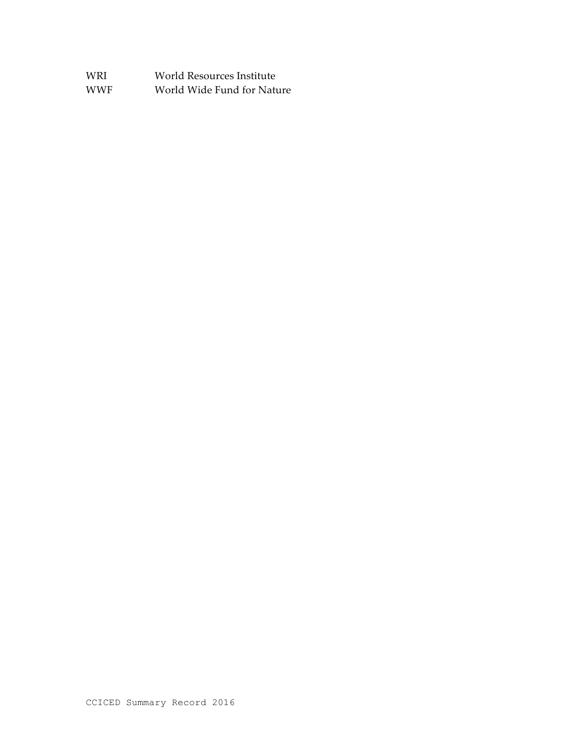| WRI  | World Resources Institute  |
|------|----------------------------|
| WWF. | World Wide Fund for Nature |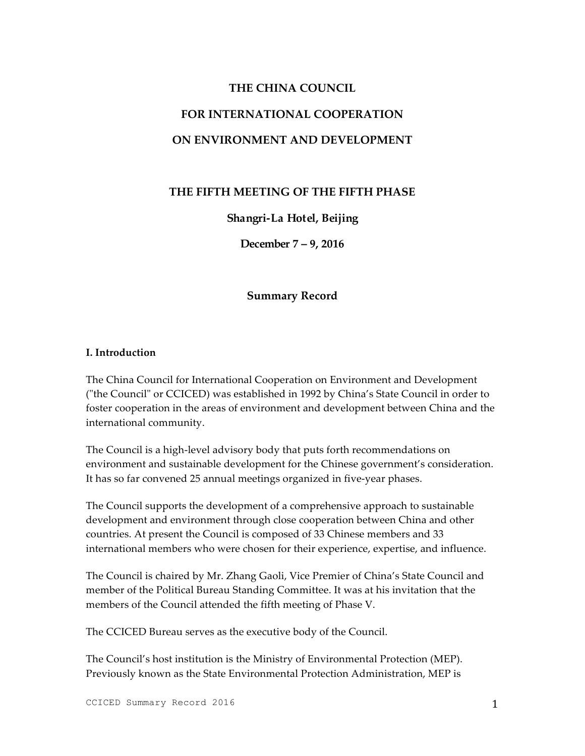## **THE CHINA COUNCIL FOR INTERNATIONAL COOPERATION ON ENVIRONMENT AND DEVELOPMENT**

## **THE FIFTH MEETING OF THE FIFTH PHASE**

#### **Shangri-La Hotel, Beijing**

**December 7 – 9, 2016**

#### **Summary Record**

#### **I. Introduction**

The China Council for International Cooperation on Environment and Development ("the Council" or CCICED) was established in 1992 by China's State Council in order to foster cooperation in the areas of environment and development between China and the international community.

The Council is a high-level advisory body that puts forth recommendations on environment and sustainable development for the Chinese government's consideration. It has so far convened 25 annual meetings organized in five-year phases.

The Council supports the development of a comprehensive approach to sustainable development and environment through close cooperation between China and other countries. At present the Council is composed of 33 Chinese members and 33 international members who were chosen for their experience, expertise, and influence.

The Council is chaired by Mr. Zhang Gaoli, Vice Premier of China's State Council and member of the Political Bureau Standing Committee. It was at his invitation that the members of the Council attended the fifth meeting of Phase V.

The CCICED Bureau serves as the executive body of the Council.

The Council's host institution is the Ministry of Environmental Protection (MEP). Previously known as the State Environmental Protection Administration, MEP is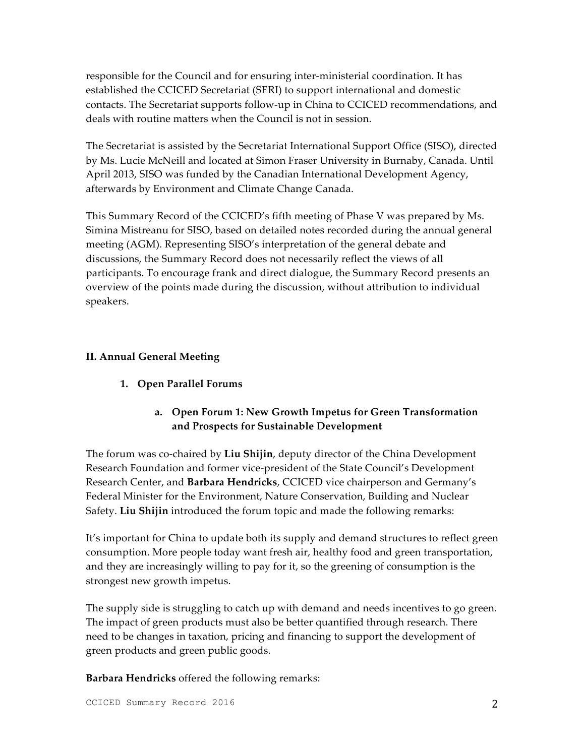responsible for the Council and for ensuring inter-ministerial coordination. It has established the CCICED Secretariat (SERI) to support international and domestic contacts. The Secretariat supports follow-up in China to CCICED recommendations, and deals with routine matters when the Council is not in session.

The Secretariat is assisted by the Secretariat International Support Office (SISO), directed by Ms. Lucie McNeill and located at Simon Fraser University in Burnaby, Canada. Until April 2013, SISO was funded by the Canadian International Development Agency, afterwards by Environment and Climate Change Canada.

This Summary Record of the CCICED's fifth meeting of Phase V was prepared by Ms. Simina Mistreanu for SISO, based on detailed notes recorded during the annual general meeting (AGM). Representing SISO's interpretation of the general debate and discussions, the Summary Record does not necessarily reflect the views of all participants. To encourage frank and direct dialogue, the Summary Record presents an overview of the points made during the discussion, without attribution to individual speakers.

#### **II. Annual General Meeting**

**1. Open Parallel Forums**

## **a. Open Forum 1: New Growth Impetus for Green Transformation and Prospects for Sustainable Development**

The forum was co-chaired by **Liu Shijin**, deputy director of the China Development Research Foundation and former vice-president of the State Council's Development Research Center, and **Barbara Hendricks**, CCICED vice chairperson and Germany's Federal Minister for the Environment, Nature Conservation, Building and Nuclear Safety. **Liu Shijin** introduced the forum topic and made the following remarks:

It's important for China to update both its supply and demand structures to reflect green consumption. More people today want fresh air, healthy food and green transportation, and they are increasingly willing to pay for it, so the greening of consumption is the strongest new growth impetus.

The supply side is struggling to catch up with demand and needs incentives to go green. The impact of green products must also be better quantified through research. There need to be changes in taxation, pricing and financing to support the development of green products and green public goods.

**Barbara Hendricks** offered the following remarks: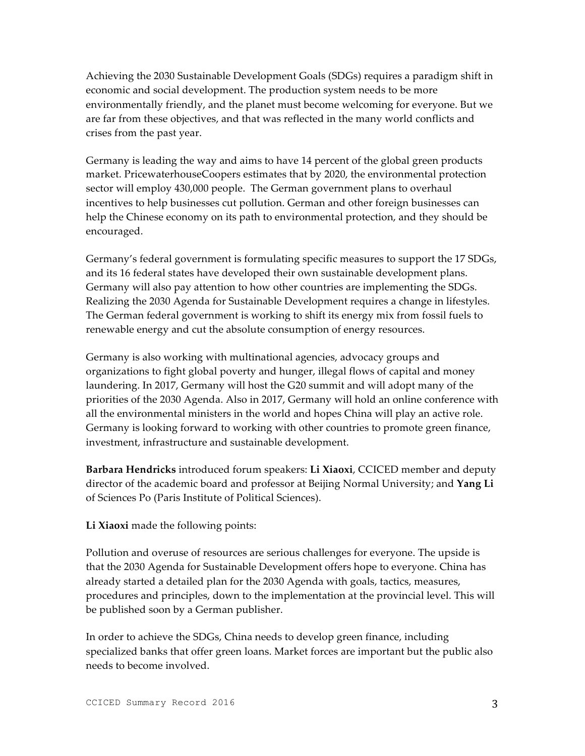Achieving the 2030 Sustainable Development Goals (SDGs) requires a paradigm shift in economic and social development. The production system needs to be more environmentally friendly, and the planet must become welcoming for everyone. But we are far from these objectives, and that was reflected in the many world conflicts and crises from the past year.

Germany is leading the way and aims to have 14 percent of the global green products market. PricewaterhouseCoopers estimates that by 2020, the environmental protection sector will employ 430,000 people. The German government plans to overhaul incentives to help businesses cut pollution. German and other foreign businesses can help the Chinese economy on its path to environmental protection, and they should be encouraged.

Germany's federal government is formulating specific measures to support the 17 SDGs, and its 16 federal states have developed their own sustainable development plans. Germany will also pay attention to how other countries are implementing the SDGs. Realizing the 2030 Agenda for Sustainable Development requires a change in lifestyles. The German federal government is working to shift its energy mix from fossil fuels to renewable energy and cut the absolute consumption of energy resources.

Germany is also working with multinational agencies, advocacy groups and organizations to fight global poverty and hunger, illegal flows of capital and money laundering. In 2017, Germany will host the G20 summit and will adopt many of the priorities of the 2030 Agenda. Also in 2017, Germany will hold an online conference with all the environmental ministers in the world and hopes China will play an active role. Germany is looking forward to working with other countries to promote green finance, investment, infrastructure and sustainable development.

**Barbara Hendricks** introduced forum speakers: **Li Xiaoxi**, CCICED member and deputy director of the academic board and professor at Beijing Normal University; and **Yang Li** of Sciences Po (Paris Institute of Political Sciences).

**Li Xiaoxi** made the following points:

Pollution and overuse of resources are serious challenges for everyone. The upside is that the 2030 Agenda for Sustainable Development offers hope to everyone. China has already started a detailed plan for the 2030 Agenda with goals, tactics, measures, procedures and principles, down to the implementation at the provincial level. This will be published soon by a German publisher.

In order to achieve the SDGs, China needs to develop green finance, including specialized banks that offer green loans. Market forces are important but the public also needs to become involved.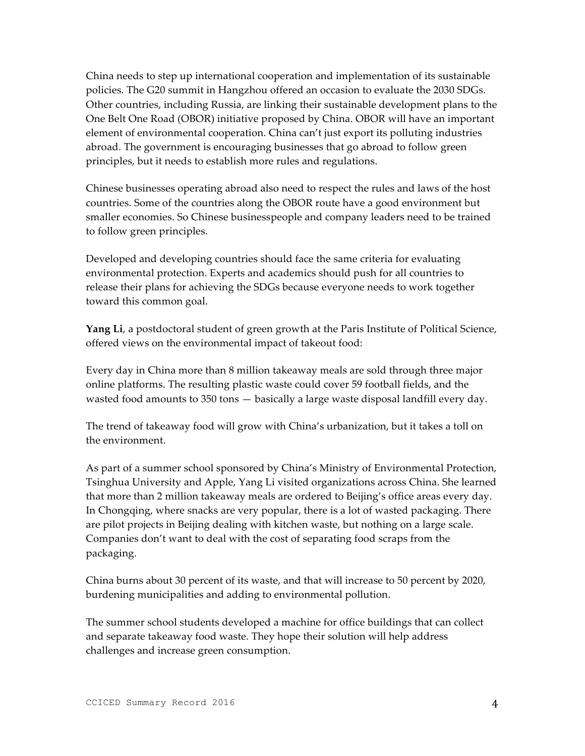China needs to step up international cooperation and implementation of its sustainable policies. The G20 summit in Hangzhou offered an occasion to evaluate the 2030 SDGs. Other countries, including Russia, are linking their sustainable development plans to the One Belt One Road (OBOR) initiative proposed by China. OBOR will have an important element of environmental cooperation. China can't just export its polluting industries abroad. The government is encouraging businesses that go abroad to follow green principles, but it needs to establish more rules and regulations.

Chinese businesses operating abroad also need to respect the rules and laws of the host countries. Some of the countries along the OBOR route have a good environment but smaller economies. So Chinese businesspeople and company leaders need to be trained to follow green principles.

Developed and developing countries should face the same criteria for evaluating environmental protection. Experts and academics should push for all countries to release their plans for achieving the SDGs because everyone needs to work together toward this common goal.

**Yang Li**, a postdoctoral student of green growth at the Paris Institute of Political Science, offered views on the environmental impact of takeout food:

Every day in China more than 8 million takeaway meals are sold through three major online platforms. The resulting plastic waste could cover 59 football fields, and the wasted food amounts to 350 tons — basically a large waste disposal landfill every day.

The trend of takeaway food will grow with China's urbanization, but it takes a toll on the environment.

As part of a summer school sponsored by China's Ministry of Environmental Protection, Tsinghua University and Apple, Yang Li visited organizations across China. She learned that more than 2 million takeaway meals are ordered to Beijing's office areas every day. In Chongqing, where snacks are very popular, there is a lot of wasted packaging. There are pilot projects in Beijing dealing with kitchen waste, but nothing on a large scale. Companies don't want to deal with the cost of separating food scraps from the packaging.

China burns about 30 percent of its waste, and that will increase to 50 percent by 2020, burdening municipalities and adding to environmental pollution.

The summer school students developed a machine for office buildings that can collect and separate takeaway food waste. They hope their solution will help address challenges and increase green consumption.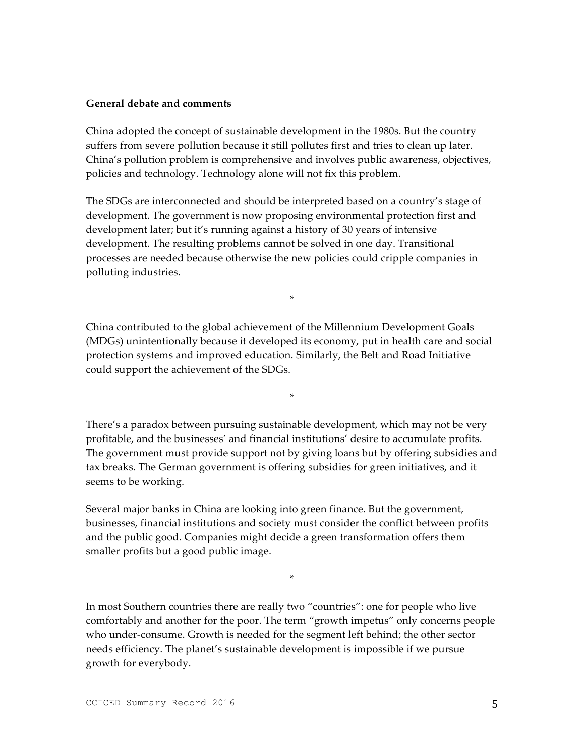#### **General debate and comments**

China adopted the concept of sustainable development in the 1980s. But the country suffers from severe pollution because it still pollutes first and tries to clean up later. China's pollution problem is comprehensive and involves public awareness, objectives, policies and technology. Technology alone will not fix this problem.

The SDGs are interconnected and should be interpreted based on a country's stage of development. The government is now proposing environmental protection first and development later; but it's running against a history of 30 years of intensive development. The resulting problems cannot be solved in one day. Transitional processes are needed because otherwise the new policies could cripple companies in polluting industries.

China contributed to the global achievement of the Millennium Development Goals (MDGs) unintentionally because it developed its economy, put in health care and social protection systems and improved education. Similarly, the Belt and Road Initiative could support the achievement of the SDGs.

\*

\*

There's a paradox between pursuing sustainable development, which may not be very profitable, and the businesses' and financial institutions' desire to accumulate profits. The government must provide support not by giving loans but by offering subsidies and tax breaks. The German government is offering subsidies for green initiatives, and it seems to be working.

Several major banks in China are looking into green finance. But the government, businesses, financial institutions and society must consider the conflict between profits and the public good. Companies might decide a green transformation offers them smaller profits but a good public image.

In most Southern countries there are really two "countries": one for people who live comfortably and another for the poor. The term "growth impetus" only concerns people who under-consume. Growth is needed for the segment left behind; the other sector needs efficiency. The planet's sustainable development is impossible if we pursue growth for everybody.

\*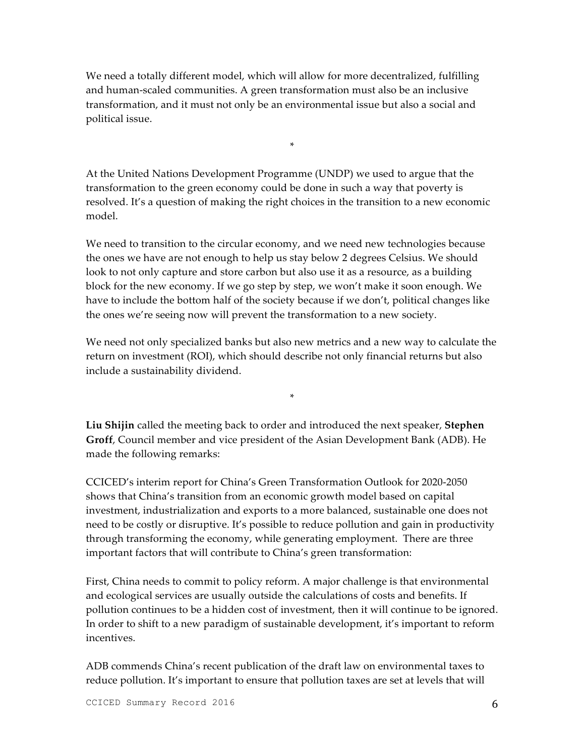We need a totally different model, which will allow for more decentralized, fulfilling and human-scaled communities. A green transformation must also be an inclusive transformation, and it must not only be an environmental issue but also a social and political issue.

At the United Nations Development Programme (UNDP) we used to argue that the transformation to the green economy could be done in such a way that poverty is resolved. It's a question of making the right choices in the transition to a new economic model.

\*

We need to transition to the circular economy, and we need new technologies because the ones we have are not enough to help us stay below 2 degrees Celsius. We should look to not only capture and store carbon but also use it as a resource, as a building block for the new economy. If we go step by step, we won't make it soon enough. We have to include the bottom half of the society because if we don't, political changes like the ones we're seeing now will prevent the transformation to a new society.

We need not only specialized banks but also new metrics and a new way to calculate the return on investment (ROI), which should describe not only financial returns but also include a sustainability dividend.

\*

**Liu Shijin** called the meeting back to order and introduced the next speaker, **Stephen Groff**, Council member and vice president of the Asian Development Bank (ADB). He made the following remarks:

CCICED's interim report for China's Green Transformation Outlook for 2020-2050 shows that China's transition from an economic growth model based on capital investment, industrialization and exports to a more balanced, sustainable one does not need to be costly or disruptive. It's possible to reduce pollution and gain in productivity through transforming the economy, while generating employment. There are three important factors that will contribute to China's green transformation:

First, China needs to commit to policy reform. A major challenge is that environmental and ecological services are usually outside the calculations of costs and benefits. If pollution continues to be a hidden cost of investment, then it will continue to be ignored. In order to shift to a new paradigm of sustainable development, it's important to reform incentives.

ADB commends China's recent publication of the draft law on environmental taxes to reduce pollution. It's important to ensure that pollution taxes are set at levels that will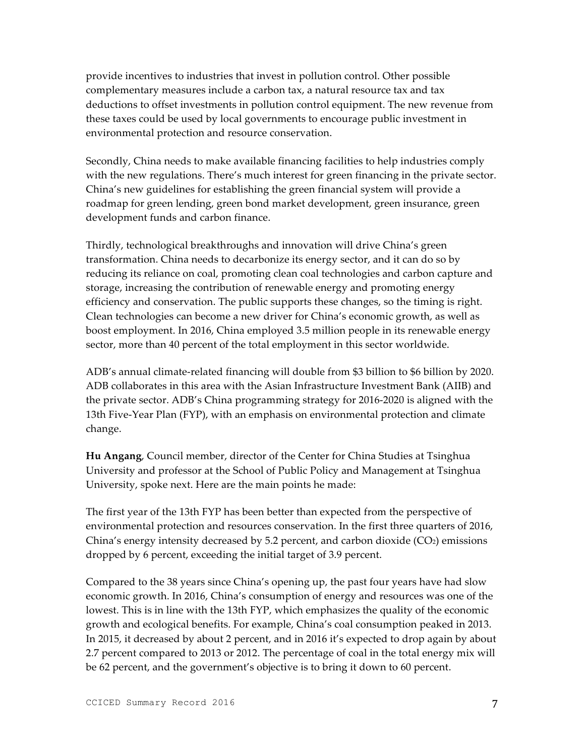provide incentives to industries that invest in pollution control. Other possible complementary measures include a carbon tax, a natural resource tax and tax deductions to offset investments in pollution control equipment. The new revenue from these taxes could be used by local governments to encourage public investment in environmental protection and resource conservation.

Secondly, China needs to make available financing facilities to help industries comply with the new regulations. There's much interest for green financing in the private sector. China's new guidelines for establishing the green financial system will provide a roadmap for green lending, green bond market development, green insurance, green development funds and carbon finance.

Thirdly, technological breakthroughs and innovation will drive China's green transformation. China needs to decarbonize its energy sector, and it can do so by reducing its reliance on coal, promoting clean coal technologies and carbon capture and storage, increasing the contribution of renewable energy and promoting energy efficiency and conservation. The public supports these changes, so the timing is right. Clean technologies can become a new driver for China's economic growth, as well as boost employment. In 2016, China employed 3.5 million people in its renewable energy sector, more than 40 percent of the total employment in this sector worldwide.

ADB's annual climate-related financing will double from \$3 billion to \$6 billion by 2020. ADB collaborates in this area with the Asian Infrastructure Investment Bank (AIIB) and the private sector. ADB's China programming strategy for 2016-2020 is aligned with the 13th Five-Year Plan (FYP), with an emphasis on environmental protection and climate change.

**Hu Angang**, Council member, director of the Center for China Studies at Tsinghua University and professor at the School of Public Policy and Management at Tsinghua University, spoke next. Here are the main points he made:

The first year of the 13th FYP has been better than expected from the perspective of environmental protection and resources conservation. In the first three quarters of 2016, China's energy intensity decreased by 5.2 percent, and carbon dioxide  $(CO<sub>2</sub>)$  emissions dropped by 6 percent, exceeding the initial target of 3.9 percent.

Compared to the 38 years since China's opening up, the past four years have had slow economic growth. In 2016, China's consumption of energy and resources was one of the lowest. This is in line with the 13th FYP, which emphasizes the quality of the economic growth and ecological benefits. For example, China's coal consumption peaked in 2013. In 2015, it decreased by about 2 percent, and in 2016 it's expected to drop again by about 2.7 percent compared to 2013 or 2012. The percentage of coal in the total energy mix will be 62 percent, and the government's objective is to bring it down to 60 percent.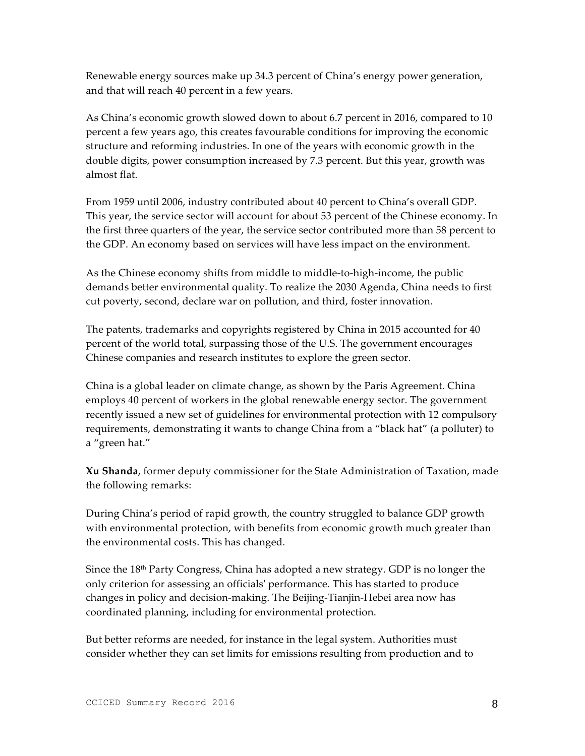Renewable energy sources make up 34.3 percent of China's energy power generation, and that will reach 40 percent in a few years.

As China's economic growth slowed down to about 6.7 percent in 2016, compared to 10 percent a few years ago, this creates favourable conditions for improving the economic structure and reforming industries. In one of the years with economic growth in the double digits, power consumption increased by 7.3 percent. But this year, growth was almost flat.

From 1959 until 2006, industry contributed about 40 percent to China's overall GDP. This year, the service sector will account for about 53 percent of the Chinese economy. In the first three quarters of the year, the service sector contributed more than 58 percent to the GDP. An economy based on services will have less impact on the environment.

As the Chinese economy shifts from middle to middle-to-high-income, the public demands better environmental quality. To realize the 2030 Agenda, China needs to first cut poverty, second, declare war on pollution, and third, foster innovation.

The patents, trademarks and copyrights registered by China in 2015 accounted for 40 percent of the world total, surpassing those of the U.S. The government encourages Chinese companies and research institutes to explore the green sector.

China is a global leader on climate change, as shown by the Paris Agreement. China employs 40 percent of workers in the global renewable energy sector. The government recently issued a new set of guidelines for environmental protection with 12 compulsory requirements, demonstrating it wants to change China from a "black hat" (a polluter) to a "green hat."

**Xu Shanda**, former deputy commissioner for the State Administration of Taxation, made the following remarks:

During China's period of rapid growth, the country struggled to balance GDP growth with environmental protection, with benefits from economic growth much greater than the environmental costs. This has changed.

Since the  $18<sup>th</sup>$  Party Congress, China has adopted a new strategy. GDP is no longer the only criterion for assessing an officials' performance. This has started to produce changes in policy and decision-making. The Beijing-Tianjin-Hebei area now has coordinated planning, including for environmental protection.

But better reforms are needed, for instance in the legal system. Authorities must consider whether they can set limits for emissions resulting from production and to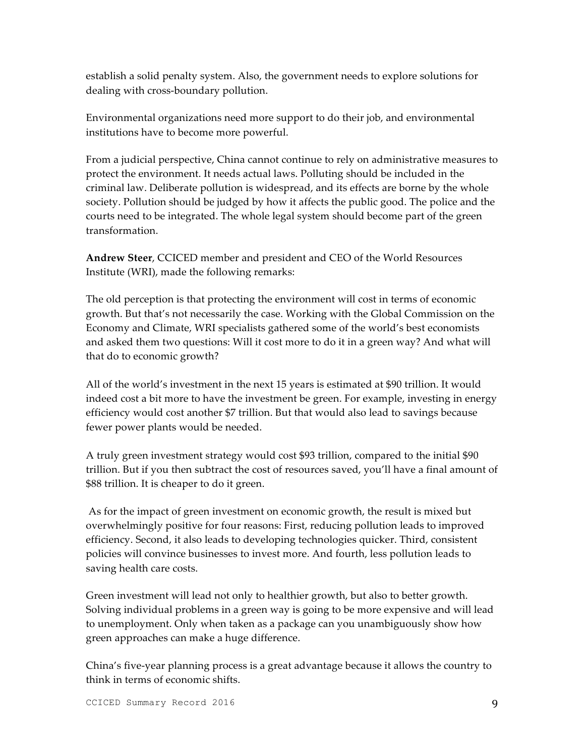establish a solid penalty system. Also, the government needs to explore solutions for dealing with cross-boundary pollution.

Environmental organizations need more support to do their job, and environmental institutions have to become more powerful.

From a judicial perspective, China cannot continue to rely on administrative measures to protect the environment. It needs actual laws. Polluting should be included in the criminal law. Deliberate pollution is widespread, and its effects are borne by the whole society. Pollution should be judged by how it affects the public good. The police and the courts need to be integrated. The whole legal system should become part of the green transformation.

**Andrew Steer**, CCICED member and president and CEO of the World Resources Institute (WRI), made the following remarks:

The old perception is that protecting the environment will cost in terms of economic growth. But that's not necessarily the case. Working with the Global Commission on the Economy and Climate, WRI specialists gathered some of the world's best economists and asked them two questions: Will it cost more to do it in a green way? And what will that do to economic growth?

All of the world's investment in the next 15 years is estimated at \$90 trillion. It would indeed cost a bit more to have the investment be green. For example, investing in energy efficiency would cost another \$7 trillion. But that would also lead to savings because fewer power plants would be needed.

A truly green investment strategy would cost \$93 trillion, compared to the initial \$90 trillion. But if you then subtract the cost of resources saved, you'll have a final amount of \$88 trillion. It is cheaper to do it green.

As for the impact of green investment on economic growth, the result is mixed but overwhelmingly positive for four reasons: First, reducing pollution leads to improved efficiency. Second, it also leads to developing technologies quicker. Third, consistent policies will convince businesses to invest more. And fourth, less pollution leads to saving health care costs.

Green investment will lead not only to healthier growth, but also to better growth. Solving individual problems in a green way is going to be more expensive and will lead to unemployment. Only when taken as a package can you unambiguously show how green approaches can make a huge difference.

China's five-year planning process is a great advantage because it allows the country to think in terms of economic shifts.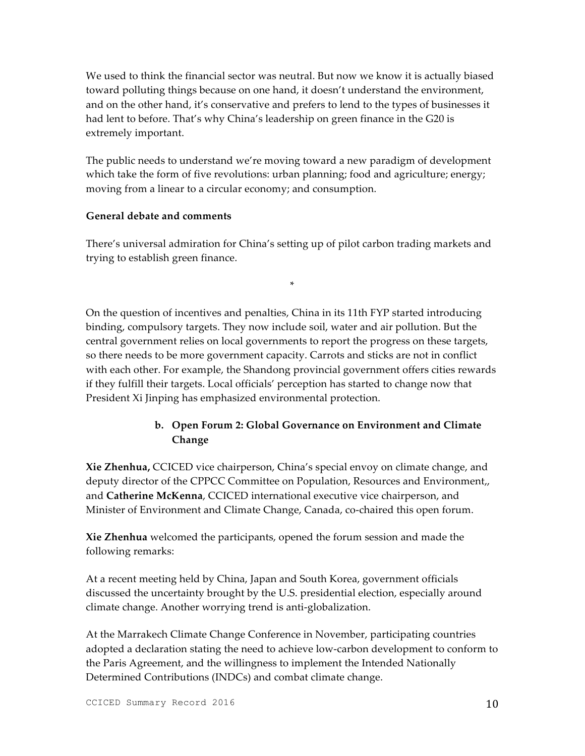We used to think the financial sector was neutral. But now we know it is actually biased toward polluting things because on one hand, it doesn't understand the environment, and on the other hand, it's conservative and prefers to lend to the types of businesses it had lent to before. That's why China's leadership on green finance in the G20 is extremely important.

The public needs to understand we're moving toward a new paradigm of development which take the form of five revolutions: urban planning; food and agriculture; energy; moving from a linear to a circular economy; and consumption.

#### **General debate and comments**

There's universal admiration for China's setting up of pilot carbon trading markets and trying to establish green finance.

\*

On the question of incentives and penalties, China in its 11th FYP started introducing binding, compulsory targets. They now include soil, water and air pollution. But the central government relies on local governments to report the progress on these targets, so there needs to be more government capacity. Carrots and sticks are not in conflict with each other. For example, the Shandong provincial government offers cities rewards if they fulfill their targets. Local officials' perception has started to change now that President Xi Jinping has emphasized environmental protection.

## **b. Open Forum 2: Global Governance on Environment and Climate Change**

**Xie Zhenhua,** CCICED vice chairperson, China's special envoy on climate change, and deputy director of the CPPCC Committee on Population, Resources and Environment,, and **Catherine McKenna**, CCICED international executive vice chairperson, and Minister of Environment and Climate Change, Canada, co-chaired this open forum.

**Xie Zhenhua** welcomed the participants, opened the forum session and made the following remarks:

At a recent meeting held by China, Japan and South Korea, government officials discussed the uncertainty brought by the U.S. presidential election, especially around climate change. Another worrying trend is anti-globalization.

At the Marrakech Climate Change Conference in November, participating countries adopted a declaration stating the need to achieve low-carbon development to conform to the Paris Agreement, and the willingness to implement the Intended Nationally Determined Contributions (INDCs) and combat climate change.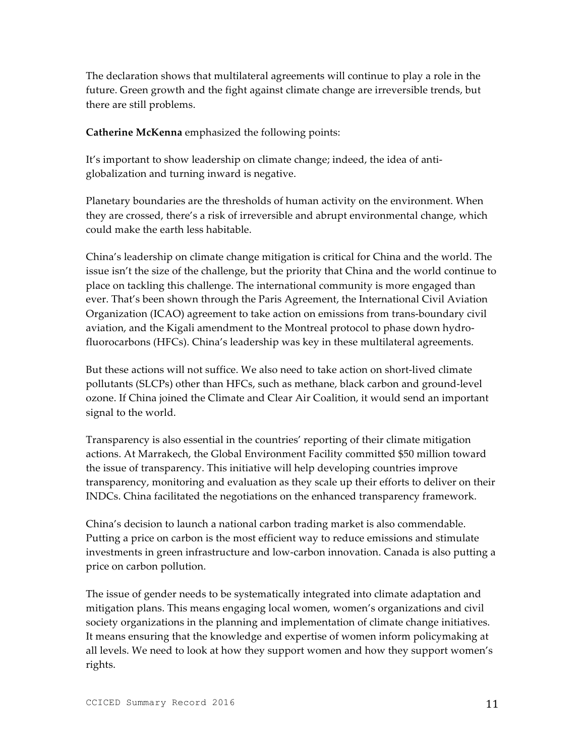The declaration shows that multilateral agreements will continue to play a role in the future. Green growth and the fight against climate change are irreversible trends, but there are still problems.

**Catherine McKenna** emphasized the following points:

It's important to show leadership on climate change; indeed, the idea of antiglobalization and turning inward is negative.

Planetary boundaries are the thresholds of human activity on the environment. When they are crossed, there's a risk of irreversible and abrupt environmental change, which could make the earth less habitable.

China's leadership on climate change mitigation is critical for China and the world. The issue isn't the size of the challenge, but the priority that China and the world continue to place on tackling this challenge. The international community is more engaged than ever. That's been shown through the Paris Agreement, the International Civil Aviation Organization (ICAO) agreement to take action on emissions from trans-boundary civil aviation, and the Kigali amendment to the Montreal protocol to phase down hydrofluorocarbons (HFCs). China's leadership was key in these multilateral agreements.

But these actions will not suffice. We also need to take action on short-lived climate pollutants (SLCPs) other than HFCs, such as methane, black carbon and ground-level ozone. If China joined the Climate and Clear Air Coalition, it would send an important signal to the world.

Transparency is also essential in the countries' reporting of their climate mitigation actions. At Marrakech, the Global Environment Facility committed \$50 million toward the issue of transparency. This initiative will help developing countries improve transparency, monitoring and evaluation as they scale up their efforts to deliver on their INDCs. China facilitated the negotiations on the enhanced transparency framework.

China's decision to launch a national carbon trading market is also commendable. Putting a price on carbon is the most efficient way to reduce emissions and stimulate investments in green infrastructure and low-carbon innovation. Canada is also putting a price on carbon pollution.

The issue of gender needs to be systematically integrated into climate adaptation and mitigation plans. This means engaging local women, women's organizations and civil society organizations in the planning and implementation of climate change initiatives. It means ensuring that the knowledge and expertise of women inform policymaking at all levels. We need to look at how they support women and how they support women's rights.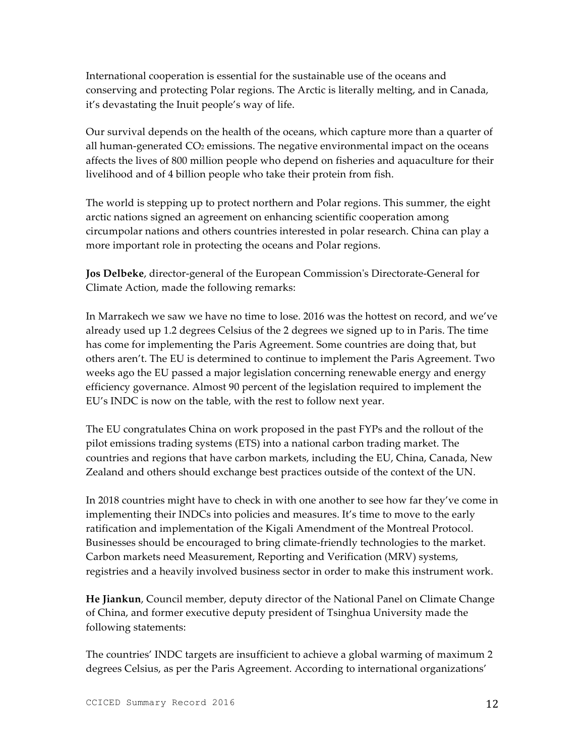International cooperation is essential for the sustainable use of the oceans and conserving and protecting Polar regions. The Arctic is literally melting, and in Canada, it's devastating the Inuit people's way of life.

Our survival depends on the health of the oceans, which capture more than a quarter of all human-generated  $CO<sub>2</sub>$  emissions. The negative environmental impact on the oceans affects the lives of 800 million people who depend on fisheries and aquaculture for their livelihood and of 4 billion people who take their protein from fish.

The world is stepping up to protect northern and Polar regions. This summer, the eight arctic nations signed an agreement on enhancing scientific cooperation among circumpolar nations and others countries interested in polar research. China can play a more important role in protecting the oceans and Polar regions.

**Jos Delbeke**, director-general of the European Commission's Directorate-General for Climate Action, made the following remarks:

In Marrakech we saw we have no time to lose. 2016 was the hottest on record, and we've already used up 1.2 degrees Celsius of the 2 degrees we signed up to in Paris. The time has come for implementing the Paris Agreement. Some countries are doing that, but others aren't. The EU is determined to continue to implement the Paris Agreement. Two weeks ago the EU passed a major legislation concerning renewable energy and energy efficiency governance. Almost 90 percent of the legislation required to implement the EU's INDC is now on the table, with the rest to follow next year.

The EU congratulates China on work proposed in the past FYPs and the rollout of the pilot emissions trading systems (ETS) into a national carbon trading market. The countries and regions that have carbon markets, including the EU, China, Canada, New Zealand and others should exchange best practices outside of the context of the UN.

In 2018 countries might have to check in with one another to see how far they've come in implementing their INDCs into policies and measures. It's time to move to the early ratification and implementation of the Kigali Amendment of the Montreal Protocol. Businesses should be encouraged to bring climate-friendly technologies to the market. Carbon markets need Measurement, Reporting and Verification (MRV) systems, registries and a heavily involved business sector in order to make this instrument work.

**He Jiankun**, Council member, deputy director of the National Panel on Climate Change of China, and former executive deputy president of Tsinghua University made the following statements:

The countries' INDC targets are insufficient to achieve a global warming of maximum 2 degrees Celsius, as per the Paris Agreement. According to international organizations'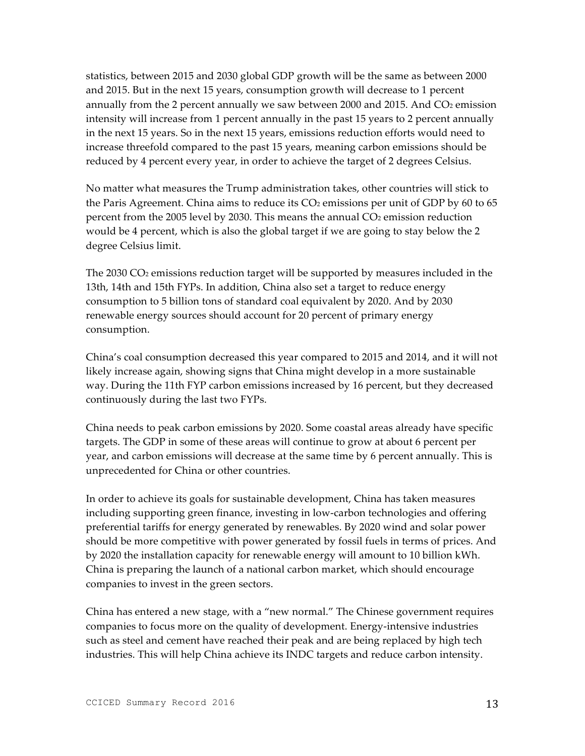statistics, between 2015 and 2030 global GDP growth will be the same as between 2000 and 2015. But in the next 15 years, consumption growth will decrease to 1 percent annually from the 2 percent annually we saw between 2000 and 2015. And  $CO<sub>2</sub>$  emission intensity will increase from 1 percent annually in the past 15 years to 2 percent annually in the next 15 years. So in the next 15 years, emissions reduction efforts would need to increase threefold compared to the past 15 years, meaning carbon emissions should be reduced by 4 percent every year, in order to achieve the target of 2 degrees Celsius.

No matter what measures the Trump administration takes, other countries will stick to the Paris Agreement. China aims to reduce its  $CO<sub>2</sub>$  emissions per unit of GDP by 60 to 65 percent from the 2005 level by 2030. This means the annual  $CO<sub>2</sub>$  emission reduction would be 4 percent, which is also the global target if we are going to stay below the 2 degree Celsius limit.

The 2030 CO2 emissions reduction target will be supported by measures included in the 13th, 14th and 15th FYPs. In addition, China also set a target to reduce energy consumption to 5 billion tons of standard coal equivalent by 2020. And by 2030 renewable energy sources should account for 20 percent of primary energy consumption.

China's coal consumption decreased this year compared to 2015 and 2014, and it will not likely increase again, showing signs that China might develop in a more sustainable way. During the 11th FYP carbon emissions increased by 16 percent, but they decreased continuously during the last two FYPs.

China needs to peak carbon emissions by 2020. Some coastal areas already have specific targets. The GDP in some of these areas will continue to grow at about 6 percent per year, and carbon emissions will decrease at the same time by 6 percent annually. This is unprecedented for China or other countries.

In order to achieve its goals for sustainable development, China has taken measures including supporting green finance, investing in low-carbon technologies and offering preferential tariffs for energy generated by renewables. By 2020 wind and solar power should be more competitive with power generated by fossil fuels in terms of prices. And by 2020 the installation capacity for renewable energy will amount to 10 billion kWh. China is preparing the launch of a national carbon market, which should encourage companies to invest in the green sectors.

China has entered a new stage, with a "new normal." The Chinese government requires companies to focus more on the quality of development. Energy-intensive industries such as steel and cement have reached their peak and are being replaced by high tech industries. This will help China achieve its INDC targets and reduce carbon intensity.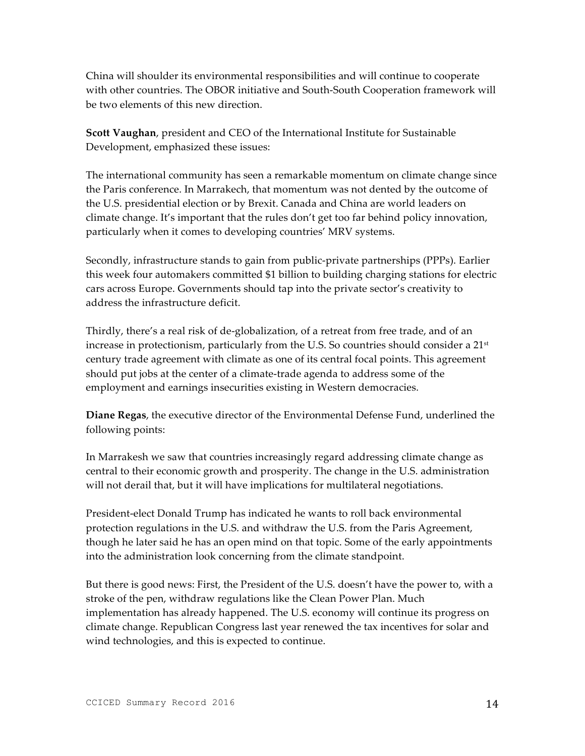China will shoulder its environmental responsibilities and will continue to cooperate with other countries. The OBOR initiative and South-South Cooperation framework will be two elements of this new direction.

**Scott Vaughan**, president and CEO of the International Institute for Sustainable Development, emphasized these issues:

The international community has seen a remarkable momentum on climate change since the Paris conference. In Marrakech, that momentum was not dented by the outcome of the U.S. presidential election or by Brexit. Canada and China are world leaders on climate change. It's important that the rules don't get too far behind policy innovation, particularly when it comes to developing countries' MRV systems.

Secondly, infrastructure stands to gain from public-private partnerships (PPPs). Earlier this week four automakers committed \$1 billion to building charging stations for electric cars across Europe. Governments should tap into the private sector's creativity to address the infrastructure deficit.

Thirdly, there's a real risk of de-globalization, of a retreat from free trade, and of an increase in protectionism, particularly from the U.S. So countries should consider a  $21<sup>st</sup>$ century trade agreement with climate as one of its central focal points. This agreement should put jobs at the center of a climate-trade agenda to address some of the employment and earnings insecurities existing in Western democracies.

**Diane Regas**, the executive director of the Environmental Defense Fund, underlined the following points:

In Marrakesh we saw that countries increasingly regard addressing climate change as central to their economic growth and prosperity. The change in the U.S. administration will not derail that, but it will have implications for multilateral negotiations.

President-elect Donald Trump has indicated he wants to roll back environmental protection regulations in the U.S. and withdraw the U.S. from the Paris Agreement, though he later said he has an open mind on that topic. Some of the early appointments into the administration look concerning from the climate standpoint.

But there is good news: First, the President of the U.S. doesn't have the power to, with a stroke of the pen, withdraw regulations like the Clean Power Plan. Much implementation has already happened. The U.S. economy will continue its progress on climate change. Republican Congress last year renewed the tax incentives for solar and wind technologies, and this is expected to continue.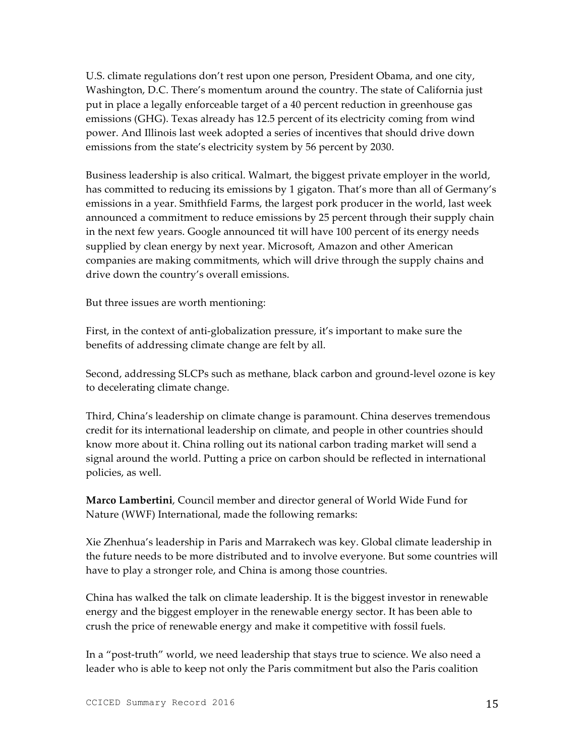U.S. climate regulations don't rest upon one person, President Obama, and one city, Washington, D.C. There's momentum around the country. The state of California just put in place a legally enforceable target of a 40 percent reduction in greenhouse gas emissions (GHG). Texas already has 12.5 percent of its electricity coming from wind power. And Illinois last week adopted a series of incentives that should drive down emissions from the state's electricity system by 56 percent by 2030.

Business leadership is also critical. Walmart, the biggest private employer in the world, has committed to reducing its emissions by 1 gigaton. That's more than all of Germany's emissions in a year. Smithfield Farms, the largest pork producer in the world, last week announced a commitment to reduce emissions by 25 percent through their supply chain in the next few years. Google announced tit will have 100 percent of its energy needs supplied by clean energy by next year. Microsoft, Amazon and other American companies are making commitments, which will drive through the supply chains and drive down the country's overall emissions.

But three issues are worth mentioning:

First, in the context of anti-globalization pressure, it's important to make sure the benefits of addressing climate change are felt by all.

Second, addressing SLCPs such as methane, black carbon and ground-level ozone is key to decelerating climate change.

Third, China's leadership on climate change is paramount. China deserves tremendous credit for its international leadership on climate, and people in other countries should know more about it. China rolling out its national carbon trading market will send a signal around the world. Putting a price on carbon should be reflected in international policies, as well.

**Marco Lambertini**, Council member and director general of World Wide Fund for Nature (WWF) International, made the following remarks:

Xie Zhenhua's leadership in Paris and Marrakech was key. Global climate leadership in the future needs to be more distributed and to involve everyone. But some countries will have to play a stronger role, and China is among those countries.

China has walked the talk on climate leadership. It is the biggest investor in renewable energy and the biggest employer in the renewable energy sector. It has been able to crush the price of renewable energy and make it competitive with fossil fuels.

In a "post-truth" world, we need leadership that stays true to science. We also need a leader who is able to keep not only the Paris commitment but also the Paris coalition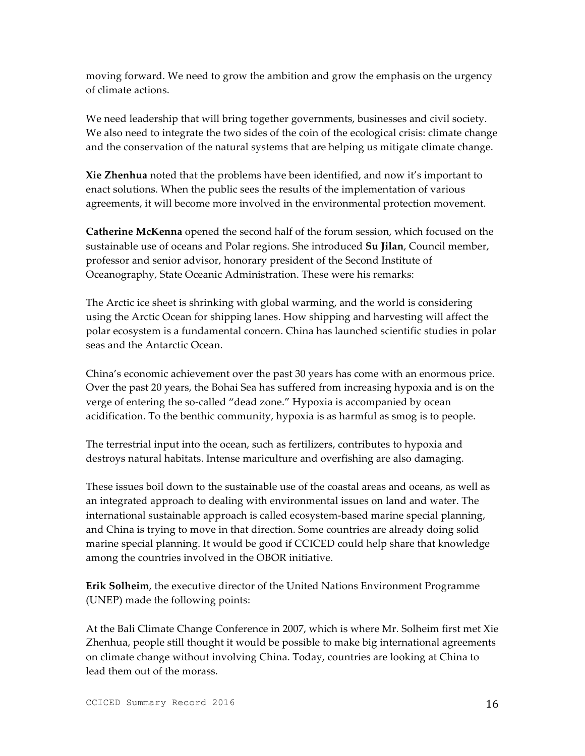moving forward. We need to grow the ambition and grow the emphasis on the urgency of climate actions.

We need leadership that will bring together governments, businesses and civil society. We also need to integrate the two sides of the coin of the ecological crisis: climate change and the conservation of the natural systems that are helping us mitigate climate change.

**Xie Zhenhua** noted that the problems have been identified, and now it's important to enact solutions. When the public sees the results of the implementation of various agreements, it will become more involved in the environmental protection movement.

**Catherine McKenna** opened the second half of the forum session, which focused on the sustainable use of oceans and Polar regions. She introduced **Su Jilan**, Council member, professor and senior advisor, honorary president of the Second Institute of Oceanography, State Oceanic Administration. These were his remarks:

The Arctic ice sheet is shrinking with global warming, and the world is considering using the Arctic Ocean for shipping lanes. How shipping and harvesting will affect the polar ecosystem is a fundamental concern. China has launched scientific studies in polar seas and the Antarctic Ocean.

China's economic achievement over the past 30 years has come with an enormous price. Over the past 20 years, the Bohai Sea has suffered from increasing hypoxia and is on the verge of entering the so-called "dead zone." Hypoxia is accompanied by ocean acidification. To the benthic community, hypoxia is as harmful as smog is to people.

The terrestrial input into the ocean, such as fertilizers, contributes to hypoxia and destroys natural habitats. Intense mariculture and overfishing are also damaging.

These issues boil down to the sustainable use of the coastal areas and oceans, as well as an integrated approach to dealing with environmental issues on land and water. The international sustainable approach is called ecosystem-based marine special planning, and China is trying to move in that direction. Some countries are already doing solid marine special planning. It would be good if CCICED could help share that knowledge among the countries involved in the OBOR initiative.

**Erik Solheim**, the executive director of the United Nations Environment Programme (UNEP) made the following points:

At the Bali Climate Change Conference in 2007, which is where Mr. Solheim first met Xie Zhenhua, people still thought it would be possible to make big international agreements on climate change without involving China. Today, countries are looking at China to lead them out of the morass.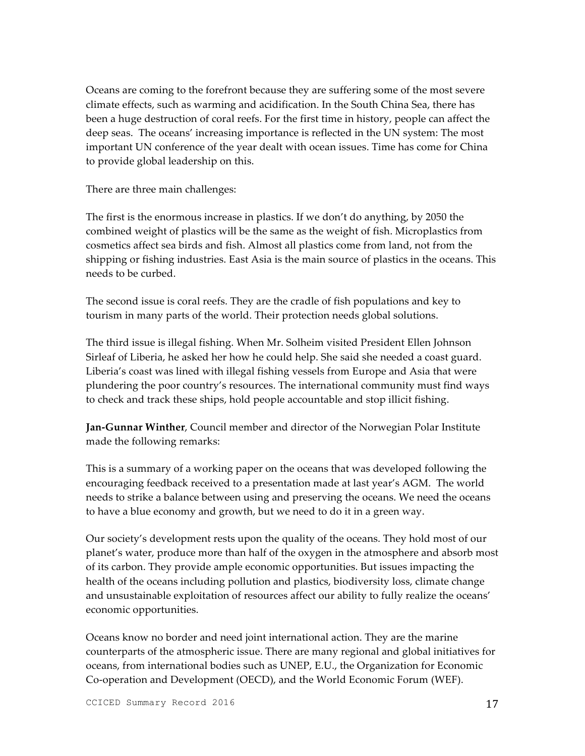Oceans are coming to the forefront because they are suffering some of the most severe climate effects, such as warming and acidification. In the South China Sea, there has been a huge destruction of coral reefs. For the first time in history, people can affect the deep seas. The oceans' increasing importance is reflected in the UN system: The most important UN conference of the year dealt with ocean issues. Time has come for China to provide global leadership on this.

There are three main challenges:

The first is the enormous increase in plastics. If we don't do anything, by 2050 the combined weight of plastics will be the same as the weight of fish. Microplastics from cosmetics affect sea birds and fish. Almost all plastics come from land, not from the shipping or fishing industries. East Asia is the main source of plastics in the oceans. This needs to be curbed.

The second issue is coral reefs. They are the cradle of fish populations and key to tourism in many parts of the world. Their protection needs global solutions.

The third issue is illegal fishing. When Mr. Solheim visited President Ellen Johnson Sirleaf of Liberia, he asked her how he could help. She said she needed a coast guard. Liberia's coast was lined with illegal fishing vessels from Europe and Asia that were plundering the poor country's resources. The international community must find ways to check and track these ships, hold people accountable and stop illicit fishing.

**Jan-Gunnar Winther**, Council member and director of the Norwegian Polar Institute made the following remarks:

This is a summary of a working paper on the oceans that was developed following the encouraging feedback received to a presentation made at last year's AGM. The world needs to strike a balance between using and preserving the oceans. We need the oceans to have a blue economy and growth, but we need to do it in a green way.

Our society's development rests upon the quality of the oceans. They hold most of our planet's water, produce more than half of the oxygen in the atmosphere and absorb most of its carbon. They provide ample economic opportunities. But issues impacting the health of the oceans including pollution and plastics, biodiversity loss, climate change and unsustainable exploitation of resources affect our ability to fully realize the oceans' economic opportunities.

Oceans know no border and need joint international action. They are the marine counterparts of the atmospheric issue. There are many regional and global initiatives for oceans, from international bodies such as UNEP, E.U., the Organization for Economic Co-operation and Development (OECD), and the World Economic Forum (WEF).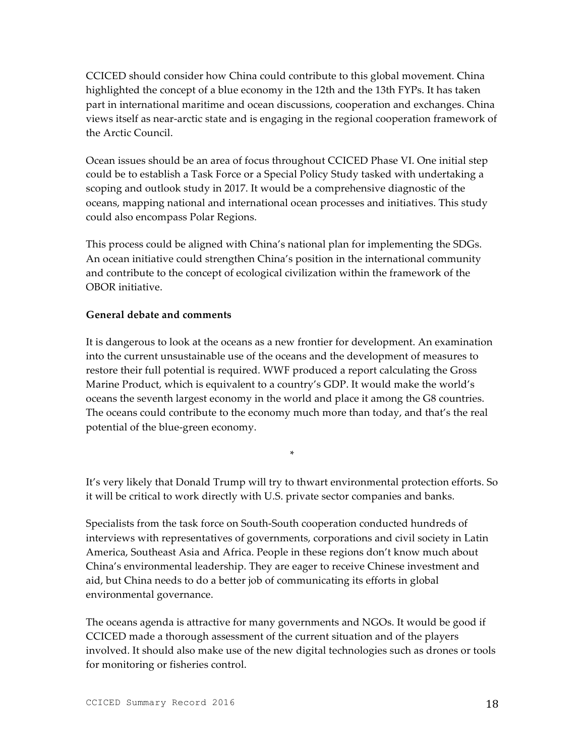CCICED should consider how China could contribute to this global movement. China highlighted the concept of a blue economy in the 12th and the 13th FYPs. It has taken part in international maritime and ocean discussions, cooperation and exchanges. China views itself as near-arctic state and is engaging in the regional cooperation framework of the Arctic Council.

Ocean issues should be an area of focus throughout CCICED Phase VI. One initial step could be to establish a Task Force or a Special Policy Study tasked with undertaking a scoping and outlook study in 2017. It would be a comprehensive diagnostic of the oceans, mapping national and international ocean processes and initiatives. This study could also encompass Polar Regions.

This process could be aligned with China's national plan for implementing the SDGs. An ocean initiative could strengthen China's position in the international community and contribute to the concept of ecological civilization within the framework of the OBOR initiative.

#### **General debate and comments**

It is dangerous to look at the oceans as a new frontier for development. An examination into the current unsustainable use of the oceans and the development of measures to restore their full potential is required. WWF produced a report calculating the Gross Marine Product, which is equivalent to a country's GDP. It would make the world's oceans the seventh largest economy in the world and place it among the G8 countries. The oceans could contribute to the economy much more than today, and that's the real potential of the blue-green economy.

It's very likely that Donald Trump will try to thwart environmental protection efforts. So it will be critical to work directly with U.S. private sector companies and banks.

\*

Specialists from the task force on South-South cooperation conducted hundreds of interviews with representatives of governments, corporations and civil society in Latin America, Southeast Asia and Africa. People in these regions don't know much about China's environmental leadership. They are eager to receive Chinese investment and aid, but China needs to do a better job of communicating its efforts in global environmental governance.

The oceans agenda is attractive for many governments and NGOs. It would be good if CCICED made a thorough assessment of the current situation and of the players involved. It should also make use of the new digital technologies such as drones or tools for monitoring or fisheries control.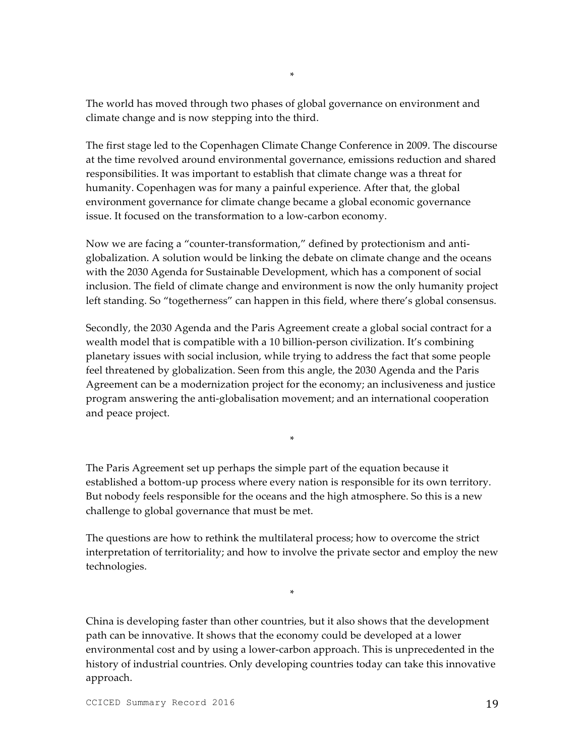The world has moved through two phases of global governance on environment and climate change and is now stepping into the third.

The first stage led to the Copenhagen Climate Change Conference in 2009. The discourse at the time revolved around environmental governance, emissions reduction and shared responsibilities. It was important to establish that climate change was a threat for humanity. Copenhagen was for many a painful experience. After that, the global environment governance for climate change became a global economic governance issue. It focused on the transformation to a low-carbon economy.

Now we are facing a "counter-transformation," defined by protectionism and antiglobalization. A solution would be linking the debate on climate change and the oceans with the 2030 Agenda for Sustainable Development, which has a component of social inclusion. The field of climate change and environment is now the only humanity project left standing. So "togetherness" can happen in this field, where there's global consensus.

Secondly, the 2030 Agenda and the Paris Agreement create a global social contract for a wealth model that is compatible with a 10 billion-person civilization. It's combining planetary issues with social inclusion, while trying to address the fact that some people feel threatened by globalization. Seen from this angle, the 2030 Agenda and the Paris Agreement can be a modernization project for the economy; an inclusiveness and justice program answering the anti-globalisation movement; and an international cooperation and peace project.

The Paris Agreement set up perhaps the simple part of the equation because it established a bottom-up process where every nation is responsible for its own territory. But nobody feels responsible for the oceans and the high atmosphere. So this is a new challenge to global governance that must be met.

\*

The questions are how to rethink the multilateral process; how to overcome the strict interpretation of territoriality; and how to involve the private sector and employ the new technologies.

\*

China is developing faster than other countries, but it also shows that the development path can be innovative. It shows that the economy could be developed at a lower environmental cost and by using a lower-carbon approach. This is unprecedented in the history of industrial countries. Only developing countries today can take this innovative approach.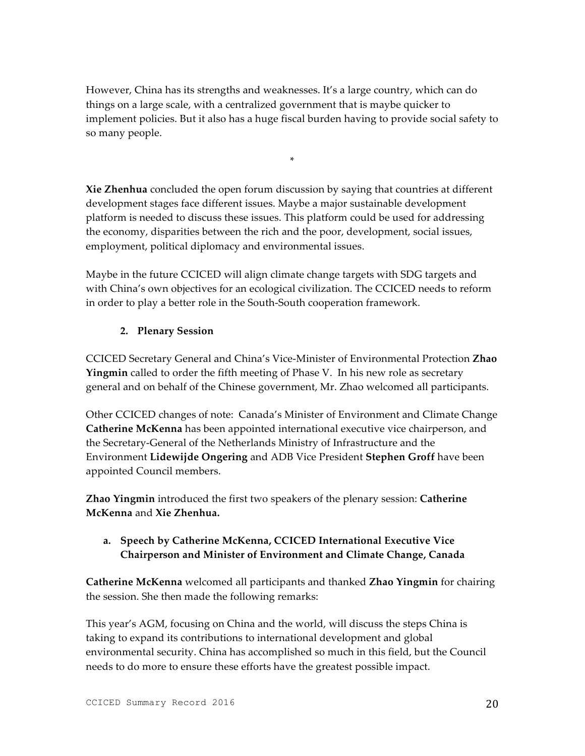However, China has its strengths and weaknesses. It's a large country, which can do things on a large scale, with a centralized government that is maybe quicker to implement policies. But it also has a huge fiscal burden having to provide social safety to so many people.

\*

**Xie Zhenhua** concluded the open forum discussion by saying that countries at different development stages face different issues. Maybe a major sustainable development platform is needed to discuss these issues. This platform could be used for addressing the economy, disparities between the rich and the poor, development, social issues, employment, political diplomacy and environmental issues.

Maybe in the future CCICED will align climate change targets with SDG targets and with China's own objectives for an ecological civilization. The CCICED needs to reform in order to play a better role in the South-South cooperation framework.

## **2. Plenary Session**

CCICED Secretary General and China's Vice-Minister of Environmental Protection **Zhao Yingmin** called to order the fifth meeting of Phase V. In his new role as secretary general and on behalf of the Chinese government, Mr. Zhao welcomed all participants.

Other CCICED changes of note: Canada's Minister of Environment and Climate Change **Catherine McKenna** has been appointed international executive vice chairperson, and the Secretary-General of the Netherlands Ministry of Infrastructure and the Environment **Lidewijde Ongering** and ADB Vice President **Stephen Groff** have been appointed Council members.

**Zhao Yingmin** introduced the first two speakers of the plenary session: **Catherine McKenna** and **Xie Zhenhua.** 

## **a. Speech by Catherine McKenna, CCICED International Executive Vice Chairperson and Minister of Environment and Climate Change, Canada**

**Catherine McKenna** welcomed all participants and thanked **Zhao Yingmin** for chairing the session. She then made the following remarks:

This year's AGM, focusing on China and the world, will discuss the steps China is taking to expand its contributions to international development and global environmental security. China has accomplished so much in this field, but the Council needs to do more to ensure these efforts have the greatest possible impact.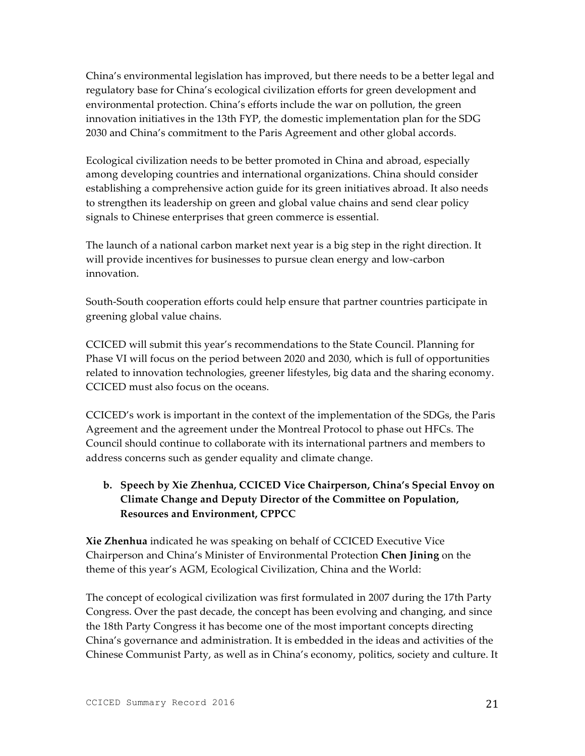China's environmental legislation has improved, but there needs to be a better legal and regulatory base for China's ecological civilization efforts for green development and environmental protection. China's efforts include the war on pollution, the green innovation initiatives in the 13th FYP, the domestic implementation plan for the SDG 2030 and China's commitment to the Paris Agreement and other global accords.

Ecological civilization needs to be better promoted in China and abroad, especially among developing countries and international organizations. China should consider establishing a comprehensive action guide for its green initiatives abroad. It also needs to strengthen its leadership on green and global value chains and send clear policy signals to Chinese enterprises that green commerce is essential.

The launch of a national carbon market next year is a big step in the right direction. It will provide incentives for businesses to pursue clean energy and low-carbon innovation.

South-South cooperation efforts could help ensure that partner countries participate in greening global value chains.

CCICED will submit this year's recommendations to the State Council. Planning for Phase VI will focus on the period between 2020 and 2030, which is full of opportunities related to innovation technologies, greener lifestyles, big data and the sharing economy. CCICED must also focus on the oceans.

CCICED's work is important in the context of the implementation of the SDGs, the Paris Agreement and the agreement under the Montreal Protocol to phase out HFCs. The Council should continue to collaborate with its international partners and members to address concerns such as gender equality and climate change.

## **b. Speech by Xie Zhenhua, CCICED Vice Chairperson, China's Special Envoy on Climate Change and Deputy Director of the Committee on Population, Resources and Environment, CPPCC**

**Xie Zhenhua** indicated he was speaking on behalf of CCICED Executive Vice Chairperson and China's Minister of Environmental Protection **Chen Jining** on the theme of this year's AGM, Ecological Civilization, China and the World:

The concept of ecological civilization was first formulated in 2007 during the 17th Party Congress. Over the past decade, the concept has been evolving and changing, and since the 18th Party Congress it has become one of the most important concepts directing China's governance and administration. It is embedded in the ideas and activities of the Chinese Communist Party, as well as in China's economy, politics, society and culture. It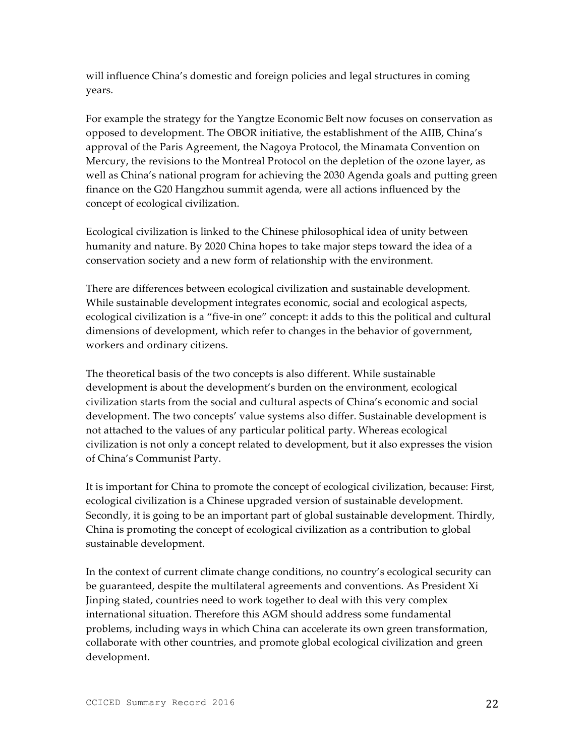will influence China's domestic and foreign policies and legal structures in coming years.

For example the strategy for the Yangtze Economic Belt now focuses on conservation as opposed to development. The OBOR initiative, the establishment of the AIIB, China's approval of the Paris Agreement, the Nagoya Protocol, the Minamata Convention on Mercury, the revisions to the Montreal Protocol on the depletion of the ozone layer, as well as China's national program for achieving the 2030 Agenda goals and putting green finance on the G20 Hangzhou summit agenda, were all actions influenced by the concept of ecological civilization.

Ecological civilization is linked to the Chinese philosophical idea of unity between humanity and nature. By 2020 China hopes to take major steps toward the idea of a conservation society and a new form of relationship with the environment.

There are differences between ecological civilization and sustainable development. While sustainable development integrates economic, social and ecological aspects, ecological civilization is a "five-in one" concept: it adds to this the political and cultural dimensions of development, which refer to changes in the behavior of government, workers and ordinary citizens.

The theoretical basis of the two concepts is also different. While sustainable development is about the development's burden on the environment, ecological civilization starts from the social and cultural aspects of China's economic and social development. The two concepts' value systems also differ. Sustainable development is not attached to the values of any particular political party. Whereas ecological civilization is not only a concept related to development, but it also expresses the vision of China's Communist Party.

It is important for China to promote the concept of ecological civilization, because: First, ecological civilization is a Chinese upgraded version of sustainable development. Secondly, it is going to be an important part of global sustainable development. Thirdly, China is promoting the concept of ecological civilization as a contribution to global sustainable development.

In the context of current climate change conditions, no country's ecological security can be guaranteed, despite the multilateral agreements and conventions. As President Xi Jinping stated, countries need to work together to deal with this very complex international situation. Therefore this AGM should address some fundamental problems, including ways in which China can accelerate its own green transformation, collaborate with other countries, and promote global ecological civilization and green development.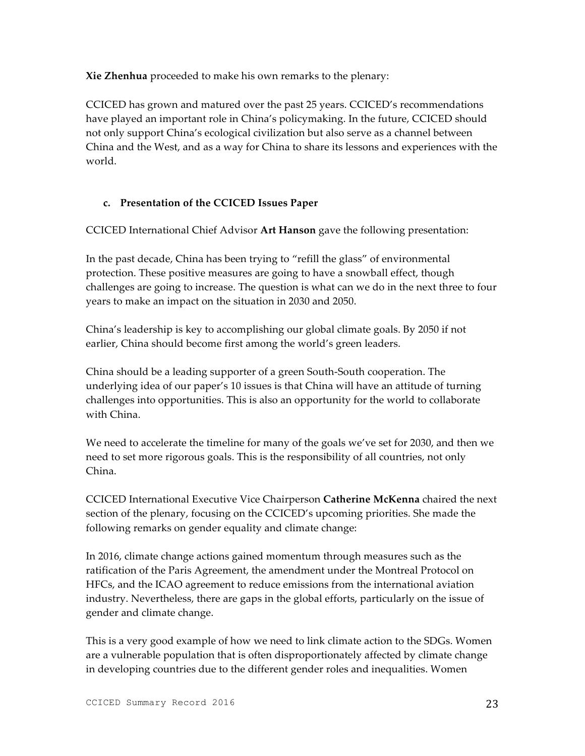**Xie Zhenhua** proceeded to make his own remarks to the plenary:

CCICED has grown and matured over the past 25 years. CCICED's recommendations have played an important role in China's policymaking. In the future, CCICED should not only support China's ecological civilization but also serve as a channel between China and the West, and as a way for China to share its lessons and experiences with the world.

## **c. Presentation of the CCICED Issues Paper**

CCICED International Chief Advisor **Art Hanson** gave the following presentation:

In the past decade, China has been trying to "refill the glass" of environmental protection. These positive measures are going to have a snowball effect, though challenges are going to increase. The question is what can we do in the next three to four years to make an impact on the situation in 2030 and 2050.

China's leadership is key to accomplishing our global climate goals. By 2050 if not earlier, China should become first among the world's green leaders.

China should be a leading supporter of a green South-South cooperation. The underlying idea of our paper's 10 issues is that China will have an attitude of turning challenges into opportunities. This is also an opportunity for the world to collaborate with China.

We need to accelerate the timeline for many of the goals we've set for 2030, and then we need to set more rigorous goals. This is the responsibility of all countries, not only China.

CCICED International Executive Vice Chairperson **Catherine McKenna** chaired the next section of the plenary, focusing on the CCICED's upcoming priorities. She made the following remarks on gender equality and climate change:

In 2016, climate change actions gained momentum through measures such as the ratification of the Paris Agreement, the amendment under the Montreal Protocol on HFCs, and the ICAO agreement to reduce emissions from the international aviation industry. Nevertheless, there are gaps in the global efforts, particularly on the issue of gender and climate change.

This is a very good example of how we need to link climate action to the SDGs. Women are a vulnerable population that is often disproportionately affected by climate change in developing countries due to the different gender roles and inequalities. Women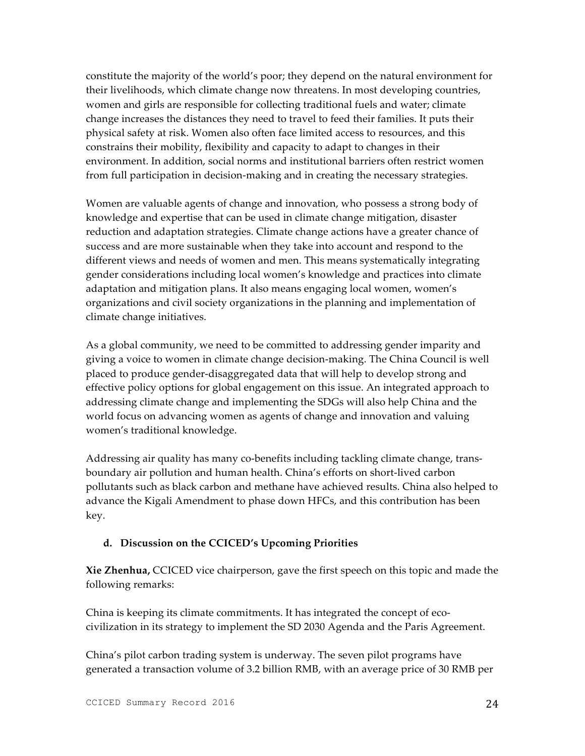constitute the majority of the world's poor; they depend on the natural environment for their livelihoods, which climate change now threatens. In most developing countries, women and girls are responsible for collecting traditional fuels and water; climate change increases the distances they need to travel to feed their families. It puts their physical safety at risk. Women also often face limited access to resources, and this constrains their mobility, flexibility and capacity to adapt to changes in their environment. In addition, social norms and institutional barriers often restrict women from full participation in decision-making and in creating the necessary strategies.

Women are valuable agents of change and innovation, who possess a strong body of knowledge and expertise that can be used in climate change mitigation, disaster reduction and adaptation strategies. Climate change actions have a greater chance of success and are more sustainable when they take into account and respond to the different views and needs of women and men. This means systematically integrating gender considerations including local women's knowledge and practices into climate adaptation and mitigation plans. It also means engaging local women, women's organizations and civil society organizations in the planning and implementation of climate change initiatives.

As a global community, we need to be committed to addressing gender imparity and giving a voice to women in climate change decision-making. The China Council is well placed to produce gender-disaggregated data that will help to develop strong and effective policy options for global engagement on this issue. An integrated approach to addressing climate change and implementing the SDGs will also help China and the world focus on advancing women as agents of change and innovation and valuing women's traditional knowledge.

Addressing air quality has many co-benefits including tackling climate change, transboundary air pollution and human health. China's efforts on short-lived carbon pollutants such as black carbon and methane have achieved results. China also helped to advance the Kigali Amendment to phase down HFCs, and this contribution has been key.

#### **d. Discussion on the CCICED's Upcoming Priorities**

**Xie Zhenhua,** CCICED vice chairperson, gave the first speech on this topic and made the following remarks:

China is keeping its climate commitments. It has integrated the concept of ecocivilization in its strategy to implement the SD 2030 Agenda and the Paris Agreement.

China's pilot carbon trading system is underway. The seven pilot programs have generated a transaction volume of 3.2 billion RMB, with an average price of 30 RMB per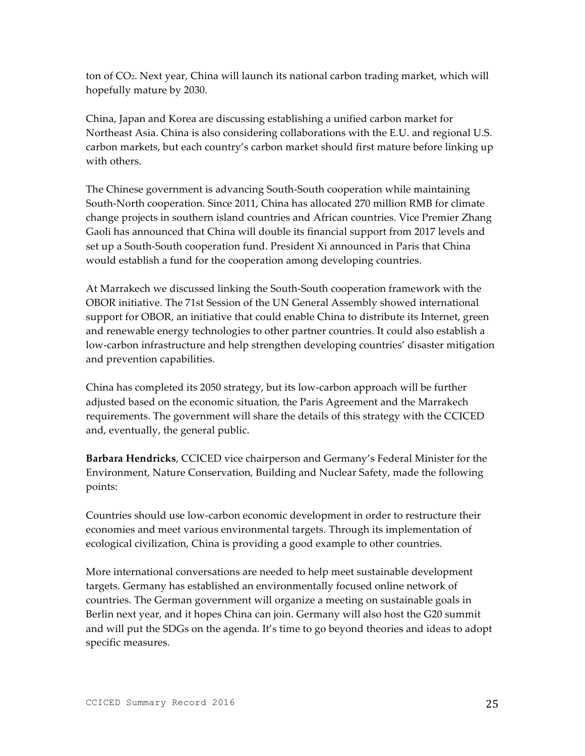ton of CO2. Next year, China will launch its national carbon trading market, which will hopefully mature by 2030.

China, Japan and Korea are discussing establishing a unified carbon market for Northeast Asia. China is also considering collaborations with the E.U. and regional U.S. carbon markets, but each country's carbon market should first mature before linking up with others.

The Chinese government is advancing South-South cooperation while maintaining South-North cooperation. Since 2011, China has allocated 270 million RMB for climate change projects in southern island countries and African countries. Vice Premier Zhang Gaoli has announced that China will double its financial support from 2017 levels and set up a South-South cooperation fund. President Xi announced in Paris that China would establish a fund for the cooperation among developing countries.

At Marrakech we discussed linking the South-South cooperation framework with the OBOR initiative. The 71st Session of the UN General Assembly showed international support for OBOR, an initiative that could enable China to distribute its Internet, green and renewable energy technologies to other partner countries. It could also establish a low-carbon infrastructure and help strengthen developing countries' disaster mitigation and prevention capabilities.

China has completed its 2050 strategy, but its low-carbon approach will be further adjusted based on the economic situation, the Paris Agreement and the Marrakech requirements. The government will share the details of this strategy with the CCICED and, eventually, the general public.

**Barbara Hendricks**, CCICED vice chairperson and Germany's Federal Minister for the Environment, Nature Conservation, Building and Nuclear Safety, made the following points:

Countries should use low-carbon economic development in order to restructure their economies and meet various environmental targets. Through its implementation of ecological civilization, China is providing a good example to other countries.

More international conversations are needed to help meet sustainable development targets. Germany has established an environmentally focused online network of countries. The German government will organize a meeting on sustainable goals in Berlin next year, and it hopes China can join. Germany will also host the G20 summit and will put the SDGs on the agenda. It's time to go beyond theories and ideas to adopt specific measures.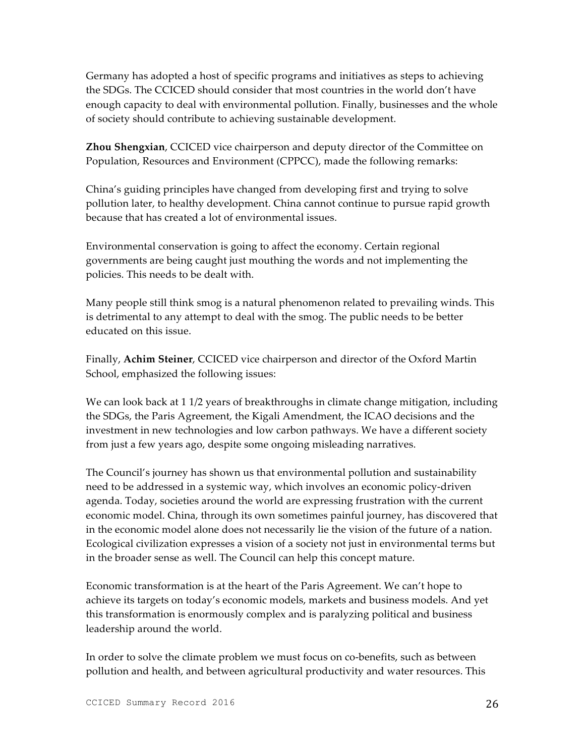Germany has adopted a host of specific programs and initiatives as steps to achieving the SDGs. The CCICED should consider that most countries in the world don't have enough capacity to deal with environmental pollution. Finally, businesses and the whole of society should contribute to achieving sustainable development.

**Zhou Shengxian**, CCICED vice chairperson and deputy director of the Committee on Population, Resources and Environment (CPPCC), made the following remarks:

China's guiding principles have changed from developing first and trying to solve pollution later, to healthy development. China cannot continue to pursue rapid growth because that has created a lot of environmental issues.

Environmental conservation is going to affect the economy. Certain regional governments are being caught just mouthing the words and not implementing the policies. This needs to be dealt with.

Many people still think smog is a natural phenomenon related to prevailing winds. This is detrimental to any attempt to deal with the smog. The public needs to be better educated on this issue.

Finally, **Achim Steiner**, CCICED vice chairperson and director of the Oxford Martin School, emphasized the following issues:

We can look back at 1 1/2 years of breakthroughs in climate change mitigation, including the SDGs, the Paris Agreement, the Kigali Amendment, the ICAO decisions and the investment in new technologies and low carbon pathways. We have a different society from just a few years ago, despite some ongoing misleading narratives.

The Council's journey has shown us that environmental pollution and sustainability need to be addressed in a systemic way, which involves an economic policy-driven agenda. Today, societies around the world are expressing frustration with the current economic model. China, through its own sometimes painful journey, has discovered that in the economic model alone does not necessarily lie the vision of the future of a nation. Ecological civilization expresses a vision of a society not just in environmental terms but in the broader sense as well. The Council can help this concept mature.

Economic transformation is at the heart of the Paris Agreement. We can't hope to achieve its targets on today's economic models, markets and business models. And yet this transformation is enormously complex and is paralyzing political and business leadership around the world.

In order to solve the climate problem we must focus on co-benefits, such as between pollution and health, and between agricultural productivity and water resources. This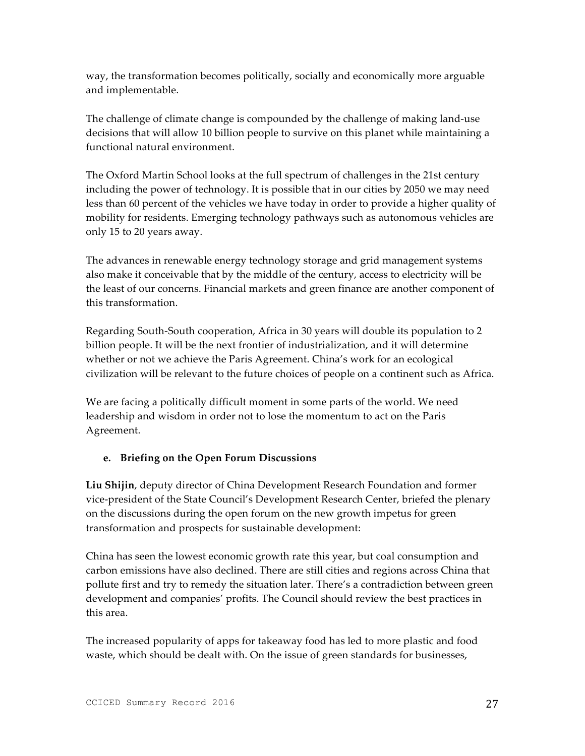way, the transformation becomes politically, socially and economically more arguable and implementable.

The challenge of climate change is compounded by the challenge of making land-use decisions that will allow 10 billion people to survive on this planet while maintaining a functional natural environment.

The Oxford Martin School looks at the full spectrum of challenges in the 21st century including the power of technology. It is possible that in our cities by 2050 we may need less than 60 percent of the vehicles we have today in order to provide a higher quality of mobility for residents. Emerging technology pathways such as autonomous vehicles are only 15 to 20 years away.

The advances in renewable energy technology storage and grid management systems also make it conceivable that by the middle of the century, access to electricity will be the least of our concerns. Financial markets and green finance are another component of this transformation.

Regarding South-South cooperation, Africa in 30 years will double its population to 2 billion people. It will be the next frontier of industrialization, and it will determine whether or not we achieve the Paris Agreement. China's work for an ecological civilization will be relevant to the future choices of people on a continent such as Africa.

We are facing a politically difficult moment in some parts of the world. We need leadership and wisdom in order not to lose the momentum to act on the Paris Agreement.

## **e. Briefing on the Open Forum Discussions**

**Liu Shijin**, deputy director of China Development Research Foundation and former vice-president of the State Council's Development Research Center, briefed the plenary on the discussions during the open forum on the new growth impetus for green transformation and prospects for sustainable development:

China has seen the lowest economic growth rate this year, but coal consumption and carbon emissions have also declined. There are still cities and regions across China that pollute first and try to remedy the situation later. There's a contradiction between green development and companies' profits. The Council should review the best practices in this area.

The increased popularity of apps for takeaway food has led to more plastic and food waste, which should be dealt with. On the issue of green standards for businesses,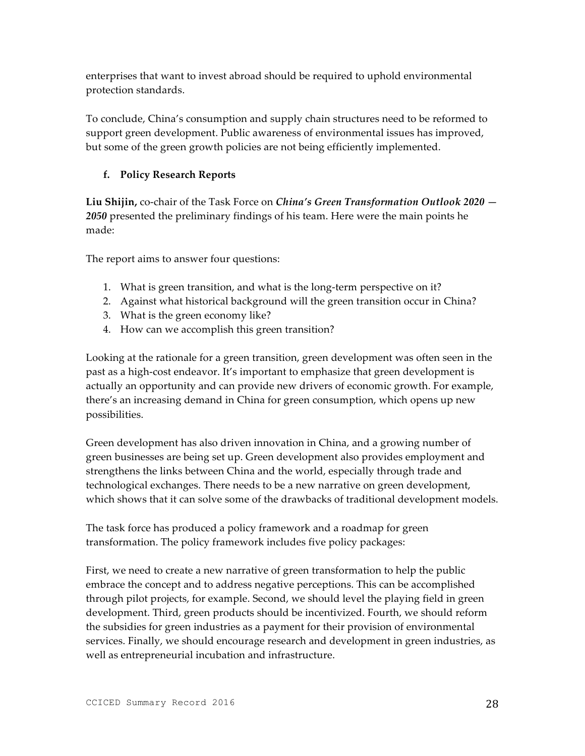enterprises that want to invest abroad should be required to uphold environmental protection standards.

To conclude, China's consumption and supply chain structures need to be reformed to support green development. Public awareness of environmental issues has improved, but some of the green growth policies are not being efficiently implemented.

## **f. Policy Research Reports**

**Liu Shijin,** co-chair of the Task Force on *China's Green Transformation Outlook 2020 — 2050* presented the preliminary findings of his team. Here were the main points he made:

The report aims to answer four questions:

- 1. What is green transition, and what is the long-term perspective on it?
- 2. Against what historical background will the green transition occur in China?
- 3. What is the green economy like?
- 4. How can we accomplish this green transition?

Looking at the rationale for a green transition, green development was often seen in the past as a high-cost endeavor. It's important to emphasize that green development is actually an opportunity and can provide new drivers of economic growth. For example, there's an increasing demand in China for green consumption, which opens up new possibilities.

Green development has also driven innovation in China, and a growing number of green businesses are being set up. Green development also provides employment and strengthens the links between China and the world, especially through trade and technological exchanges. There needs to be a new narrative on green development, which shows that it can solve some of the drawbacks of traditional development models.

The task force has produced a policy framework and a roadmap for green transformation. The policy framework includes five policy packages:

First, we need to create a new narrative of green transformation to help the public embrace the concept and to address negative perceptions. This can be accomplished through pilot projects, for example. Second, we should level the playing field in green development. Third, green products should be incentivized. Fourth, we should reform the subsidies for green industries as a payment for their provision of environmental services. Finally, we should encourage research and development in green industries, as well as entrepreneurial incubation and infrastructure.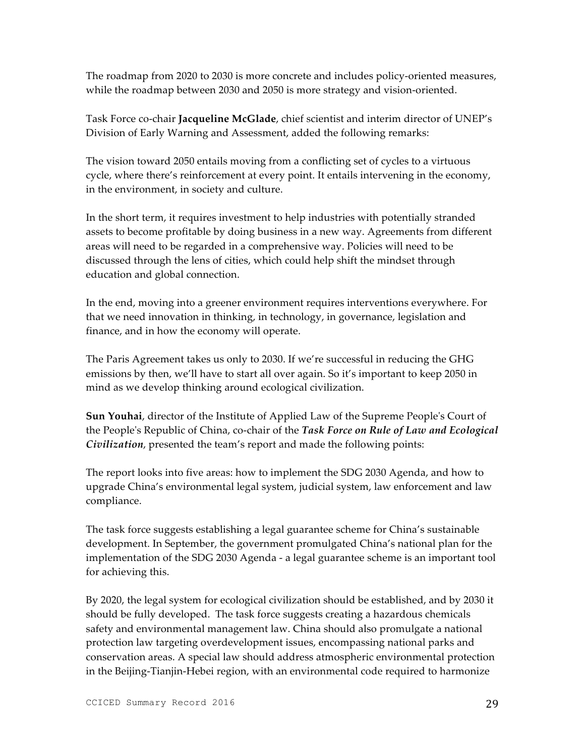The roadmap from 2020 to 2030 is more concrete and includes policy-oriented measures, while the roadmap between 2030 and 2050 is more strategy and vision-oriented.

Task Force co-chair **Jacqueline McGlade**, chief scientist and interim director of UNEP's Division of Early Warning and Assessment, added the following remarks:

The vision toward 2050 entails moving from a conflicting set of cycles to a virtuous cycle, where there's reinforcement at every point. It entails intervening in the economy, in the environment, in society and culture.

In the short term, it requires investment to help industries with potentially stranded assets to become profitable by doing business in a new way. Agreements from different areas will need to be regarded in a comprehensive way. Policies will need to be discussed through the lens of cities, which could help shift the mindset through education and global connection.

In the end, moving into a greener environment requires interventions everywhere. For that we need innovation in thinking, in technology, in governance, legislation and finance, and in how the economy will operate.

The Paris Agreement takes us only to 2030. If we're successful in reducing the GHG emissions by then, we'll have to start all over again. So it's important to keep 2050 in mind as we develop thinking around ecological civilization.

**Sun Youhai**, director of the Institute of Applied Law of the Supreme People's Court of the People's Republic of China, co-chair of the *Task Force on Rule of Law and Ecological Civilization*, presented the team's report and made the following points:

The report looks into five areas: how to implement the SDG 2030 Agenda, and how to upgrade China's environmental legal system, judicial system, law enforcement and law compliance.

The task force suggests establishing a legal guarantee scheme for China's sustainable development. In September, the government promulgated China's national plan for the implementation of the SDG 2030 Agenda - a legal guarantee scheme is an important tool for achieving this.

By 2020, the legal system for ecological civilization should be established, and by 2030 it should be fully developed. The task force suggests creating a hazardous chemicals safety and environmental management law. China should also promulgate a national protection law targeting overdevelopment issues, encompassing national parks and conservation areas. A special law should address atmospheric environmental protection in the Beijing-Tianjin-Hebei region, with an environmental code required to harmonize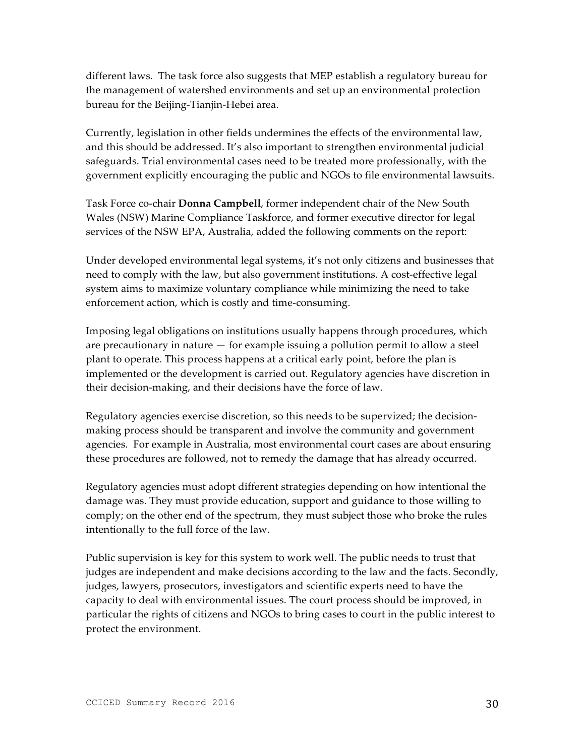different laws. The task force also suggests that MEP establish a regulatory bureau for the management of watershed environments and set up an environmental protection bureau for the Beijing-Tianjin-Hebei area.

Currently, legislation in other fields undermines the effects of the environmental law, and this should be addressed. It's also important to strengthen environmental judicial safeguards. Trial environmental cases need to be treated more professionally, with the government explicitly encouraging the public and NGOs to file environmental lawsuits.

Task Force co-chair **Donna Campbell**, former independent chair of the New South Wales (NSW) Marine Compliance Taskforce, and former executive director for legal services of the NSW EPA, Australia, added the following comments on the report:

Under developed environmental legal systems, it's not only citizens and businesses that need to comply with the law, but also government institutions. A cost-effective legal system aims to maximize voluntary compliance while minimizing the need to take enforcement action, which is costly and time-consuming.

Imposing legal obligations on institutions usually happens through procedures, which are precautionary in nature — for example issuing a pollution permit to allow a steel plant to operate. This process happens at a critical early point, before the plan is implemented or the development is carried out. Regulatory agencies have discretion in their decision-making, and their decisions have the force of law.

Regulatory agencies exercise discretion, so this needs to be supervized; the decisionmaking process should be transparent and involve the community and government agencies. For example in Australia, most environmental court cases are about ensuring these procedures are followed, not to remedy the damage that has already occurred.

Regulatory agencies must adopt different strategies depending on how intentional the damage was. They must provide education, support and guidance to those willing to comply; on the other end of the spectrum, they must subject those who broke the rules intentionally to the full force of the law.

Public supervision is key for this system to work well. The public needs to trust that judges are independent and make decisions according to the law and the facts. Secondly, judges, lawyers, prosecutors, investigators and scientific experts need to have the capacity to deal with environmental issues. The court process should be improved, in particular the rights of citizens and NGOs to bring cases to court in the public interest to protect the environment.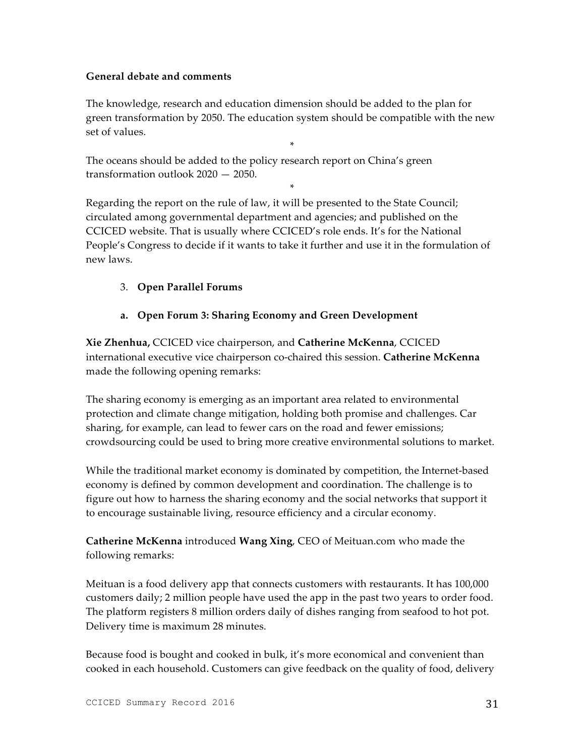#### **General debate and comments**

The knowledge, research and education dimension should be added to the plan for green transformation by 2050. The education system should be compatible with the new set of values.

\*

The oceans should be added to the policy research report on China's green transformation outlook 2020 — 2050.

\*

Regarding the report on the rule of law, it will be presented to the State Council; circulated among governmental department and agencies; and published on the CCICED website. That is usually where CCICED's role ends. It's for the National People's Congress to decide if it wants to take it further and use it in the formulation of new laws.

## 3. **Open Parallel Forums**

## **a. Open Forum 3: Sharing Economy and Green Development**

**Xie Zhenhua,** CCICED vice chairperson, and **Catherine McKenna**, CCICED international executive vice chairperson co-chaired this session. **Catherine McKenna**  made the following opening remarks:

The sharing economy is emerging as an important area related to environmental protection and climate change mitigation, holding both promise and challenges. Car sharing, for example, can lead to fewer cars on the road and fewer emissions; crowdsourcing could be used to bring more creative environmental solutions to market.

While the traditional market economy is dominated by competition, the Internet-based economy is defined by common development and coordination. The challenge is to figure out how to harness the sharing economy and the social networks that support it to encourage sustainable living, resource efficiency and a circular economy.

**Catherine McKenna** introduced **Wang Xing**, CEO of Meituan.com who made the following remarks:

Meituan is a food delivery app that connects customers with restaurants. It has 100,000 customers daily; 2 million people have used the app in the past two years to order food. The platform registers 8 million orders daily of dishes ranging from seafood to hot pot. Delivery time is maximum 28 minutes.

Because food is bought and cooked in bulk, it's more economical and convenient than cooked in each household. Customers can give feedback on the quality of food, delivery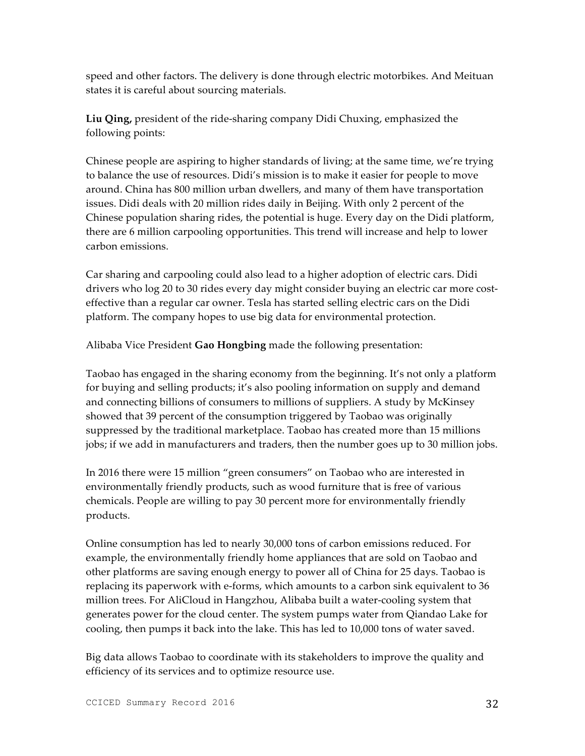speed and other factors. The delivery is done through electric motorbikes. And Meituan states it is careful about sourcing materials.

**Liu Qing,** president of the ride-sharing company Didi Chuxing, emphasized the following points:

Chinese people are aspiring to higher standards of living; at the same time, we're trying to balance the use of resources. Didi's mission is to make it easier for people to move around. China has 800 million urban dwellers, and many of them have transportation issues. Didi deals with 20 million rides daily in Beijing. With only 2 percent of the Chinese population sharing rides, the potential is huge. Every day on the Didi platform, there are 6 million carpooling opportunities. This trend will increase and help to lower carbon emissions.

Car sharing and carpooling could also lead to a higher adoption of electric cars. Didi drivers who log 20 to 30 rides every day might consider buying an electric car more costeffective than a regular car owner. Tesla has started selling electric cars on the Didi platform. The company hopes to use big data for environmental protection.

Alibaba Vice President **Gao Hongbing** made the following presentation:

Taobao has engaged in the sharing economy from the beginning. It's not only a platform for buying and selling products; it's also pooling information on supply and demand and connecting billions of consumers to millions of suppliers. A study by McKinsey showed that 39 percent of the consumption triggered by Taobao was originally suppressed by the traditional marketplace. Taobao has created more than 15 millions jobs; if we add in manufacturers and traders, then the number goes up to 30 million jobs.

In 2016 there were 15 million "green consumers" on Taobao who are interested in environmentally friendly products, such as wood furniture that is free of various chemicals. People are willing to pay 30 percent more for environmentally friendly products.

Online consumption has led to nearly 30,000 tons of carbon emissions reduced. For example, the environmentally friendly home appliances that are sold on Taobao and other platforms are saving enough energy to power all of China for 25 days. Taobao is replacing its paperwork with e-forms, which amounts to a carbon sink equivalent to 36 million trees. For AliCloud in Hangzhou, Alibaba built a water-cooling system that generates power for the cloud center. The system pumps water from Qiandao Lake for cooling, then pumps it back into the lake. This has led to 10,000 tons of water saved.

Big data allows Taobao to coordinate with its stakeholders to improve the quality and efficiency of its services and to optimize resource use.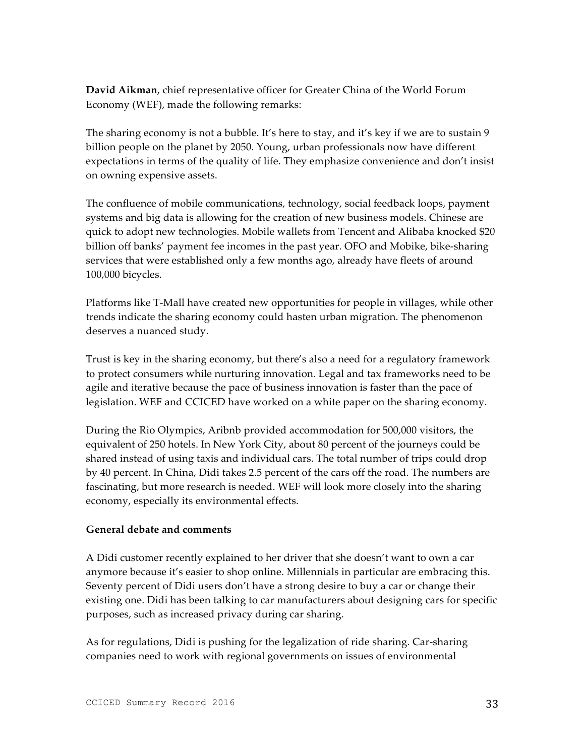**David Aikman**, chief representative officer for Greater China of the World Forum Economy (WEF), made the following remarks:

The sharing economy is not a bubble. It's here to stay, and it's key if we are to sustain 9 billion people on the planet by 2050. Young, urban professionals now have different expectations in terms of the quality of life. They emphasize convenience and don't insist on owning expensive assets.

The confluence of mobile communications, technology, social feedback loops, payment systems and big data is allowing for the creation of new business models. Chinese are quick to adopt new technologies. Mobile wallets from Tencent and Alibaba knocked \$20 billion off banks' payment fee incomes in the past year. OFO and Mobike, bike-sharing services that were established only a few months ago, already have fleets of around 100,000 bicycles.

Platforms like T-Mall have created new opportunities for people in villages, while other trends indicate the sharing economy could hasten urban migration. The phenomenon deserves a nuanced study.

Trust is key in the sharing economy, but there's also a need for a regulatory framework to protect consumers while nurturing innovation. Legal and tax frameworks need to be agile and iterative because the pace of business innovation is faster than the pace of legislation. WEF and CCICED have worked on a white paper on the sharing economy.

During the Rio Olympics, Aribnb provided accommodation for 500,000 visitors, the equivalent of 250 hotels. In New York City, about 80 percent of the journeys could be shared instead of using taxis and individual cars. The total number of trips could drop by 40 percent. In China, Didi takes 2.5 percent of the cars off the road. The numbers are fascinating, but more research is needed. WEF will look more closely into the sharing economy, especially its environmental effects.

#### **General debate and comments**

A Didi customer recently explained to her driver that she doesn't want to own a car anymore because it's easier to shop online. Millennials in particular are embracing this. Seventy percent of Didi users don't have a strong desire to buy a car or change their existing one. Didi has been talking to car manufacturers about designing cars for specific purposes, such as increased privacy during car sharing.

As for regulations, Didi is pushing for the legalization of ride sharing. Car-sharing companies need to work with regional governments on issues of environmental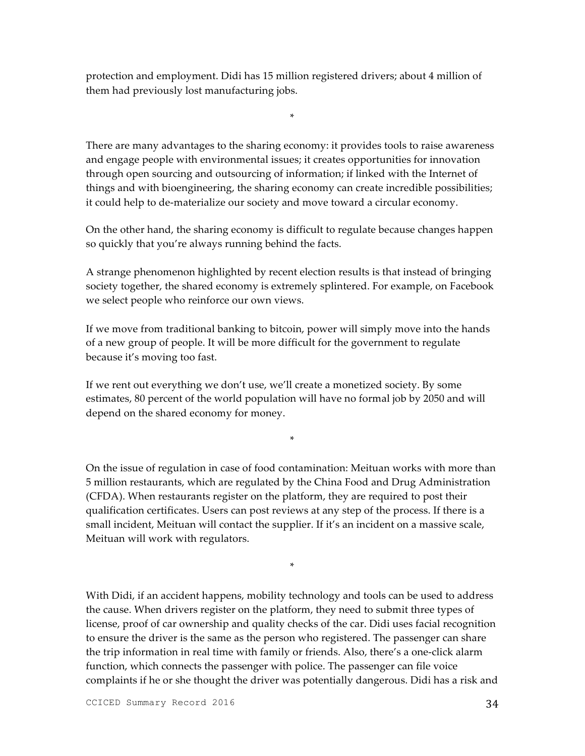protection and employment. Didi has 15 million registered drivers; about 4 million of them had previously lost manufacturing jobs.

There are many advantages to the sharing economy: it provides tools to raise awareness and engage people with environmental issues; it creates opportunities for innovation through open sourcing and outsourcing of information; if linked with the Internet of things and with bioengineering, the sharing economy can create incredible possibilities; it could help to de-materialize our society and move toward a circular economy.

\*

On the other hand, the sharing economy is difficult to regulate because changes happen so quickly that you're always running behind the facts.

A strange phenomenon highlighted by recent election results is that instead of bringing society together, the shared economy is extremely splintered. For example, on Facebook we select people who reinforce our own views.

If we move from traditional banking to bitcoin, power will simply move into the hands of a new group of people. It will be more difficult for the government to regulate because it's moving too fast.

If we rent out everything we don't use, we'll create a monetized society. By some estimates, 80 percent of the world population will have no formal job by 2050 and will depend on the shared economy for money.

\*

On the issue of regulation in case of food contamination: Meituan works with more than 5 million restaurants, which are regulated by the China Food and Drug Administration (CFDA). When restaurants register on the platform, they are required to post their qualification certificates. Users can post reviews at any step of the process. If there is a small incident, Meituan will contact the supplier. If it's an incident on a massive scale, Meituan will work with regulators.

\*

With Didi, if an accident happens, mobility technology and tools can be used to address the cause. When drivers register on the platform, they need to submit three types of license, proof of car ownership and quality checks of the car. Didi uses facial recognition to ensure the driver is the same as the person who registered. The passenger can share the trip information in real time with family or friends. Also, there's a one-click alarm function, which connects the passenger with police. The passenger can file voice complaints if he or she thought the driver was potentially dangerous. Didi has a risk and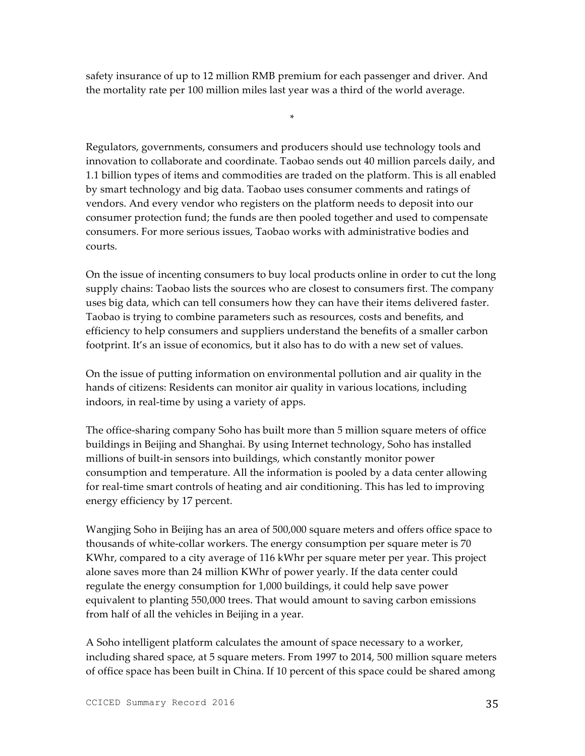safety insurance of up to 12 million RMB premium for each passenger and driver. And the mortality rate per 100 million miles last year was a third of the world average.

\*

Regulators, governments, consumers and producers should use technology tools and innovation to collaborate and coordinate. Taobao sends out 40 million parcels daily, and 1.1 billion types of items and commodities are traded on the platform. This is all enabled by smart technology and big data. Taobao uses consumer comments and ratings of vendors. And every vendor who registers on the platform needs to deposit into our consumer protection fund; the funds are then pooled together and used to compensate consumers. For more serious issues, Taobao works with administrative bodies and courts.

On the issue of incenting consumers to buy local products online in order to cut the long supply chains: Taobao lists the sources who are closest to consumers first. The company uses big data, which can tell consumers how they can have their items delivered faster. Taobao is trying to combine parameters such as resources, costs and benefits, and efficiency to help consumers and suppliers understand the benefits of a smaller carbon footprint. It's an issue of economics, but it also has to do with a new set of values.

On the issue of putting information on environmental pollution and air quality in the hands of citizens: Residents can monitor air quality in various locations, including indoors, in real-time by using a variety of apps.

The office-sharing company Soho has built more than 5 million square meters of office buildings in Beijing and Shanghai. By using Internet technology, Soho has installed millions of built-in sensors into buildings, which constantly monitor power consumption and temperature. All the information is pooled by a data center allowing for real-time smart controls of heating and air conditioning. This has led to improving energy efficiency by 17 percent.

Wangjing Soho in Beijing has an area of 500,000 square meters and offers office space to thousands of white-collar workers. The energy consumption per square meter is 70 KWhr, compared to a city average of 116 kWhr per square meter per year. This project alone saves more than 24 million KWhr of power yearly. If the data center could regulate the energy consumption for 1,000 buildings, it could help save power equivalent to planting 550,000 trees. That would amount to saving carbon emissions from half of all the vehicles in Beijing in a year.

A Soho intelligent platform calculates the amount of space necessary to a worker, including shared space, at 5 square meters. From 1997 to 2014, 500 million square meters of office space has been built in China. If 10 percent of this space could be shared among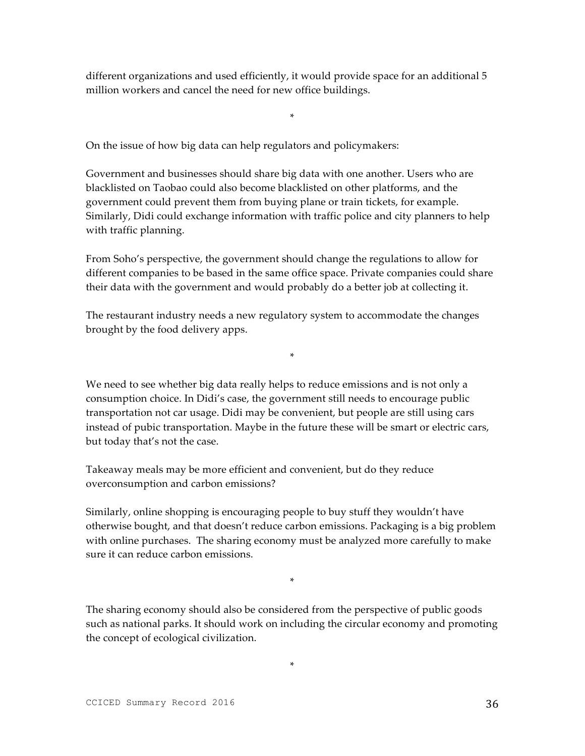different organizations and used efficiently, it would provide space for an additional 5 million workers and cancel the need for new office buildings.

\*

On the issue of how big data can help regulators and policymakers:

Government and businesses should share big data with one another. Users who are blacklisted on Taobao could also become blacklisted on other platforms, and the government could prevent them from buying plane or train tickets, for example. Similarly, Didi could exchange information with traffic police and city planners to help with traffic planning.

From Soho's perspective, the government should change the regulations to allow for different companies to be based in the same office space. Private companies could share their data with the government and would probably do a better job at collecting it.

The restaurant industry needs a new regulatory system to accommodate the changes brought by the food delivery apps.

\*

We need to see whether big data really helps to reduce emissions and is not only a consumption choice. In Didi's case, the government still needs to encourage public transportation not car usage. Didi may be convenient, but people are still using cars instead of pubic transportation. Maybe in the future these will be smart or electric cars, but today that's not the case.

Takeaway meals may be more efficient and convenient, but do they reduce overconsumption and carbon emissions?

Similarly, online shopping is encouraging people to buy stuff they wouldn't have otherwise bought, and that doesn't reduce carbon emissions. Packaging is a big problem with online purchases. The sharing economy must be analyzed more carefully to make sure it can reduce carbon emissions.

\*

The sharing economy should also be considered from the perspective of public goods such as national parks. It should work on including the circular economy and promoting the concept of ecological civilization.

\*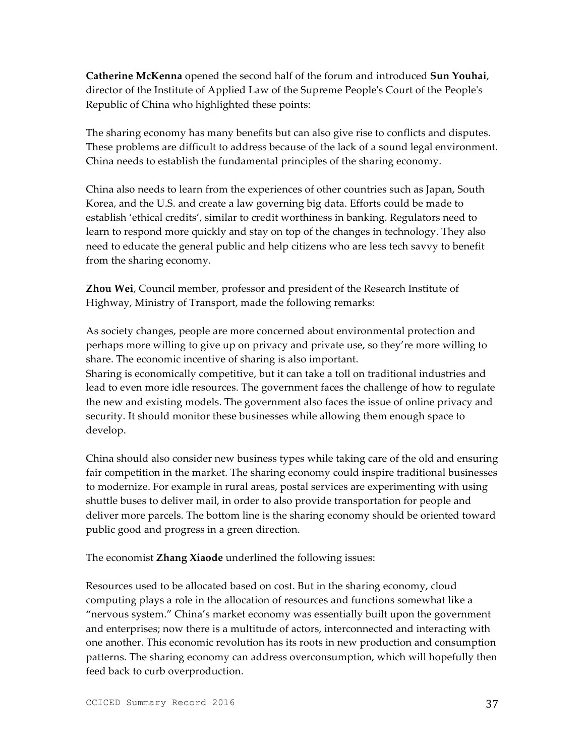**Catherine McKenna** opened the second half of the forum and introduced **Sun Youhai**, director of the Institute of Applied Law of the Supreme People's Court of the People's Republic of China who highlighted these points:

The sharing economy has many benefits but can also give rise to conflicts and disputes. These problems are difficult to address because of the lack of a sound legal environment. China needs to establish the fundamental principles of the sharing economy.

China also needs to learn from the experiences of other countries such as Japan, South Korea, and the U.S. and create a law governing big data. Efforts could be made to establish 'ethical credits', similar to credit worthiness in banking. Regulators need to learn to respond more quickly and stay on top of the changes in technology. They also need to educate the general public and help citizens who are less tech savvy to benefit from the sharing economy.

**Zhou Wei**, Council member, professor and president of the Research Institute of Highway, Ministry of Transport, made the following remarks:

As society changes, people are more concerned about environmental protection and perhaps more willing to give up on privacy and private use, so they're more willing to share. The economic incentive of sharing is also important.

Sharing is economically competitive, but it can take a toll on traditional industries and lead to even more idle resources. The government faces the challenge of how to regulate the new and existing models. The government also faces the issue of online privacy and security. It should monitor these businesses while allowing them enough space to develop.

China should also consider new business types while taking care of the old and ensuring fair competition in the market. The sharing economy could inspire traditional businesses to modernize. For example in rural areas, postal services are experimenting with using shuttle buses to deliver mail, in order to also provide transportation for people and deliver more parcels. The bottom line is the sharing economy should be oriented toward public good and progress in a green direction.

The economist **Zhang Xiaode** underlined the following issues:

Resources used to be allocated based on cost. But in the sharing economy, cloud computing plays a role in the allocation of resources and functions somewhat like a "nervous system." China's market economy was essentially built upon the government and enterprises; now there is a multitude of actors, interconnected and interacting with one another. This economic revolution has its roots in new production and consumption patterns. The sharing economy can address overconsumption, which will hopefully then feed back to curb overproduction.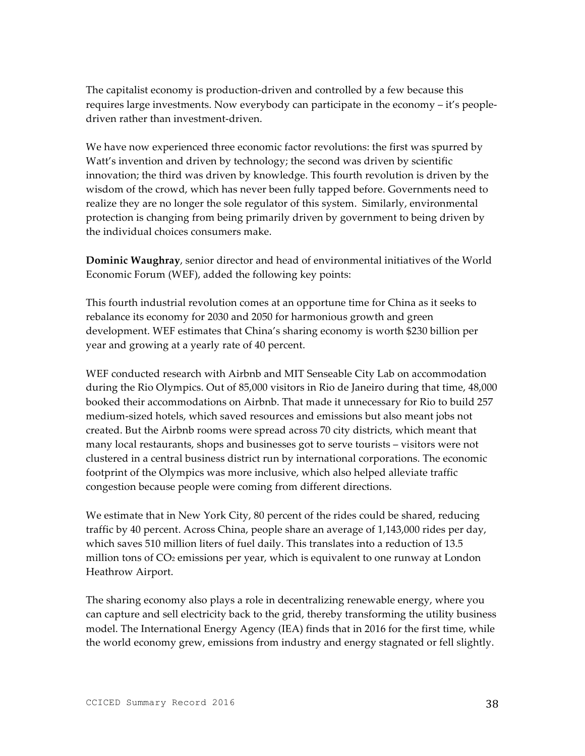The capitalist economy is production-driven and controlled by a few because this requires large investments. Now everybody can participate in the economy – it's peopledriven rather than investment-driven.

We have now experienced three economic factor revolutions: the first was spurred by Watt's invention and driven by technology; the second was driven by scientific innovation; the third was driven by knowledge. This fourth revolution is driven by the wisdom of the crowd, which has never been fully tapped before. Governments need to realize they are no longer the sole regulator of this system. Similarly, environmental protection is changing from being primarily driven by government to being driven by the individual choices consumers make.

**Dominic Waughray**, senior director and head of environmental initiatives of the World Economic Forum (WEF), added the following key points:

This fourth industrial revolution comes at an opportune time for China as it seeks to rebalance its economy for 2030 and 2050 for harmonious growth and green development. WEF estimates that China's sharing economy is worth \$230 billion per year and growing at a yearly rate of 40 percent.

WEF conducted research with Airbnb and MIT Senseable City Lab on accommodation during the Rio Olympics. Out of 85,000 visitors in Rio de Janeiro during that time, 48,000 booked their accommodations on Airbnb. That made it unnecessary for Rio to build 257 medium-sized hotels, which saved resources and emissions but also meant jobs not created. But the Airbnb rooms were spread across 70 city districts, which meant that many local restaurants, shops and businesses got to serve tourists – visitors were not clustered in a central business district run by international corporations. The economic footprint of the Olympics was more inclusive, which also helped alleviate traffic congestion because people were coming from different directions.

We estimate that in New York City, 80 percent of the rides could be shared, reducing traffic by 40 percent. Across China, people share an average of 1,143,000 rides per day, which saves 510 million liters of fuel daily. This translates into a reduction of 13.5 million tons of  $CO<sub>2</sub>$  emissions per year, which is equivalent to one runway at London Heathrow Airport.

The sharing economy also plays a role in decentralizing renewable energy, where you can capture and sell electricity back to the grid, thereby transforming the utility business model. The International Energy Agency (IEA) finds that in 2016 for the first time, while the world economy grew, emissions from industry and energy stagnated or fell slightly.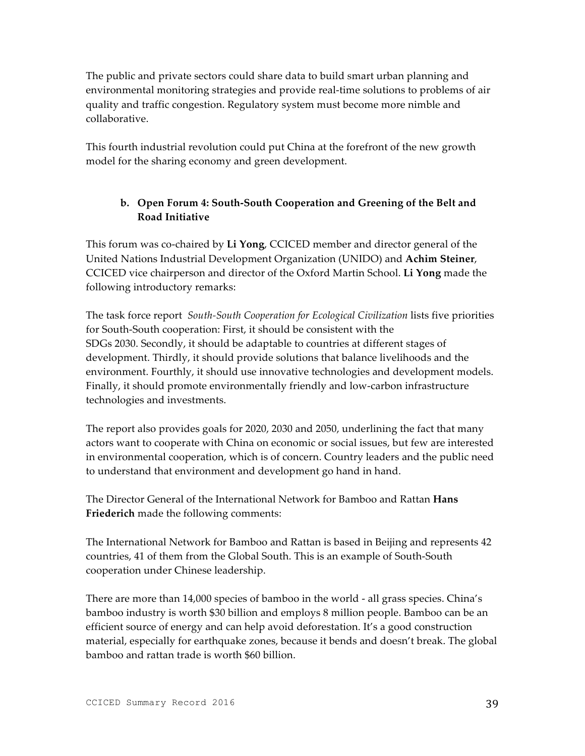The public and private sectors could share data to build smart urban planning and environmental monitoring strategies and provide real-time solutions to problems of air quality and traffic congestion. Regulatory system must become more nimble and collaborative.

This fourth industrial revolution could put China at the forefront of the new growth model for the sharing economy and green development.

# **b. Open Forum 4: South-South Cooperation and Greening of the Belt and Road Initiative**

This forum was co-chaired by **Li Yong**, CCICED member and director general of the United Nations Industrial Development Organization (UNIDO) and **Achim Steiner**, CCICED vice chairperson and director of the Oxford Martin School. **Li Yong** made the following introductory remarks:

The task force report *South-South Cooperation for Ecological Civilization* lists five priorities for South-South cooperation: First, it should be consistent with the SDGs 2030. Secondly, it should be adaptable to countries at different stages of development. Thirdly, it should provide solutions that balance livelihoods and the environment. Fourthly, it should use innovative technologies and development models. Finally, it should promote environmentally friendly and low-carbon infrastructure technologies and investments.

The report also provides goals for 2020, 2030 and 2050, underlining the fact that many actors want to cooperate with China on economic or social issues, but few are interested in environmental cooperation, which is of concern. Country leaders and the public need to understand that environment and development go hand in hand.

The Director General of the International Network for Bamboo and Rattan **Hans Friederich** made the following comments:

The International Network for Bamboo and Rattan is based in Beijing and represents 42 countries, 41 of them from the Global South. This is an example of South-South cooperation under Chinese leadership.

There are more than 14,000 species of bamboo in the world - all grass species. China's bamboo industry is worth \$30 billion and employs 8 million people. Bamboo can be an efficient source of energy and can help avoid deforestation. It's a good construction material, especially for earthquake zones, because it bends and doesn't break. The global bamboo and rattan trade is worth \$60 billion.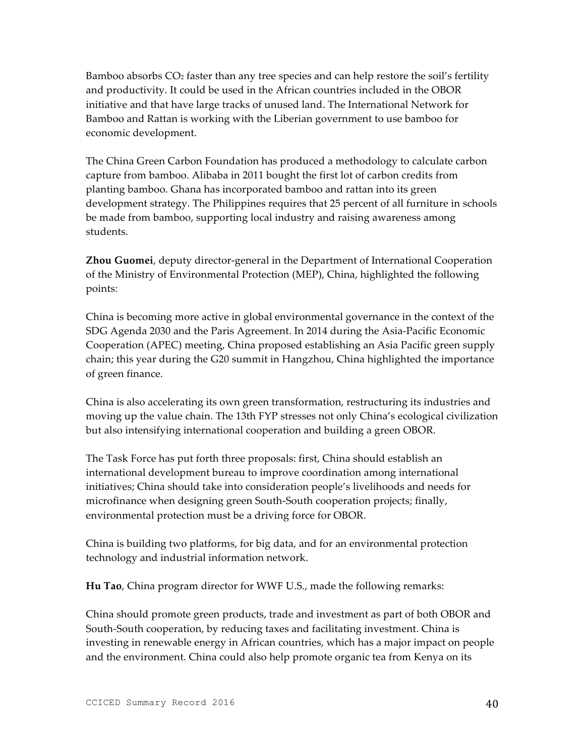Bamboo absorbs CO2 faster than any tree species and can help restore the soil's fertility and productivity. It could be used in the African countries included in the OBOR initiative and that have large tracks of unused land. The International Network for Bamboo and Rattan is working with the Liberian government to use bamboo for economic development.

The China Green Carbon Foundation has produced a methodology to calculate carbon capture from bamboo. Alibaba in 2011 bought the first lot of carbon credits from planting bamboo. Ghana has incorporated bamboo and rattan into its green development strategy. The Philippines requires that 25 percent of all furniture in schools be made from bamboo, supporting local industry and raising awareness among students.

**Zhou Guomei**, deputy director-general in the Department of International Cooperation of the Ministry of Environmental Protection (MEP), China, highlighted the following points:

China is becoming more active in global environmental governance in the context of the SDG Agenda 2030 and the Paris Agreement. In 2014 during the Asia-Pacific Economic Cooperation (APEC) meeting, China proposed establishing an Asia Pacific green supply chain; this year during the G20 summit in Hangzhou, China highlighted the importance of green finance.

China is also accelerating its own green transformation, restructuring its industries and moving up the value chain. The 13th FYP stresses not only China's ecological civilization but also intensifying international cooperation and building a green OBOR.

The Task Force has put forth three proposals: first, China should establish an international development bureau to improve coordination among international initiatives; China should take into consideration people's livelihoods and needs for microfinance when designing green South-South cooperation projects; finally, environmental protection must be a driving force for OBOR.

China is building two platforms, for big data, and for an environmental protection technology and industrial information network.

**Hu Tao**, China program director for WWF U.S., made the following remarks:

China should promote green products, trade and investment as part of both OBOR and South-South cooperation, by reducing taxes and facilitating investment. China is investing in renewable energy in African countries, which has a major impact on people and the environment. China could also help promote organic tea from Kenya on its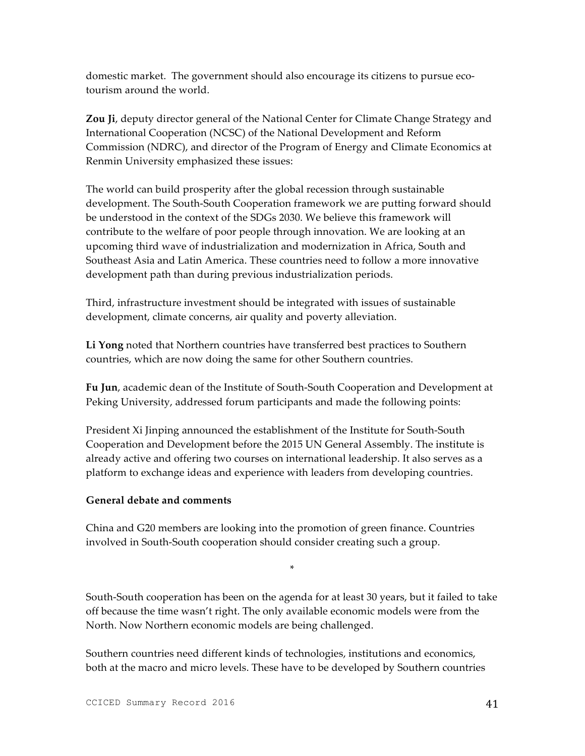domestic market. The government should also encourage its citizens to pursue ecotourism around the world.

**Zou Ji**, deputy director general of the National Center for Climate Change Strategy and International Cooperation (NCSC) of the National Development and Reform Commission (NDRC), and director of the Program of Energy and Climate Economics at Renmin University emphasized these issues:

The world can build prosperity after the global recession through sustainable development. The South-South Cooperation framework we are putting forward should be understood in the context of the SDGs 2030. We believe this framework will contribute to the welfare of poor people through innovation. We are looking at an upcoming third wave of industrialization and modernization in Africa, South and Southeast Asia and Latin America. These countries need to follow a more innovative development path than during previous industrialization periods.

Third, infrastructure investment should be integrated with issues of sustainable development, climate concerns, air quality and poverty alleviation.

**Li Yong** noted that Northern countries have transferred best practices to Southern countries, which are now doing the same for other Southern countries.

**Fu Jun**, academic dean of the Institute of South-South Cooperation and Development at Peking University, addressed forum participants and made the following points:

President Xi Jinping announced the establishment of the Institute for South-South Cooperation and Development before the 2015 UN General Assembly. The institute is already active and offering two courses on international leadership. It also serves as a platform to exchange ideas and experience with leaders from developing countries.

### **General debate and comments**

China and G20 members are looking into the promotion of green finance. Countries involved in South-South cooperation should consider creating such a group.

South-South cooperation has been on the agenda for at least 30 years, but it failed to take off because the time wasn't right. The only available economic models were from the North. Now Northern economic models are being challenged.

\*

Southern countries need different kinds of technologies, institutions and economics, both at the macro and micro levels. These have to be developed by Southern countries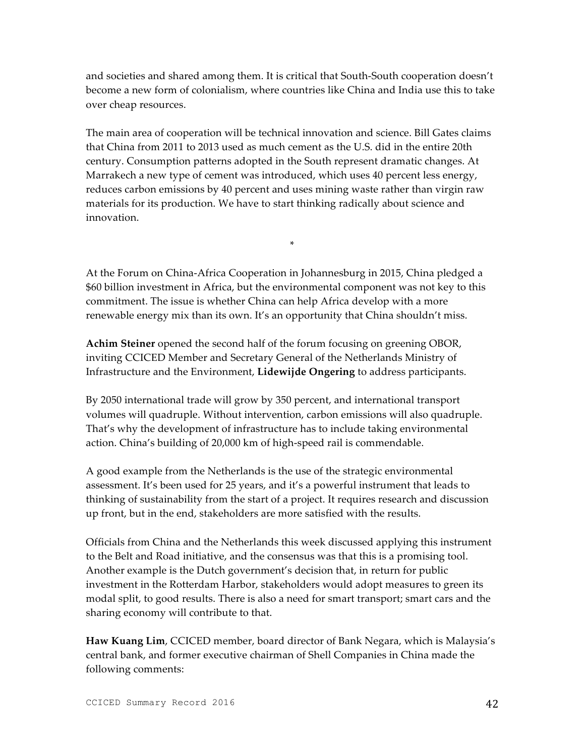and societies and shared among them. It is critical that South-South cooperation doesn't become a new form of colonialism, where countries like China and India use this to take over cheap resources.

The main area of cooperation will be technical innovation and science. Bill Gates claims that China from 2011 to 2013 used as much cement as the U.S. did in the entire 20th century. Consumption patterns adopted in the South represent dramatic changes. At Marrakech a new type of cement was introduced, which uses 40 percent less energy, reduces carbon emissions by 40 percent and uses mining waste rather than virgin raw materials for its production. We have to start thinking radically about science and innovation.

At the Forum on China-Africa Cooperation in Johannesburg in 2015, China pledged a \$60 billion investment in Africa, but the environmental component was not key to this commitment. The issue is whether China can help Africa develop with a more renewable energy mix than its own. It's an opportunity that China shouldn't miss.

\*

**Achim Steiner** opened the second half of the forum focusing on greening OBOR, inviting CCICED Member and Secretary General of the Netherlands Ministry of Infrastructure and the Environment, **Lidewijde Ongering** to address participants.

By 2050 international trade will grow by 350 percent, and international transport volumes will quadruple. Without intervention, carbon emissions will also quadruple. That's why the development of infrastructure has to include taking environmental action. China's building of 20,000 km of high-speed rail is commendable.

A good example from the Netherlands is the use of the strategic environmental assessment. It's been used for 25 years, and it's a powerful instrument that leads to thinking of sustainability from the start of a project. It requires research and discussion up front, but in the end, stakeholders are more satisfied with the results.

Officials from China and the Netherlands this week discussed applying this instrument to the Belt and Road initiative, and the consensus was that this is a promising tool. Another example is the Dutch government's decision that, in return for public investment in the Rotterdam Harbor, stakeholders would adopt measures to green its modal split, to good results. There is also a need for smart transport; smart cars and the sharing economy will contribute to that.

**Haw Kuang Lim**, CCICED member, board director of Bank Negara, which is Malaysia's central bank, and former executive chairman of Shell Companies in China made the following comments: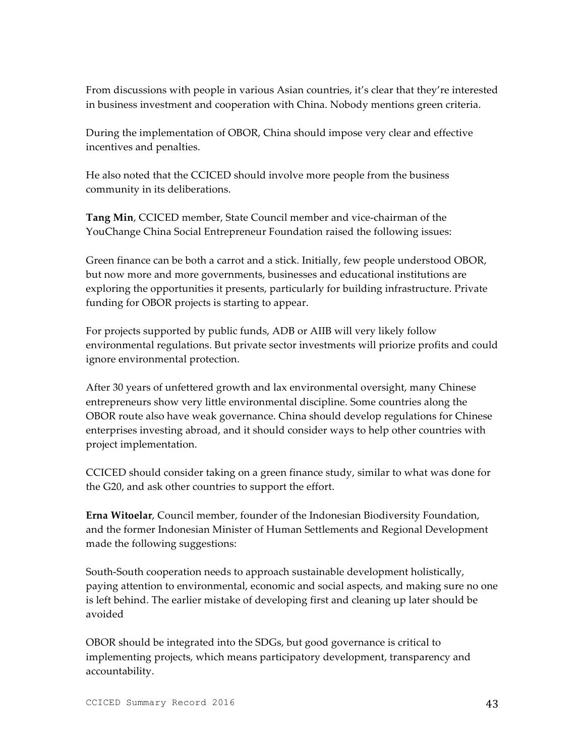From discussions with people in various Asian countries, it's clear that they're interested in business investment and cooperation with China. Nobody mentions green criteria.

During the implementation of OBOR, China should impose very clear and effective incentives and penalties.

He also noted that the CCICED should involve more people from the business community in its deliberations.

**Tang Min**, CCICED member, State Council member and vice-chairman of the YouChange China Social Entrepreneur Foundation raised the following issues:

Green finance can be both a carrot and a stick. Initially, few people understood OBOR, but now more and more governments, businesses and educational institutions are exploring the opportunities it presents, particularly for building infrastructure. Private funding for OBOR projects is starting to appear.

For projects supported by public funds, ADB or AIIB will very likely follow environmental regulations. But private sector investments will priorize profits and could ignore environmental protection.

After 30 years of unfettered growth and lax environmental oversight, many Chinese entrepreneurs show very little environmental discipline. Some countries along the OBOR route also have weak governance. China should develop regulations for Chinese enterprises investing abroad, and it should consider ways to help other countries with project implementation.

CCICED should consider taking on a green finance study, similar to what was done for the G20, and ask other countries to support the effort.

**Erna Witoelar**, Council member, founder of the Indonesian Biodiversity Foundation, and the former Indonesian Minister of Human Settlements and Regional Development made the following suggestions:

South-South cooperation needs to approach sustainable development holistically, paying attention to environmental, economic and social aspects, and making sure no one is left behind. The earlier mistake of developing first and cleaning up later should be avoided

OBOR should be integrated into the SDGs, but good governance is critical to implementing projects, which means participatory development, transparency and accountability.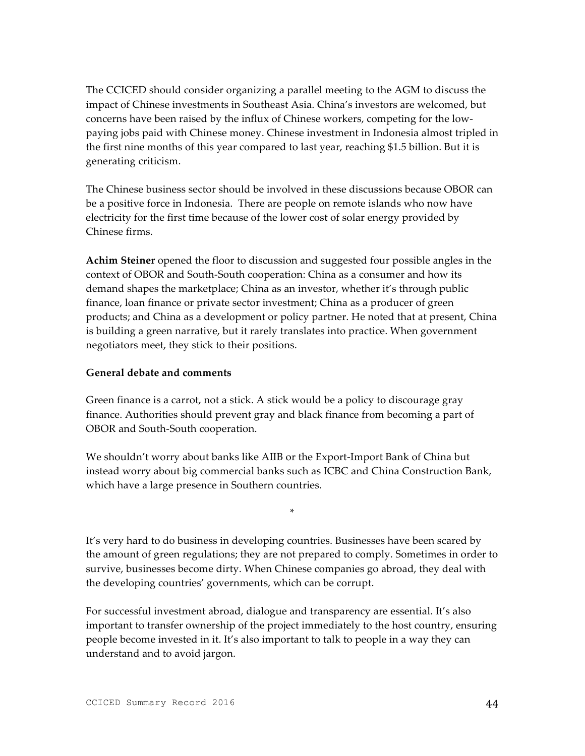The CCICED should consider organizing a parallel meeting to the AGM to discuss the impact of Chinese investments in Southeast Asia. China's investors are welcomed, but concerns have been raised by the influx of Chinese workers, competing for the lowpaying jobs paid with Chinese money. Chinese investment in Indonesia almost tripled in the first nine months of this year compared to last year, reaching \$1.5 billion. But it is generating criticism.

The Chinese business sector should be involved in these discussions because OBOR can be a positive force in Indonesia. There are people on remote islands who now have electricity for the first time because of the lower cost of solar energy provided by Chinese firms.

**Achim Steiner** opened the floor to discussion and suggested four possible angles in the context of OBOR and South-South cooperation: China as a consumer and how its demand shapes the marketplace; China as an investor, whether it's through public finance, loan finance or private sector investment; China as a producer of green products; and China as a development or policy partner. He noted that at present, China is building a green narrative, but it rarely translates into practice. When government negotiators meet, they stick to their positions.

#### **General debate and comments**

Green finance is a carrot, not a stick. A stick would be a policy to discourage gray finance. Authorities should prevent gray and black finance from becoming a part of OBOR and South-South cooperation.

We shouldn't worry about banks like AIIB or the Export-Import Bank of China but instead worry about big commercial banks such as ICBC and China Construction Bank, which have a large presence in Southern countries.

\*

It's very hard to do business in developing countries. Businesses have been scared by the amount of green regulations; they are not prepared to comply. Sometimes in order to survive, businesses become dirty. When Chinese companies go abroad, they deal with the developing countries' governments, which can be corrupt.

For successful investment abroad, dialogue and transparency are essential. It's also important to transfer ownership of the project immediately to the host country, ensuring people become invested in it. It's also important to talk to people in a way they can understand and to avoid jargon.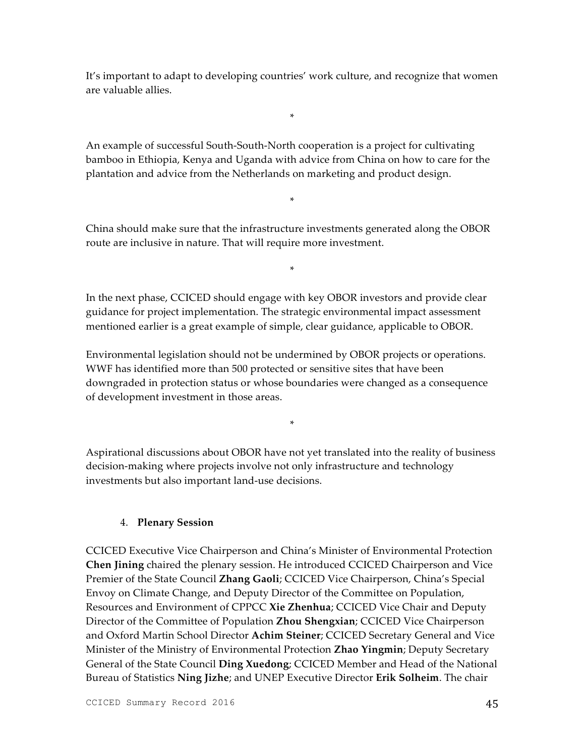It's important to adapt to developing countries' work culture, and recognize that women are valuable allies.

\*

An example of successful South-South-North cooperation is a project for cultivating bamboo in Ethiopia, Kenya and Uganda with advice from China on how to care for the plantation and advice from the Netherlands on marketing and product design.

China should make sure that the infrastructure investments generated along the OBOR route are inclusive in nature. That will require more investment.

\*

\*

In the next phase, CCICED should engage with key OBOR investors and provide clear guidance for project implementation. The strategic environmental impact assessment mentioned earlier is a great example of simple, clear guidance, applicable to OBOR.

Environmental legislation should not be undermined by OBOR projects or operations. WWF has identified more than 500 protected or sensitive sites that have been downgraded in protection status or whose boundaries were changed as a consequence of development investment in those areas.

Aspirational discussions about OBOR have not yet translated into the reality of business decision-making where projects involve not only infrastructure and technology investments but also important land-use decisions.

\*

### 4. **Plenary Session**

CCICED Executive Vice Chairperson and China's Minister of Environmental Protection **Chen Jining** chaired the plenary session. He introduced CCICED Chairperson and Vice Premier of the State Council **Zhang Gaoli**; CCICED Vice Chairperson, China's Special Envoy on Climate Change, and Deputy Director of the Committee on Population, Resources and Environment of CPPCC **Xie Zhenhua**; CCICED Vice Chair and Deputy Director of the Committee of Population **Zhou Shengxian**; CCICED Vice Chairperson and Oxford Martin School Director **Achim Steiner**; CCICED Secretary General and Vice Minister of the Ministry of Environmental Protection **Zhao Yingmin**; Deputy Secretary General of the State Council **Ding Xuedong**; CCICED Member and Head of the National Bureau of Statistics **Ning Jizhe**; and UNEP Executive Director **Erik Solheim**. The chair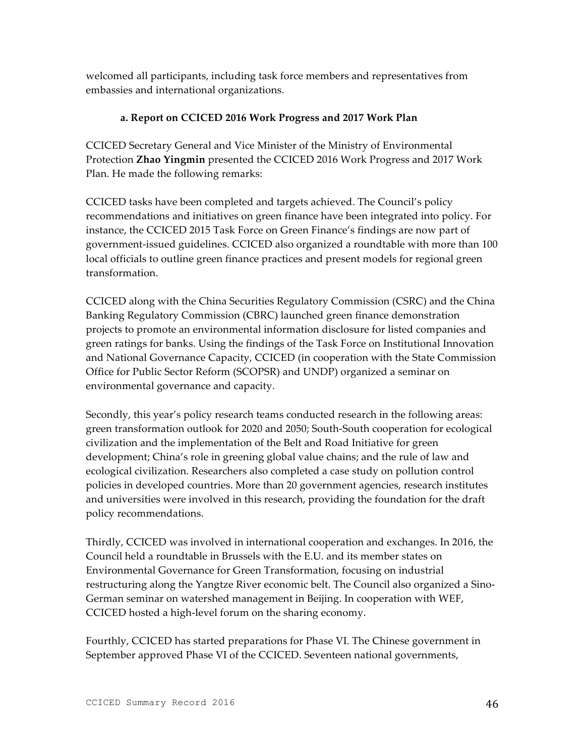welcomed all participants, including task force members and representatives from embassies and international organizations.

### **a. Report on CCICED 2016 Work Progress and 2017 Work Plan**

CCICED Secretary General and Vice Minister of the Ministry of Environmental Protection **Zhao Yingmin** presented the CCICED 2016 Work Progress and 2017 Work Plan. He made the following remarks:

CCICED tasks have been completed and targets achieved. The Council's policy recommendations and initiatives on green finance have been integrated into policy. For instance, the CCICED 2015 Task Force on Green Finance's findings are now part of government-issued guidelines. CCICED also organized a roundtable with more than 100 local officials to outline green finance practices and present models for regional green transformation.

CCICED along with the China Securities Regulatory Commission (CSRC) and the China Banking Regulatory Commission (CBRC) launched green finance demonstration projects to promote an environmental information disclosure for listed companies and green ratings for banks. Using the findings of the Task Force on Institutional Innovation and National Governance Capacity, CCICED (in cooperation with the State Commission Office for Public Sector Reform (SCOPSR) and UNDP) organized a seminar on environmental governance and capacity.

Secondly, this year's policy research teams conducted research in the following areas: green transformation outlook for 2020 and 2050; South-South cooperation for ecological civilization and the implementation of the Belt and Road Initiative for green development; China's role in greening global value chains; and the rule of law and ecological civilization. Researchers also completed a case study on pollution control policies in developed countries. More than 20 government agencies, research institutes and universities were involved in this research, providing the foundation for the draft policy recommendations.

Thirdly, CCICED was involved in international cooperation and exchanges. In 2016, the Council held a roundtable in Brussels with the E.U. and its member states on Environmental Governance for Green Transformation, focusing on industrial restructuring along the Yangtze River economic belt. The Council also organized a Sino-German seminar on watershed management in Beijing. In cooperation with WEF, CCICED hosted a high-level forum on the sharing economy.

Fourthly, CCICED has started preparations for Phase VI. The Chinese government in September approved Phase VI of the CCICED. Seventeen national governments,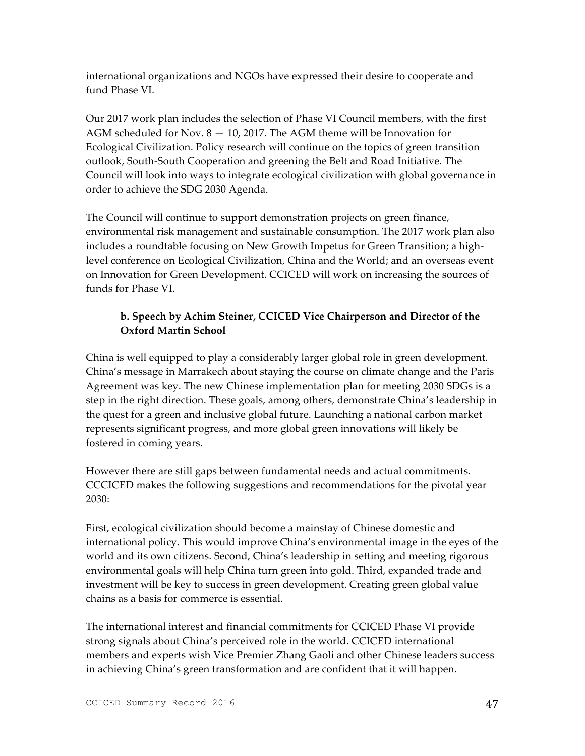international organizations and NGOs have expressed their desire to cooperate and fund Phase VI.

Our 2017 work plan includes the selection of Phase VI Council members, with the first AGM scheduled for Nov. 8 — 10, 2017. The AGM theme will be Innovation for Ecological Civilization. Policy research will continue on the topics of green transition outlook, South-South Cooperation and greening the Belt and Road Initiative. The Council will look into ways to integrate ecological civilization with global governance in order to achieve the SDG 2030 Agenda.

The Council will continue to support demonstration projects on green finance, environmental risk management and sustainable consumption. The 2017 work plan also includes a roundtable focusing on New Growth Impetus for Green Transition; a highlevel conference on Ecological Civilization, China and the World; and an overseas event on Innovation for Green Development. CCICED will work on increasing the sources of funds for Phase VI.

# **b. Speech by Achim Steiner, CCICED Vice Chairperson and Director of the Oxford Martin School**

China is well equipped to play a considerably larger global role in green development. China's message in Marrakech about staying the course on climate change and the Paris Agreement was key. The new Chinese implementation plan for meeting 2030 SDGs is a step in the right direction. These goals, among others, demonstrate China's leadership in the quest for a green and inclusive global future. Launching a national carbon market represents significant progress, and more global green innovations will likely be fostered in coming years.

However there are still gaps between fundamental needs and actual commitments. CCCICED makes the following suggestions and recommendations for the pivotal year 2030:

First, ecological civilization should become a mainstay of Chinese domestic and international policy. This would improve China's environmental image in the eyes of the world and its own citizens. Second, China's leadership in setting and meeting rigorous environmental goals will help China turn green into gold. Third, expanded trade and investment will be key to success in green development. Creating green global value chains as a basis for commerce is essential.

The international interest and financial commitments for CCICED Phase VI provide strong signals about China's perceived role in the world. CCICED international members and experts wish Vice Premier Zhang Gaoli and other Chinese leaders success in achieving China's green transformation and are confident that it will happen.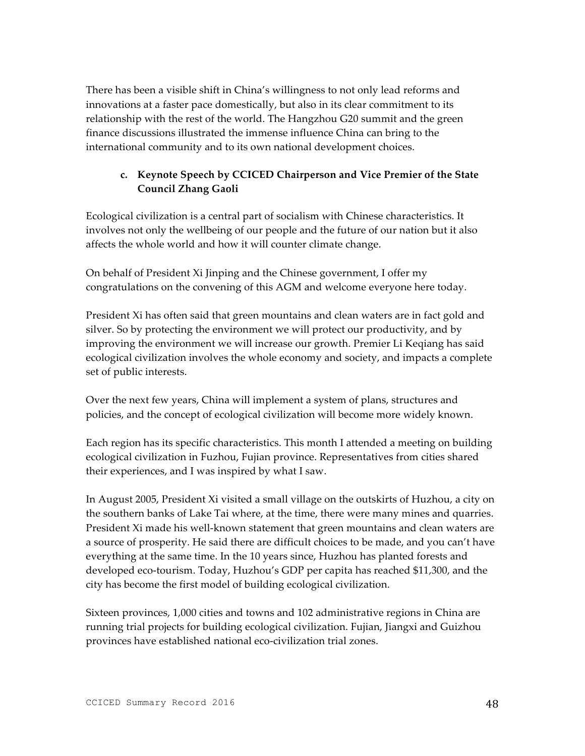There has been a visible shift in China's willingness to not only lead reforms and innovations at a faster pace domestically, but also in its clear commitment to its relationship with the rest of the world. The Hangzhou G20 summit and the green finance discussions illustrated the immense influence China can bring to the international community and to its own national development choices.

# **c. Keynote Speech by CCICED Chairperson and Vice Premier of the State Council Zhang Gaoli**

Ecological civilization is a central part of socialism with Chinese characteristics. It involves not only the wellbeing of our people and the future of our nation but it also affects the whole world and how it will counter climate change.

On behalf of President Xi Jinping and the Chinese government, I offer my congratulations on the convening of this AGM and welcome everyone here today.

President Xi has often said that green mountains and clean waters are in fact gold and silver. So by protecting the environment we will protect our productivity, and by improving the environment we will increase our growth. Premier Li Keqiang has said ecological civilization involves the whole economy and society, and impacts a complete set of public interests.

Over the next few years, China will implement a system of plans, structures and policies, and the concept of ecological civilization will become more widely known.

Each region has its specific characteristics. This month I attended a meeting on building ecological civilization in Fuzhou, Fujian province. Representatives from cities shared their experiences, and I was inspired by what I saw.

In August 2005, President Xi visited a small village on the outskirts of Huzhou, a city on the southern banks of Lake Tai where, at the time, there were many mines and quarries. President Xi made his well-known statement that green mountains and clean waters are a source of prosperity. He said there are difficult choices to be made, and you can't have everything at the same time. In the 10 years since, Huzhou has planted forests and developed eco-tourism. Today, Huzhou's GDP per capita has reached \$11,300, and the city has become the first model of building ecological civilization.

Sixteen provinces, 1,000 cities and towns and 102 administrative regions in China are running trial projects for building ecological civilization. Fujian, Jiangxi and Guizhou provinces have established national eco-civilization trial zones.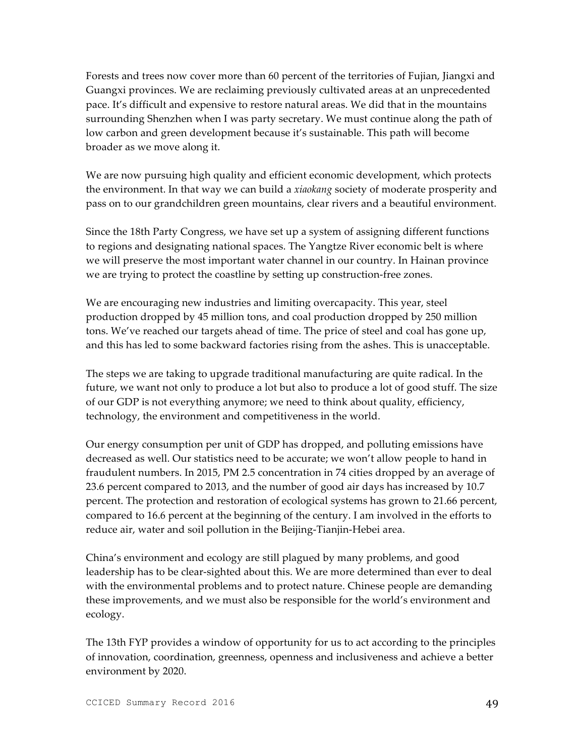Forests and trees now cover more than 60 percent of the territories of Fujian, Jiangxi and Guangxi provinces. We are reclaiming previously cultivated areas at an unprecedented pace. It's difficult and expensive to restore natural areas. We did that in the mountains surrounding Shenzhen when I was party secretary. We must continue along the path of low carbon and green development because it's sustainable. This path will become broader as we move along it.

We are now pursuing high quality and efficient economic development, which protects the environment. In that way we can build a *xiaokang* society of moderate prosperity and pass on to our grandchildren green mountains, clear rivers and a beautiful environment.

Since the 18th Party Congress, we have set up a system of assigning different functions to regions and designating national spaces. The Yangtze River economic belt is where we will preserve the most important water channel in our country. In Hainan province we are trying to protect the coastline by setting up construction-free zones.

We are encouraging new industries and limiting overcapacity. This year, steel production dropped by 45 million tons, and coal production dropped by 250 million tons. We've reached our targets ahead of time. The price of steel and coal has gone up, and this has led to some backward factories rising from the ashes. This is unacceptable.

The steps we are taking to upgrade traditional manufacturing are quite radical. In the future, we want not only to produce a lot but also to produce a lot of good stuff. The size of our GDP is not everything anymore; we need to think about quality, efficiency, technology, the environment and competitiveness in the world.

Our energy consumption per unit of GDP has dropped, and polluting emissions have decreased as well. Our statistics need to be accurate; we won't allow people to hand in fraudulent numbers. In 2015, PM 2.5 concentration in 74 cities dropped by an average of 23.6 percent compared to 2013, and the number of good air days has increased by 10.7 percent. The protection and restoration of ecological systems has grown to 21.66 percent, compared to 16.6 percent at the beginning of the century. I am involved in the efforts to reduce air, water and soil pollution in the Beijing-Tianjin-Hebei area.

China's environment and ecology are still plagued by many problems, and good leadership has to be clear-sighted about this. We are more determined than ever to deal with the environmental problems and to protect nature. Chinese people are demanding these improvements, and we must also be responsible for the world's environment and ecology.

The 13th FYP provides a window of opportunity for us to act according to the principles of innovation, coordination, greenness, openness and inclusiveness and achieve a better environment by 2020.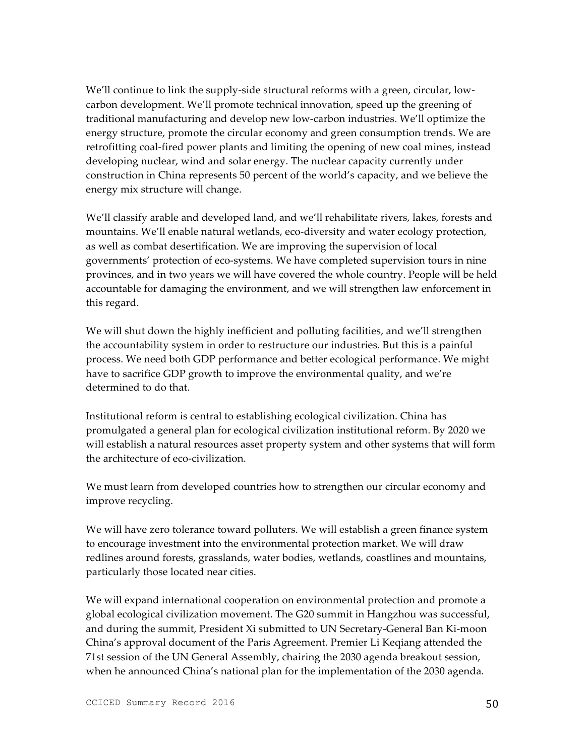We'll continue to link the supply-side structural reforms with a green, circular, lowcarbon development. We'll promote technical innovation, speed up the greening of traditional manufacturing and develop new low-carbon industries. We'll optimize the energy structure, promote the circular economy and green consumption trends. We are retrofitting coal-fired power plants and limiting the opening of new coal mines, instead developing nuclear, wind and solar energy. The nuclear capacity currently under construction in China represents 50 percent of the world's capacity, and we believe the energy mix structure will change.

We'll classify arable and developed land, and we'll rehabilitate rivers, lakes, forests and mountains. We'll enable natural wetlands, eco-diversity and water ecology protection, as well as combat desertification. We are improving the supervision of local governments' protection of eco-systems. We have completed supervision tours in nine provinces, and in two years we will have covered the whole country. People will be held accountable for damaging the environment, and we will strengthen law enforcement in this regard.

We will shut down the highly inefficient and polluting facilities, and we'll strengthen the accountability system in order to restructure our industries. But this is a painful process. We need both GDP performance and better ecological performance. We might have to sacrifice GDP growth to improve the environmental quality, and we're determined to do that.

Institutional reform is central to establishing ecological civilization. China has promulgated a general plan for ecological civilization institutional reform. By 2020 we will establish a natural resources asset property system and other systems that will form the architecture of eco-civilization.

We must learn from developed countries how to strengthen our circular economy and improve recycling.

We will have zero tolerance toward polluters. We will establish a green finance system to encourage investment into the environmental protection market. We will draw redlines around forests, grasslands, water bodies, wetlands, coastlines and mountains, particularly those located near cities.

We will expand international cooperation on environmental protection and promote a global ecological civilization movement. The G20 summit in Hangzhou was successful, and during the summit, President Xi submitted to UN Secretary-General Ban Ki-moon China's approval document of the Paris Agreement. Premier Li Keqiang attended the 71st session of the UN General Assembly, chairing the 2030 agenda breakout session, when he announced China's national plan for the implementation of the 2030 agenda.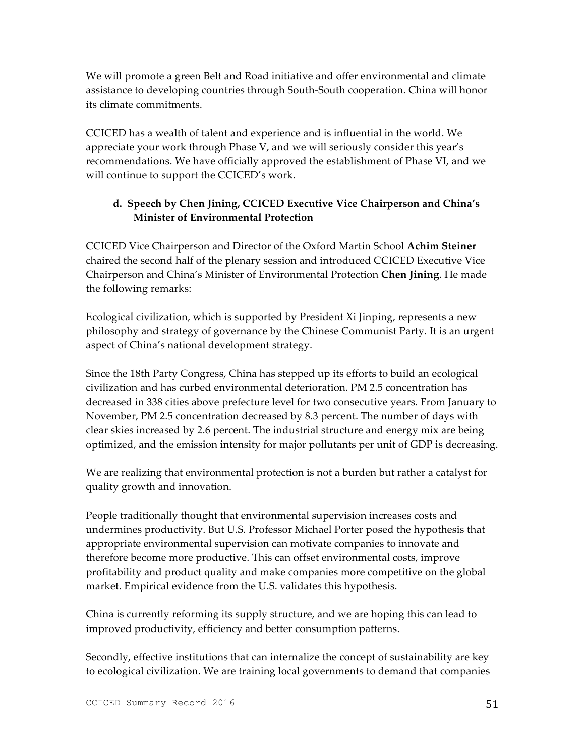We will promote a green Belt and Road initiative and offer environmental and climate assistance to developing countries through South-South cooperation. China will honor its climate commitments.

CCICED has a wealth of talent and experience and is influential in the world. We appreciate your work through Phase V, and we will seriously consider this year's recommendations. We have officially approved the establishment of Phase VI, and we will continue to support the CCICED's work.

# **d. Speech by Chen Jining, CCICED Executive Vice Chairperson and China's Minister of Environmental Protection**

CCICED Vice Chairperson and Director of the Oxford Martin School **Achim Steiner** chaired the second half of the plenary session and introduced CCICED Executive Vice Chairperson and China's Minister of Environmental Protection **Chen Jining**. He made the following remarks:

Ecological civilization, which is supported by President Xi Jinping, represents a new philosophy and strategy of governance by the Chinese Communist Party. It is an urgent aspect of China's national development strategy.

Since the 18th Party Congress, China has stepped up its efforts to build an ecological civilization and has curbed environmental deterioration. PM 2.5 concentration has decreased in 338 cities above prefecture level for two consecutive years. From January to November, PM 2.5 concentration decreased by 8.3 percent. The number of days with clear skies increased by 2.6 percent. The industrial structure and energy mix are being optimized, and the emission intensity for major pollutants per unit of GDP is decreasing.

We are realizing that environmental protection is not a burden but rather a catalyst for quality growth and innovation.

People traditionally thought that environmental supervision increases costs and undermines productivity. But U.S. Professor Michael Porter posed the hypothesis that appropriate environmental supervision can motivate companies to innovate and therefore become more productive. This can offset environmental costs, improve profitability and product quality and make companies more competitive on the global market. Empirical evidence from the U.S. validates this hypothesis.

China is currently reforming its supply structure, and we are hoping this can lead to improved productivity, efficiency and better consumption patterns.

Secondly, effective institutions that can internalize the concept of sustainability are key to ecological civilization. We are training local governments to demand that companies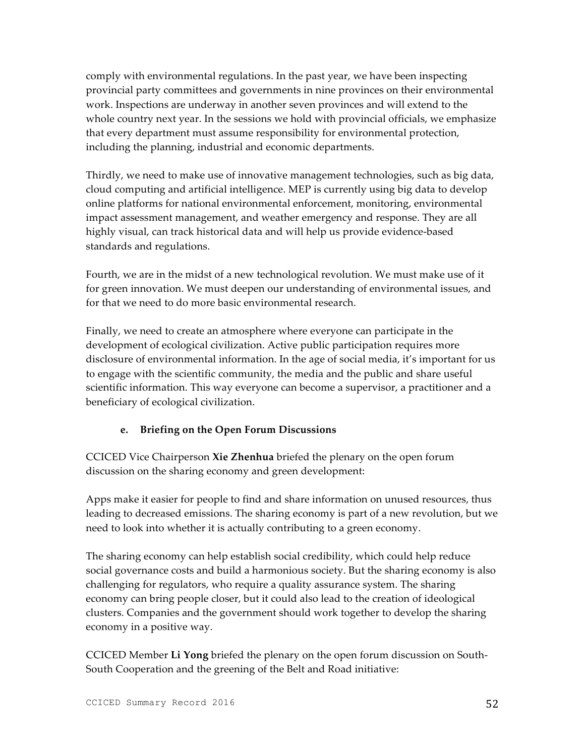comply with environmental regulations. In the past year, we have been inspecting provincial party committees and governments in nine provinces on their environmental work. Inspections are underway in another seven provinces and will extend to the whole country next year. In the sessions we hold with provincial officials, we emphasize that every department must assume responsibility for environmental protection, including the planning, industrial and economic departments.

Thirdly, we need to make use of innovative management technologies, such as big data, cloud computing and artificial intelligence. MEP is currently using big data to develop online platforms for national environmental enforcement, monitoring, environmental impact assessment management, and weather emergency and response. They are all highly visual, can track historical data and will help us provide evidence-based standards and regulations.

Fourth, we are in the midst of a new technological revolution. We must make use of it for green innovation. We must deepen our understanding of environmental issues, and for that we need to do more basic environmental research.

Finally, we need to create an atmosphere where everyone can participate in the development of ecological civilization. Active public participation requires more disclosure of environmental information. In the age of social media, it's important for us to engage with the scientific community, the media and the public and share useful scientific information. This way everyone can become a supervisor, a practitioner and a beneficiary of ecological civilization.

### **e. Briefing on the Open Forum Discussions**

CCICED Vice Chairperson **Xie Zhenhua** briefed the plenary on the open forum discussion on the sharing economy and green development:

Apps make it easier for people to find and share information on unused resources, thus leading to decreased emissions. The sharing economy is part of a new revolution, but we need to look into whether it is actually contributing to a green economy.

The sharing economy can help establish social credibility, which could help reduce social governance costs and build a harmonious society. But the sharing economy is also challenging for regulators, who require a quality assurance system. The sharing economy can bring people closer, but it could also lead to the creation of ideological clusters. Companies and the government should work together to develop the sharing economy in a positive way.

CCICED Member **Li Yong** briefed the plenary on the open forum discussion on South-South Cooperation and the greening of the Belt and Road initiative: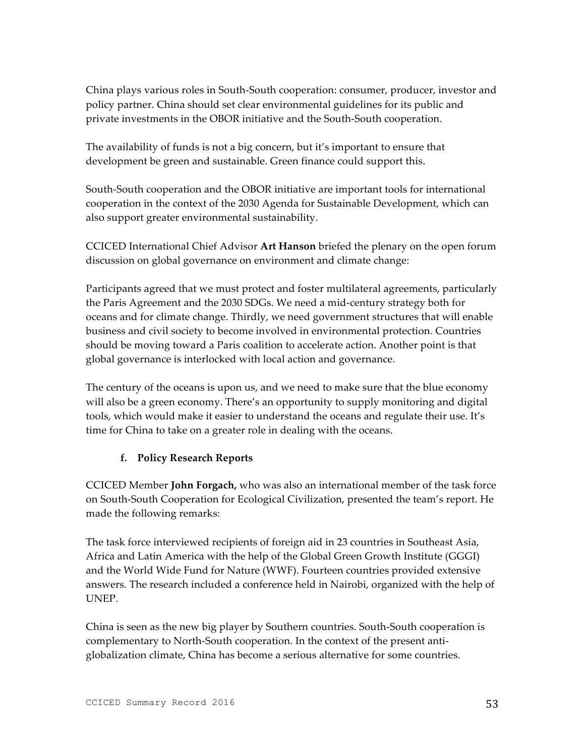China plays various roles in South-South cooperation: consumer, producer, investor and policy partner. China should set clear environmental guidelines for its public and private investments in the OBOR initiative and the South-South cooperation.

The availability of funds is not a big concern, but it's important to ensure that development be green and sustainable. Green finance could support this.

South-South cooperation and the OBOR initiative are important tools for international cooperation in the context of the 2030 Agenda for Sustainable Development, which can also support greater environmental sustainability.

CCICED International Chief Advisor **Art Hanson** briefed the plenary on the open forum discussion on global governance on environment and climate change:

Participants agreed that we must protect and foster multilateral agreements, particularly the Paris Agreement and the 2030 SDGs. We need a mid-century strategy both for oceans and for climate change. Thirdly, we need government structures that will enable business and civil society to become involved in environmental protection. Countries should be moving toward a Paris coalition to accelerate action. Another point is that global governance is interlocked with local action and governance.

The century of the oceans is upon us, and we need to make sure that the blue economy will also be a green economy. There's an opportunity to supply monitoring and digital tools, which would make it easier to understand the oceans and regulate their use. It's time for China to take on a greater role in dealing with the oceans.

## **f. Policy Research Reports**

CCICED Member **John Forgach,** who was also an international member of the task force on South-South Cooperation for Ecological Civilization, presented the team's report. He made the following remarks:

The task force interviewed recipients of foreign aid in 23 countries in Southeast Asia, Africa and Latin America with the help of the Global Green Growth Institute (GGGI) and the World Wide Fund for Nature (WWF). Fourteen countries provided extensive answers. The research included a conference held in Nairobi, organized with the help of UNEP.

China is seen as the new big player by Southern countries. South-South cooperation is complementary to North-South cooperation. In the context of the present antiglobalization climate, China has become a serious alternative for some countries.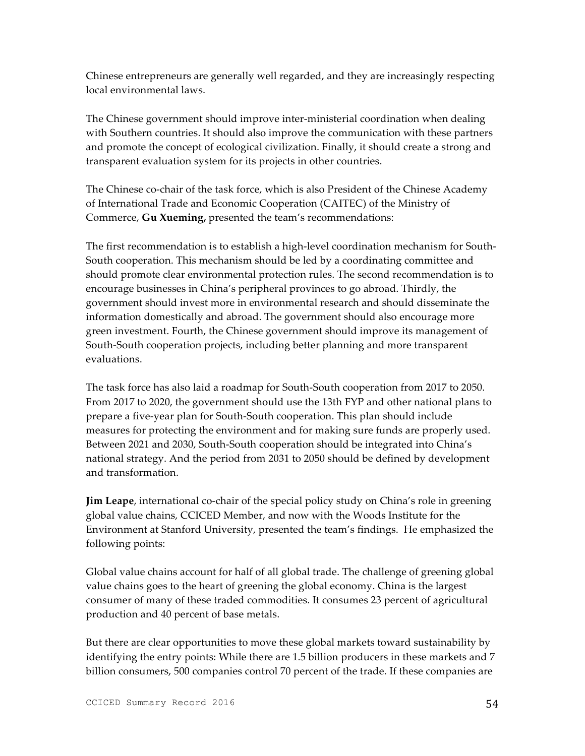Chinese entrepreneurs are generally well regarded, and they are increasingly respecting local environmental laws.

The Chinese government should improve inter-ministerial coordination when dealing with Southern countries. It should also improve the communication with these partners and promote the concept of ecological civilization. Finally, it should create a strong and transparent evaluation system for its projects in other countries.

The Chinese co-chair of the task force, which is also President of the Chinese Academy of International Trade and Economic Cooperation (CAITEC) of the Ministry of Commerce, **Gu Xueming,** presented the team's recommendations:

The first recommendation is to establish a high-level coordination mechanism for South-South cooperation. This mechanism should be led by a coordinating committee and should promote clear environmental protection rules. The second recommendation is to encourage businesses in China's peripheral provinces to go abroad. Thirdly, the government should invest more in environmental research and should disseminate the information domestically and abroad. The government should also encourage more green investment. Fourth, the Chinese government should improve its management of South-South cooperation projects, including better planning and more transparent evaluations.

The task force has also laid a roadmap for South-South cooperation from 2017 to 2050. From 2017 to 2020, the government should use the 13th FYP and other national plans to prepare a five-year plan for South-South cooperation. This plan should include measures for protecting the environment and for making sure funds are properly used. Between 2021 and 2030, South-South cooperation should be integrated into China's national strategy. And the period from 2031 to 2050 should be defined by development and transformation.

**Jim Leape**, international co-chair of the special policy study on China's role in greening global value chains, CCICED Member, and now with the Woods Institute for the Environment at Stanford University, presented the team's findings. He emphasized the following points:

Global value chains account for half of all global trade. The challenge of greening global value chains goes to the heart of greening the global economy. China is the largest consumer of many of these traded commodities. It consumes 23 percent of agricultural production and 40 percent of base metals.

But there are clear opportunities to move these global markets toward sustainability by identifying the entry points: While there are 1.5 billion producers in these markets and 7 billion consumers, 500 companies control 70 percent of the trade. If these companies are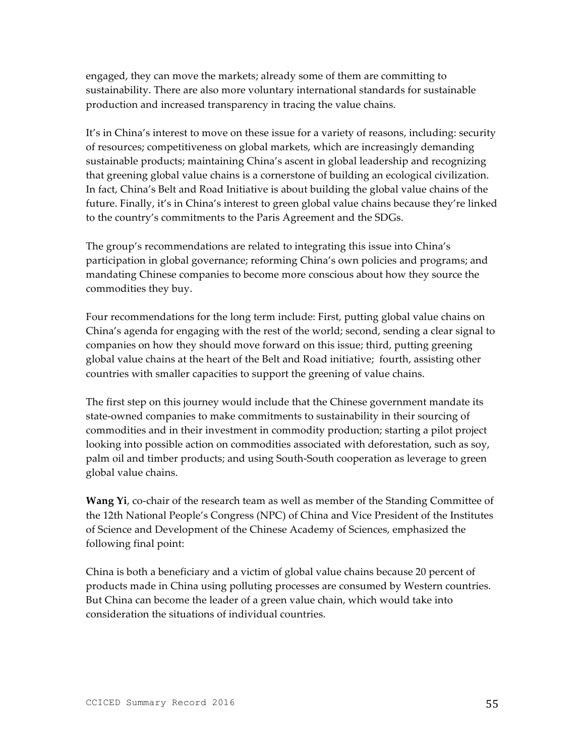engaged, they can move the markets; already some of them are committing to sustainability. There are also more voluntary international standards for sustainable production and increased transparency in tracing the value chains.

It's in China's interest to move on these issue for a variety of reasons, including: security of resources; competitiveness on global markets, which are increasingly demanding sustainable products; maintaining China's ascent in global leadership and recognizing that greening global value chains is a cornerstone of building an ecological civilization. In fact, China's Belt and Road Initiative is about building the global value chains of the future. Finally, it's in China's interest to green global value chains because they're linked to the country's commitments to the Paris Agreement and the SDGs.

The group's recommendations are related to integrating this issue into China's participation in global governance; reforming China's own policies and programs; and mandating Chinese companies to become more conscious about how they source the commodities they buy.

Four recommendations for the long term include: First, putting global value chains on China's agenda for engaging with the rest of the world; second, sending a clear signal to companies on how they should move forward on this issue; third, putting greening global value chains at the heart of the Belt and Road initiative; fourth, assisting other countries with smaller capacities to support the greening of value chains.

The first step on this journey would include that the Chinese government mandate its state-owned companies to make commitments to sustainability in their sourcing of commodities and in their investment in commodity production; starting a pilot project looking into possible action on commodities associated with deforestation, such as soy, palm oil and timber products; and using South-South cooperation as leverage to green global value chains.

**Wang Yi**, co-chair of the research team as well as member of the Standing Committee of the 12th National People's Congress (NPC) of China and Vice President of the Institutes of Science and Development of the Chinese Academy of Sciences, emphasized the following final point:

China is both a beneficiary and a victim of global value chains because 20 percent of products made in China using polluting processes are consumed by Western countries. But China can become the leader of a green value chain, which would take into consideration the situations of individual countries.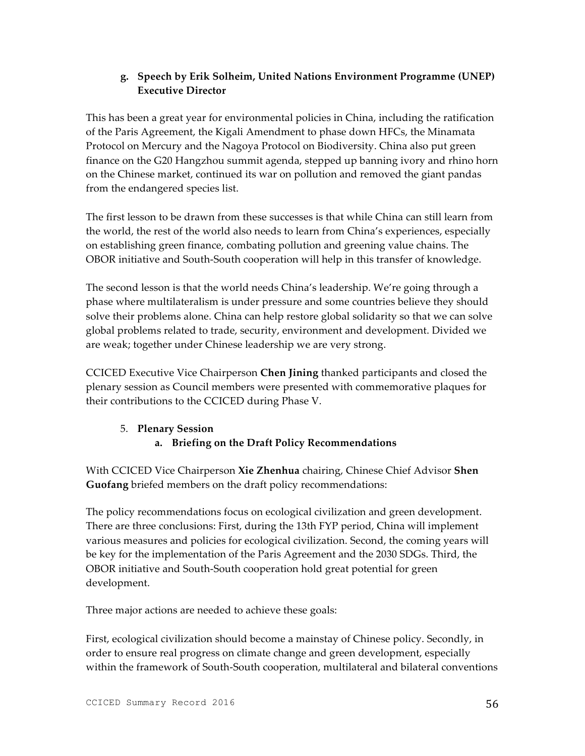## **g. Speech by Erik Solheim, United Nations Environment Programme (UNEP) Executive Director**

This has been a great year for environmental policies in China, including the ratification of the Paris Agreement, the Kigali Amendment to phase down HFCs, the Minamata Protocol on Mercury and the Nagoya Protocol on Biodiversity. China also put green finance on the G20 Hangzhou summit agenda, stepped up banning ivory and rhino horn on the Chinese market, continued its war on pollution and removed the giant pandas from the endangered species list.

The first lesson to be drawn from these successes is that while China can still learn from the world, the rest of the world also needs to learn from China's experiences, especially on establishing green finance, combating pollution and greening value chains. The OBOR initiative and South-South cooperation will help in this transfer of knowledge.

The second lesson is that the world needs China's leadership. We're going through a phase where multilateralism is under pressure and some countries believe they should solve their problems alone. China can help restore global solidarity so that we can solve global problems related to trade, security, environment and development. Divided we are weak; together under Chinese leadership we are very strong.

CCICED Executive Vice Chairperson **Chen Jining** thanked participants and closed the plenary session as Council members were presented with commemorative plaques for their contributions to the CCICED during Phase V.

## 5. **Plenary Session a. Briefing on the Draft Policy Recommendations**

With CCICED Vice Chairperson **Xie Zhenhua** chairing, Chinese Chief Advisor **Shen Guofang** briefed members on the draft policy recommendations:

The policy recommendations focus on ecological civilization and green development. There are three conclusions: First, during the 13th FYP period, China will implement various measures and policies for ecological civilization. Second, the coming years will be key for the implementation of the Paris Agreement and the 2030 SDGs. Third, the OBOR initiative and South-South cooperation hold great potential for green development.

Three major actions are needed to achieve these goals:

First, ecological civilization should become a mainstay of Chinese policy. Secondly, in order to ensure real progress on climate change and green development, especially within the framework of South-South cooperation, multilateral and bilateral conventions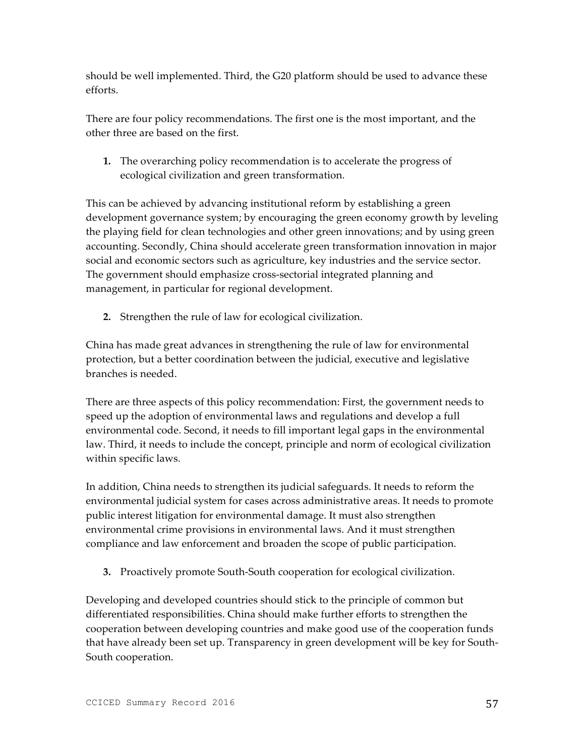should be well implemented. Third, the G20 platform should be used to advance these efforts.

There are four policy recommendations. The first one is the most important, and the other three are based on the first.

**1.** The overarching policy recommendation is to accelerate the progress of ecological civilization and green transformation.

This can be achieved by advancing institutional reform by establishing a green development governance system; by encouraging the green economy growth by leveling the playing field for clean technologies and other green innovations; and by using green accounting. Secondly, China should accelerate green transformation innovation in major social and economic sectors such as agriculture, key industries and the service sector. The government should emphasize cross-sectorial integrated planning and management, in particular for regional development.

**2.** Strengthen the rule of law for ecological civilization.

China has made great advances in strengthening the rule of law for environmental protection, but a better coordination between the judicial, executive and legislative branches is needed.

There are three aspects of this policy recommendation: First, the government needs to speed up the adoption of environmental laws and regulations and develop a full environmental code. Second, it needs to fill important legal gaps in the environmental law. Third, it needs to include the concept, principle and norm of ecological civilization within specific laws.

In addition, China needs to strengthen its judicial safeguards. It needs to reform the environmental judicial system for cases across administrative areas. It needs to promote public interest litigation for environmental damage. It must also strengthen environmental crime provisions in environmental laws. And it must strengthen compliance and law enforcement and broaden the scope of public participation.

**3.** Proactively promote South-South cooperation for ecological civilization.

Developing and developed countries should stick to the principle of common but differentiated responsibilities. China should make further efforts to strengthen the cooperation between developing countries and make good use of the cooperation funds that have already been set up. Transparency in green development will be key for South-South cooperation.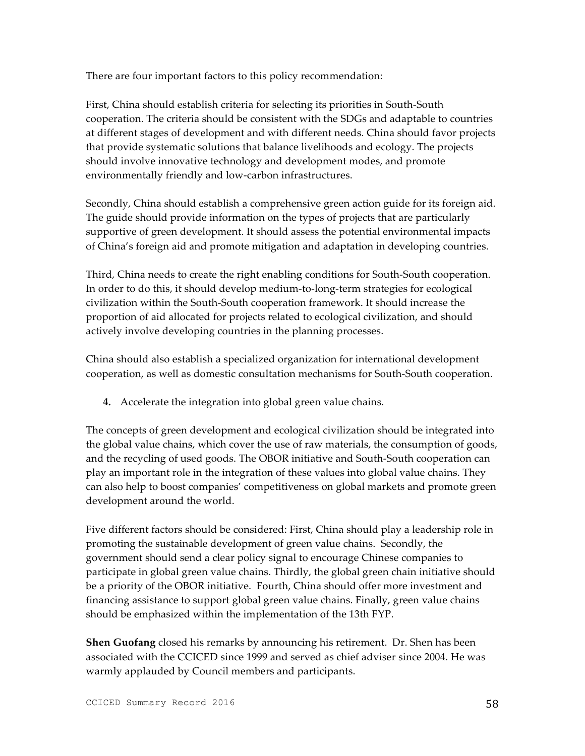There are four important factors to this policy recommendation:

First, China should establish criteria for selecting its priorities in South-South cooperation. The criteria should be consistent with the SDGs and adaptable to countries at different stages of development and with different needs. China should favor projects that provide systematic solutions that balance livelihoods and ecology. The projects should involve innovative technology and development modes, and promote environmentally friendly and low-carbon infrastructures.

Secondly, China should establish a comprehensive green action guide for its foreign aid. The guide should provide information on the types of projects that are particularly supportive of green development. It should assess the potential environmental impacts of China's foreign aid and promote mitigation and adaptation in developing countries.

Third, China needs to create the right enabling conditions for South-South cooperation. In order to do this, it should develop medium-to-long-term strategies for ecological civilization within the South-South cooperation framework. It should increase the proportion of aid allocated for projects related to ecological civilization, and should actively involve developing countries in the planning processes.

China should also establish a specialized organization for international development cooperation, as well as domestic consultation mechanisms for South-South cooperation.

**4.** Accelerate the integration into global green value chains.

The concepts of green development and ecological civilization should be integrated into the global value chains, which cover the use of raw materials, the consumption of goods, and the recycling of used goods. The OBOR initiative and South-South cooperation can play an important role in the integration of these values into global value chains. They can also help to boost companies' competitiveness on global markets and promote green development around the world.

Five different factors should be considered: First, China should play a leadership role in promoting the sustainable development of green value chains. Secondly, the government should send a clear policy signal to encourage Chinese companies to participate in global green value chains. Thirdly, the global green chain initiative should be a priority of the OBOR initiative. Fourth, China should offer more investment and financing assistance to support global green value chains. Finally, green value chains should be emphasized within the implementation of the 13th FYP.

**Shen Guofang** closed his remarks by announcing his retirement. Dr. Shen has been associated with the CCICED since 1999 and served as chief adviser since 2004. He was warmly applauded by Council members and participants.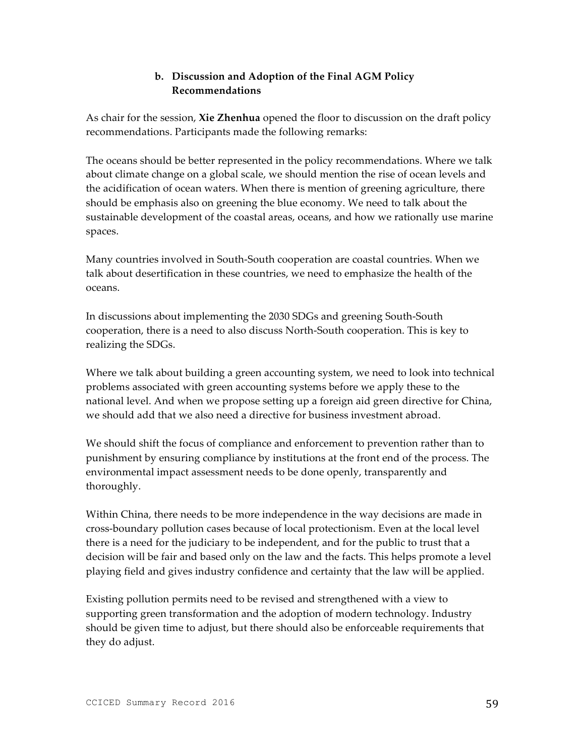## **b. Discussion and Adoption of the Final AGM Policy Recommendations**

As chair for the session, **Xie Zhenhua** opened the floor to discussion on the draft policy recommendations. Participants made the following remarks:

The oceans should be better represented in the policy recommendations. Where we talk about climate change on a global scale, we should mention the rise of ocean levels and the acidification of ocean waters. When there is mention of greening agriculture, there should be emphasis also on greening the blue economy. We need to talk about the sustainable development of the coastal areas, oceans, and how we rationally use marine spaces.

Many countries involved in South-South cooperation are coastal countries. When we talk about desertification in these countries, we need to emphasize the health of the oceans.

In discussions about implementing the 2030 SDGs and greening South-South cooperation, there is a need to also discuss North-South cooperation. This is key to realizing the SDGs.

Where we talk about building a green accounting system, we need to look into technical problems associated with green accounting systems before we apply these to the national level. And when we propose setting up a foreign aid green directive for China, we should add that we also need a directive for business investment abroad.

We should shift the focus of compliance and enforcement to prevention rather than to punishment by ensuring compliance by institutions at the front end of the process. The environmental impact assessment needs to be done openly, transparently and thoroughly.

Within China, there needs to be more independence in the way decisions are made in cross-boundary pollution cases because of local protectionism. Even at the local level there is a need for the judiciary to be independent, and for the public to trust that a decision will be fair and based only on the law and the facts. This helps promote a level playing field and gives industry confidence and certainty that the law will be applied.

Existing pollution permits need to be revised and strengthened with a view to supporting green transformation and the adoption of modern technology. Industry should be given time to adjust, but there should also be enforceable requirements that they do adjust.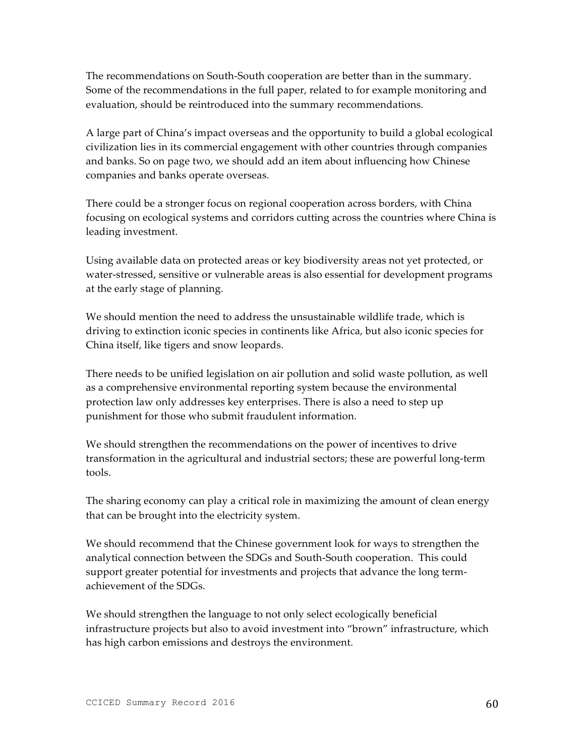The recommendations on South-South cooperation are better than in the summary. Some of the recommendations in the full paper, related to for example monitoring and evaluation, should be reintroduced into the summary recommendations.

A large part of China's impact overseas and the opportunity to build a global ecological civilization lies in its commercial engagement with other countries through companies and banks. So on page two, we should add an item about influencing how Chinese companies and banks operate overseas.

There could be a stronger focus on regional cooperation across borders, with China focusing on ecological systems and corridors cutting across the countries where China is leading investment.

Using available data on protected areas or key biodiversity areas not yet protected, or water-stressed, sensitive or vulnerable areas is also essential for development programs at the early stage of planning.

We should mention the need to address the unsustainable wildlife trade, which is driving to extinction iconic species in continents like Africa, but also iconic species for China itself, like tigers and snow leopards.

There needs to be unified legislation on air pollution and solid waste pollution, as well as a comprehensive environmental reporting system because the environmental protection law only addresses key enterprises. There is also a need to step up punishment for those who submit fraudulent information.

We should strengthen the recommendations on the power of incentives to drive transformation in the agricultural and industrial sectors; these are powerful long-term tools.

The sharing economy can play a critical role in maximizing the amount of clean energy that can be brought into the electricity system.

We should recommend that the Chinese government look for ways to strengthen the analytical connection between the SDGs and South-South cooperation. This could support greater potential for investments and projects that advance the long termachievement of the SDGs.

We should strengthen the language to not only select ecologically beneficial infrastructure projects but also to avoid investment into "brown" infrastructure, which has high carbon emissions and destroys the environment.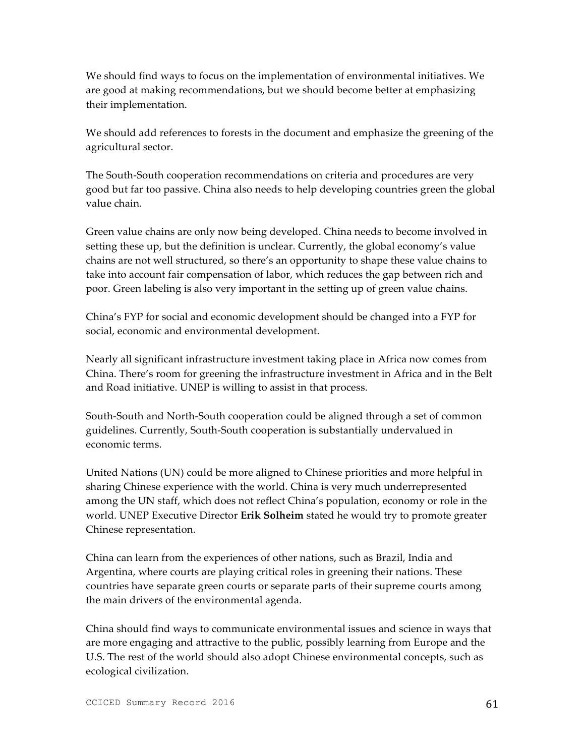We should find ways to focus on the implementation of environmental initiatives. We are good at making recommendations, but we should become better at emphasizing their implementation.

We should add references to forests in the document and emphasize the greening of the agricultural sector.

The South-South cooperation recommendations on criteria and procedures are very good but far too passive. China also needs to help developing countries green the global value chain.

Green value chains are only now being developed. China needs to become involved in setting these up, but the definition is unclear. Currently, the global economy's value chains are not well structured, so there's an opportunity to shape these value chains to take into account fair compensation of labor, which reduces the gap between rich and poor. Green labeling is also very important in the setting up of green value chains.

China's FYP for social and economic development should be changed into a FYP for social, economic and environmental development.

Nearly all significant infrastructure investment taking place in Africa now comes from China. There's room for greening the infrastructure investment in Africa and in the Belt and Road initiative. UNEP is willing to assist in that process.

South-South and North-South cooperation could be aligned through a set of common guidelines. Currently, South-South cooperation is substantially undervalued in economic terms.

United Nations (UN) could be more aligned to Chinese priorities and more helpful in sharing Chinese experience with the world. China is very much underrepresented among the UN staff, which does not reflect China's population, economy or role in the world. UNEP Executive Director **Erik Solheim** stated he would try to promote greater Chinese representation.

China can learn from the experiences of other nations, such as Brazil, India and Argentina, where courts are playing critical roles in greening their nations. These countries have separate green courts or separate parts of their supreme courts among the main drivers of the environmental agenda.

China should find ways to communicate environmental issues and science in ways that are more engaging and attractive to the public, possibly learning from Europe and the U.S. The rest of the world should also adopt Chinese environmental concepts, such as ecological civilization.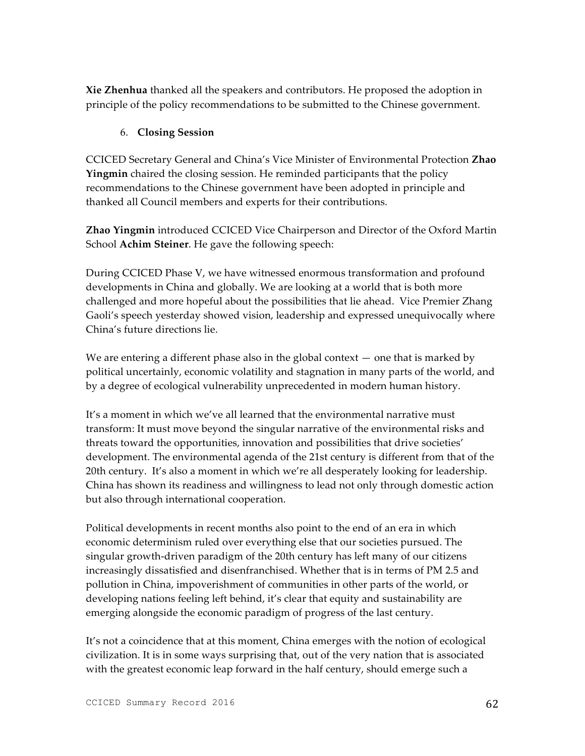**Xie Zhenhua** thanked all the speakers and contributors. He proposed the adoption in principle of the policy recommendations to be submitted to the Chinese government.

### 6. **Closing Session**

CCICED Secretary General and China's Vice Minister of Environmental Protection **Zhao Yingmin** chaired the closing session. He reminded participants that the policy recommendations to the Chinese government have been adopted in principle and thanked all Council members and experts for their contributions.

**Zhao Yingmin** introduced CCICED Vice Chairperson and Director of the Oxford Martin School **Achim Steiner**. He gave the following speech:

During CCICED Phase V, we have witnessed enormous transformation and profound developments in China and globally. We are looking at a world that is both more challenged and more hopeful about the possibilities that lie ahead. Vice Premier Zhang Gaoli's speech yesterday showed vision, leadership and expressed unequivocally where China's future directions lie.

We are entering a different phase also in the global context  $-$  one that is marked by political uncertainly, economic volatility and stagnation in many parts of the world, and by a degree of ecological vulnerability unprecedented in modern human history.

It's a moment in which we've all learned that the environmental narrative must transform: It must move beyond the singular narrative of the environmental risks and threats toward the opportunities, innovation and possibilities that drive societies' development. The environmental agenda of the 21st century is different from that of the 20th century. It's also a moment in which we're all desperately looking for leadership. China has shown its readiness and willingness to lead not only through domestic action but also through international cooperation.

Political developments in recent months also point to the end of an era in which economic determinism ruled over everything else that our societies pursued. The singular growth-driven paradigm of the 20th century has left many of our citizens increasingly dissatisfied and disenfranchised. Whether that is in terms of PM 2.5 and pollution in China, impoverishment of communities in other parts of the world, or developing nations feeling left behind, it's clear that equity and sustainability are emerging alongside the economic paradigm of progress of the last century.

It's not a coincidence that at this moment, China emerges with the notion of ecological civilization. It is in some ways surprising that, out of the very nation that is associated with the greatest economic leap forward in the half century, should emerge such a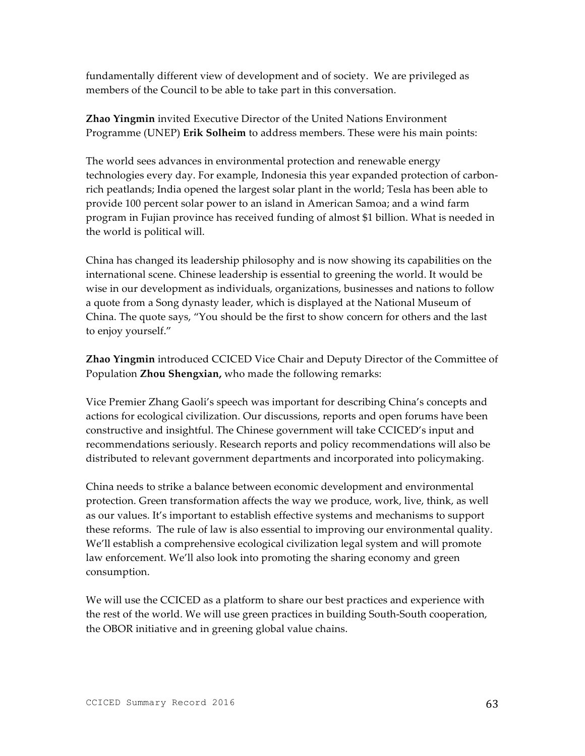fundamentally different view of development and of society. We are privileged as members of the Council to be able to take part in this conversation.

**Zhao Yingmin** invited Executive Director of the United Nations Environment Programme (UNEP) **Erik Solheim** to address members. These were his main points:

The world sees advances in environmental protection and renewable energy technologies every day. For example, Indonesia this year expanded protection of carbonrich peatlands; India opened the largest solar plant in the world; Tesla has been able to provide 100 percent solar power to an island in American Samoa; and a wind farm program in Fujian province has received funding of almost \$1 billion. What is needed in the world is political will.

China has changed its leadership philosophy and is now showing its capabilities on the international scene. Chinese leadership is essential to greening the world. It would be wise in our development as individuals, organizations, businesses and nations to follow a quote from a Song dynasty leader, which is displayed at the National Museum of China. The quote says, "You should be the first to show concern for others and the last to enjoy yourself."

**Zhao Yingmin** introduced CCICED Vice Chair and Deputy Director of the Committee of Population **Zhou Shengxian,** who made the following remarks:

Vice Premier Zhang Gaoli's speech was important for describing China's concepts and actions for ecological civilization. Our discussions, reports and open forums have been constructive and insightful. The Chinese government will take CCICED's input and recommendations seriously. Research reports and policy recommendations will also be distributed to relevant government departments and incorporated into policymaking.

China needs to strike a balance between economic development and environmental protection. Green transformation affects the way we produce, work, live, think, as well as our values. It's important to establish effective systems and mechanisms to support these reforms. The rule of law is also essential to improving our environmental quality. We'll establish a comprehensive ecological civilization legal system and will promote law enforcement. We'll also look into promoting the sharing economy and green consumption.

We will use the CCICED as a platform to share our best practices and experience with the rest of the world. We will use green practices in building South-South cooperation, the OBOR initiative and in greening global value chains.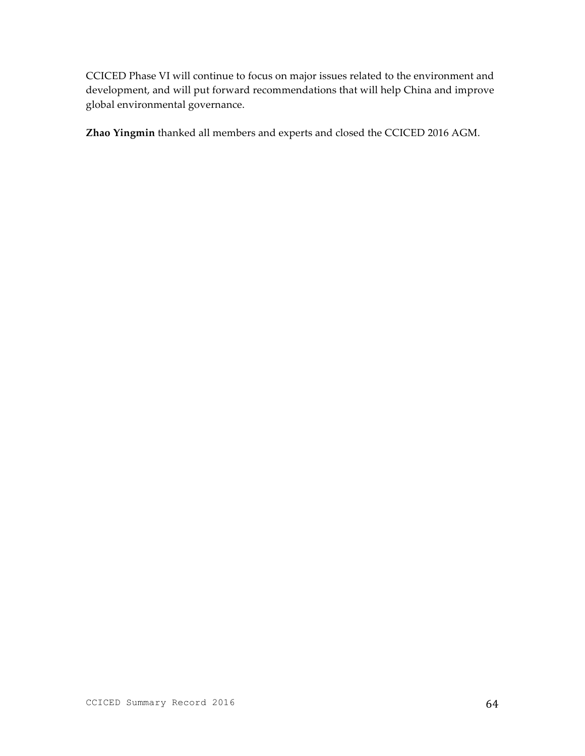CCICED Phase VI will continue to focus on major issues related to the environment and development, and will put forward recommendations that will help China and improve global environmental governance.

**Zhao Yingmin** thanked all members and experts and closed the CCICED 2016 AGM.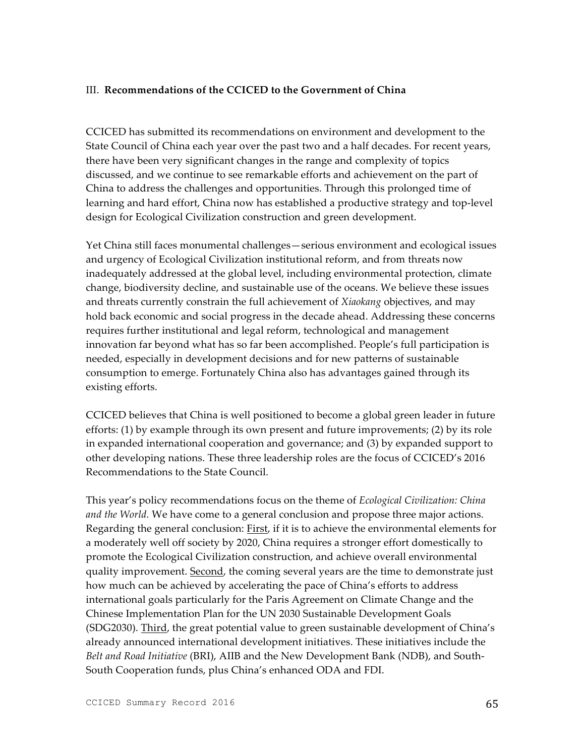#### III. **Recommendations of the CCICED to the Government of China**

CCICED has submitted its recommendations on environment and development to the State Council of China each year over the past two and a half decades. For recent years, there have been very significant changes in the range and complexity of topics discussed, and we continue to see remarkable efforts and achievement on the part of China to address the challenges and opportunities. Through this prolonged time of learning and hard effort, China now has established a productive strategy and top-level design for Ecological Civilization construction and green development.

Yet China still faces monumental challenges—serious environment and ecological issues and urgency of Ecological Civilization institutional reform, and from threats now inadequately addressed at the global level, including environmental protection, climate change, biodiversity decline, and sustainable use of the oceans. We believe these issues and threats currently constrain the full achievement of *Xiaokang* objectives, and may hold back economic and social progress in the decade ahead. Addressing these concerns requires further institutional and legal reform, technological and management innovation far beyond what has so far been accomplished. People's full participation is needed, especially in development decisions and for new patterns of sustainable consumption to emerge. Fortunately China also has advantages gained through its existing efforts.

CCICED believes that China is well positioned to become a global green leader in future efforts: (1) by example through its own present and future improvements; (2) by its role in expanded international cooperation and governance; and (3) by expanded support to other developing nations. These three leadership roles are the focus of CCICED's 2016 Recommendations to the State Council.

This year's policy recommendations focus on the theme of *Ecological Civilization: China and the World.* We have come to a general conclusion and propose three major actions. Regarding the general conclusion: First, if it is to achieve the environmental elements for a moderately well off society by 2020, China requires a stronger effort domestically to promote the Ecological Civilization construction, and achieve overall environmental quality improvement. Second, the coming several years are the time to demonstrate just how much can be achieved by accelerating the pace of China's efforts to address international goals particularly for the Paris Agreement on Climate Change and the Chinese Implementation Plan for the UN 2030 Sustainable Development Goals (SDG2030). Third, the great potential value to green sustainable development of China's already announced international development initiatives. These initiatives include the *Belt and Road Initiative* (BRI), AIIB and the New Development Bank (NDB), and South-South Cooperation funds, plus China's enhanced ODA and FDI.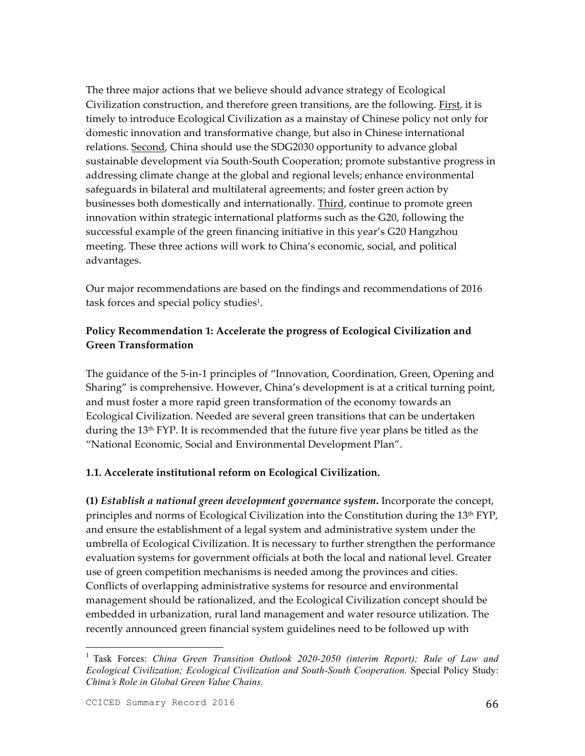The three major actions that we believe should advance strategy of Ecological Civilization construction, and therefore green transitions, are the following. First, it is timely to introduce Ecological Civilization as a mainstay of Chinese policy not only for domestic innovation and transformative change, but also in Chinese international relations. Second, China should use the SDG2030 opportunity to advance global sustainable development via South-South Cooperation; promote substantive progress in addressing climate change at the global and regional levels; enhance environmental safeguards in bilateral and multilateral agreements; and foster green action by businesses both domestically and internationally. Third, continue to promote green innovation within strategic international platforms such as the G20, following the successful example of the green financing initiative in this year's G20 Hangzhou meeting. These three actions will work to China's economic, social, and political advantages.

Our major recommendations are based on the findings and recommendations of 2016 task forces and special policy studies<sup>1</sup>.

# **Policy Recommendation 1: Accelerate the progress of Ecological Civilization and Green Transformation**

The guidance of the 5-in-1 principles of "Innovation, Coordination, Green, Opening and Sharing" is comprehensive. However, China's development is at a critical turning point, and must foster a more rapid green transformation of the economy towards an Ecological Civilization. Needed are several green transitions that can be undertaken during the 13<sup>th</sup> FYP. It is recommended that the future five year plans be titled as the "National Economic, Social and Environmental Development Plan".

## **1.1. Accelerate institutional reform on Ecological Civilization.**

**(1)** *Establish a national green development governance system***.** Incorporate the concept, principles and norms of Ecological Civilization into the Constitution during the 13th FYP, and ensure the establishment of a legal system and administrative system under the umbrella of Ecological Civilization. It is necessary to further strengthen the performance evaluation systems for government officials at both the local and national level. Greater use of green competition mechanisms is needed among the provinces and cities. Conflicts of overlapping administrative systems for resource and environmental management should be rationalized, and the Ecological Civilization concept should be embedded in urbanization, rural land management and water resource utilization. The recently announced green financial system guidelines need to be followed up with

<sup>&</sup>lt;sup>1</sup> Task Forces: *China Green Transition Outlook 2020-2050 (interim Report); Rule of Law and Ecological Civilization; Ecological Civilization and South-South Cooperation.* Special Policy Study: *China's Role in Global Green Value Chains.*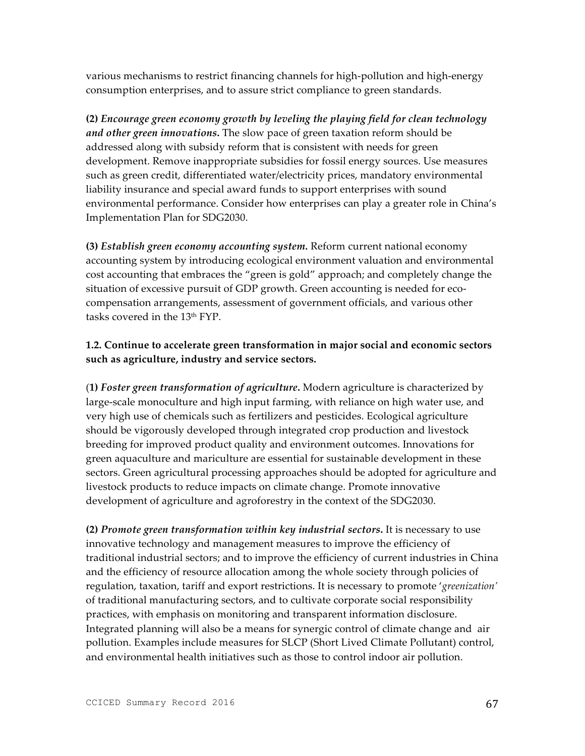various mechanisms to restrict financing channels for high-pollution and high-energy consumption enterprises, and to assure strict compliance to green standards.

**(2)** *Encourage green economy growth by leveling the playing field for clean technology and other green innovations***.** The slow pace of green taxation reform should be addressed along with subsidy reform that is consistent with needs for green development. Remove inappropriate subsidies for fossil energy sources. Use measures such as green credit, differentiated water/electricity prices, mandatory environmental liability insurance and special award funds to support enterprises with sound environmental performance. Consider how enterprises can play a greater role in China's Implementation Plan for SDG2030.

**(3)** *Establish green economy accounting system.* Reform current national economy accounting system by introducing ecological environment valuation and environmental cost accounting that embraces the "green is gold" approach; and completely change the situation of excessive pursuit of GDP growth. Green accounting is needed for ecocompensation arrangements, assessment of government officials, and various other tasks covered in the 13th FYP.

### **1.2. Continue to accelerate green transformation in major social and economic sectors such as agriculture, industry and service sectors.**

(**1)** *Foster green transformation of agriculture***.** Modern agriculture is characterized by large-scale monoculture and high input farming, with reliance on high water use, and very high use of chemicals such as fertilizers and pesticides. Ecological agriculture should be vigorously developed through integrated crop production and livestock breeding for improved product quality and environment outcomes. Innovations for green aquaculture and mariculture are essential for sustainable development in these sectors. Green agricultural processing approaches should be adopted for agriculture and livestock products to reduce impacts on climate change. Promote innovative development of agriculture and agroforestry in the context of the SDG2030.

**(2)** *Promote green transformation within key industrial sectors***.** It is necessary to use innovative technology and management measures to improve the efficiency of traditional industrial sectors; and to improve the efficiency of current industries in China and the efficiency of resource allocation among the whole society through policies of regulation, taxation, tariff and export restrictions. It is necessary to promote '*greenization'*  of traditional manufacturing sectors, and to cultivate corporate social responsibility practices, with emphasis on monitoring and transparent information disclosure. Integrated planning will also be a means for synergic control of climate change and air pollution. Examples include measures for SLCP (Short Lived Climate Pollutant) control, and environmental health initiatives such as those to control indoor air pollution.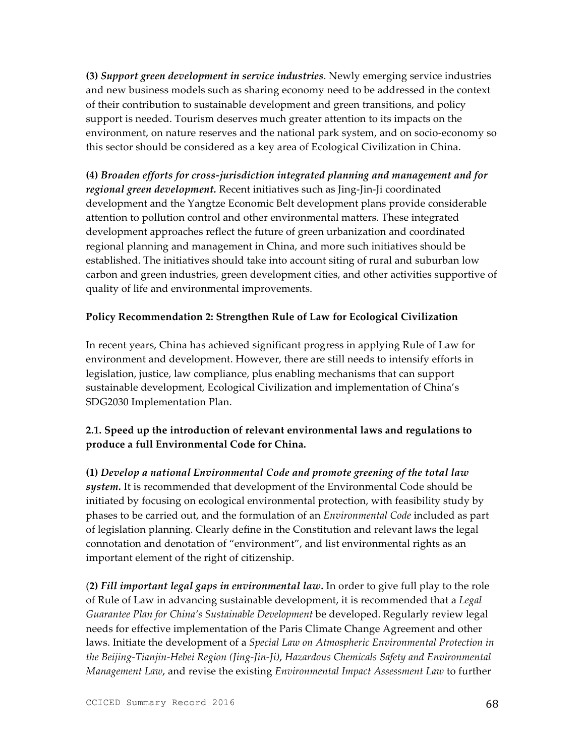**(3)** *Support green development in service industries*. Newly emerging service industries and new business models such as sharing economy need to be addressed in the context of their contribution to sustainable development and green transitions, and policy support is needed. Tourism deserves much greater attention to its impacts on the environment, on nature reserves and the national park system, and on socio-economy so this sector should be considered as a key area of Ecological Civilization in China.

**(4)** *Broaden efforts for cross-jurisdiction integrated planning and management and for regional green development.* Recent initiatives such as Jing-Jin-Ji coordinated development and the Yangtze Economic Belt development plans provide considerable attention to pollution control and other environmental matters. These integrated development approaches reflect the future of green urbanization and coordinated regional planning and management in China, and more such initiatives should be established. The initiatives should take into account siting of rural and suburban low carbon and green industries, green development cities, and other activities supportive of quality of life and environmental improvements.

### **Policy Recommendation 2: Strengthen Rule of Law for Ecological Civilization**

In recent years, China has achieved significant progress in applying Rule of Law for environment and development. However, there are still needs to intensify efforts in legislation, justice, law compliance, plus enabling mechanisms that can support sustainable development, Ecological Civilization and implementation of China's SDG2030 Implementation Plan.

## **2.1. Speed up the introduction of relevant environmental laws and regulations to produce a full Environmental Code for China.**

**(1)** *Develop a national Environmental Code and promote greening of the total law system.* It is recommended that development of the Environmental Code should be initiated by focusing on ecological environmental protection, with feasibility study by phases to be carried out, and the formulation of an *Environmental Code* included as part of legislation planning. Clearly define in the Constitution and relevant laws the legal connotation and denotation of "environment", and list environmental rights as an important element of the right of citizenship.

(**2)** *Fill important legal gaps in environmental law.* In order to give full play to the role of Rule of Law in advancing sustainable development, it is recommended that a *Legal Guarantee Plan for China's Sustainable Development* be developed. Regularly review legal needs for effective implementation of the Paris Climate Change Agreement and other laws. Initiate the development of a *Special Law on Atmospheric Environmental Protection in the Beijing-Tianjin-Hebei Region (Jing-Jin-Ji)*, *Hazardous Chemicals Safety and Environmental Management Law*, and revise the existing *Environmental Impact Assessment Law* to further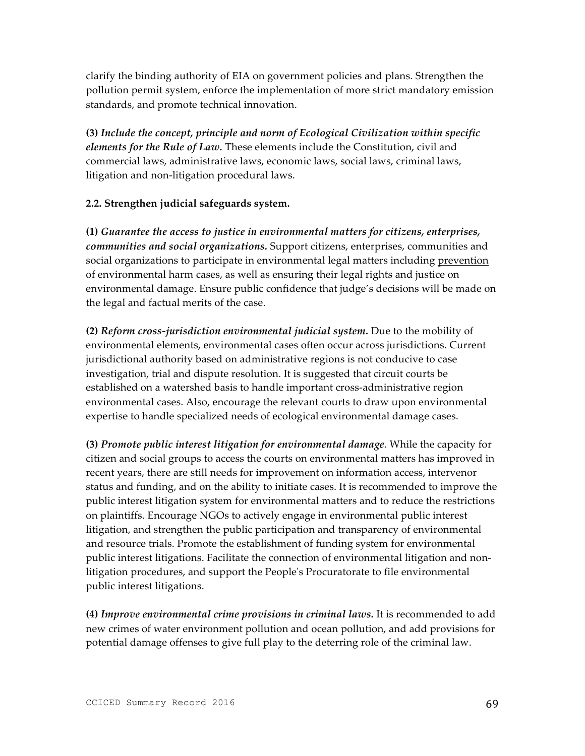clarify the binding authority of EIA on government policies and plans. Strengthen the pollution permit system, enforce the implementation of more strict mandatory emission standards, and promote technical innovation.

**(3)** *Include the concept, principle and norm of Ecological Civilization within specific elements for the Rule of Law.* These elements include the Constitution, civil and commercial laws, administrative laws, economic laws, social laws, criminal laws, litigation and non-litigation procedural laws.

## **2.2. Strengthen judicial safeguards system.**

**(1)** *Guarantee the access to justice in environmental matters for citizens, enterprises, communities and social organizations.* Support citizens, enterprises, communities and social organizations to participate in environmental legal matters including prevention of environmental harm cases, as well as ensuring their legal rights and justice on environmental damage. Ensure public confidence that judge's decisions will be made on the legal and factual merits of the case.

**(2)** *Reform cross-jurisdiction environmental judicial system.* Due to the mobility of environmental elements, environmental cases often occur across jurisdictions. Current jurisdictional authority based on administrative regions is not conducive to case investigation, trial and dispute resolution. It is suggested that circuit courts be established on a watershed basis to handle important cross-administrative region environmental cases. Also, encourage the relevant courts to draw upon environmental expertise to handle specialized needs of ecological environmental damage cases.

**(3)** *Promote public interest litigation for environmental damage*. While the capacity for citizen and social groups to access the courts on environmental matters has improved in recent years, there are still needs for improvement on information access, intervenor status and funding, and on the ability to initiate cases. It is recommended to improve the public interest litigation system for environmental matters and to reduce the restrictions on plaintiffs. Encourage NGOs to actively engage in environmental public interest litigation, and strengthen the public participation and transparency of environmental and resource trials. Promote the establishment of funding system for environmental public interest litigations. Facilitate the connection of environmental litigation and nonlitigation procedures, and support the People's Procuratorate to file environmental public interest litigations.

**(4)** *Improve environmental crime provisions in criminal laws.* It is recommended to add new crimes of water environment pollution and ocean pollution, and add provisions for potential damage offenses to give full play to the deterring role of the criminal law.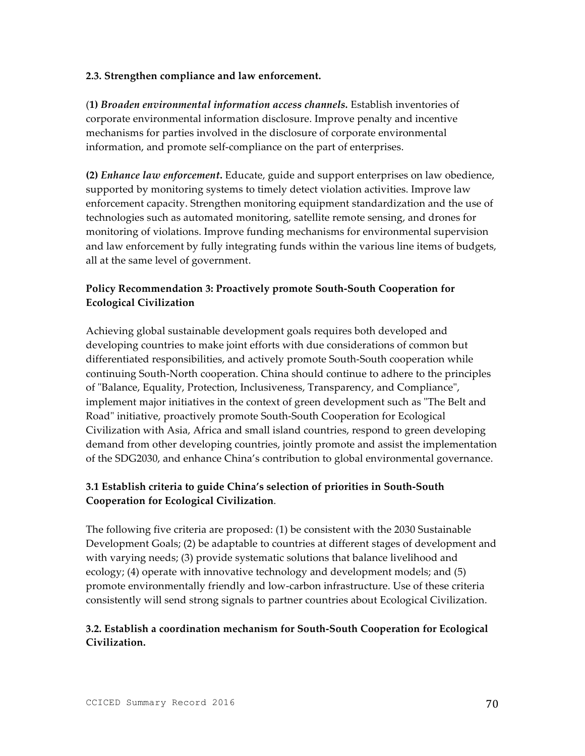## **2.3. Strengthen compliance and law enforcement.**

(**1)** *Broaden environmental information access channels.* Establish inventories of corporate environmental information disclosure. Improve penalty and incentive mechanisms for parties involved in the disclosure of corporate environmental information, and promote self-compliance on the part of enterprises.

**(2)** *Enhance law enforcement***.** Educate, guide and support enterprises on law obedience, supported by monitoring systems to timely detect violation activities. Improve law enforcement capacity. Strengthen monitoring equipment standardization and the use of technologies such as automated monitoring, satellite remote sensing, and drones for monitoring of violations. Improve funding mechanisms for environmental supervision and law enforcement by fully integrating funds within the various line items of budgets, all at the same level of government.

# **Policy Recommendation 3: Proactively promote South-South Cooperation for Ecological Civilization**

Achieving global sustainable development goals requires both developed and developing countries to make joint efforts with due considerations of common but differentiated responsibilities, and actively promote South-South cooperation while continuing South-North cooperation. China should continue to adhere to the principles of "Balance, Equality, Protection, Inclusiveness, Transparency, and Compliance", implement major initiatives in the context of green development such as "The Belt and Road" initiative, proactively promote South-South Cooperation for Ecological Civilization with Asia, Africa and small island countries, respond to green developing demand from other developing countries, jointly promote and assist the implementation of the SDG2030, and enhance China's contribution to global environmental governance.

# **3.1 Establish criteria to guide China's selection of priorities in South-South Cooperation for Ecological Civilization**.

The following five criteria are proposed: (1) be consistent with the 2030 Sustainable Development Goals; (2) be adaptable to countries at different stages of development and with varying needs; (3) provide systematic solutions that balance livelihood and ecology; (4) operate with innovative technology and development models; and (5) promote environmentally friendly and low-carbon infrastructure. Use of these criteria consistently will send strong signals to partner countries about Ecological Civilization.

# **3.2. Establish a coordination mechanism for South-South Cooperation for Ecological Civilization.**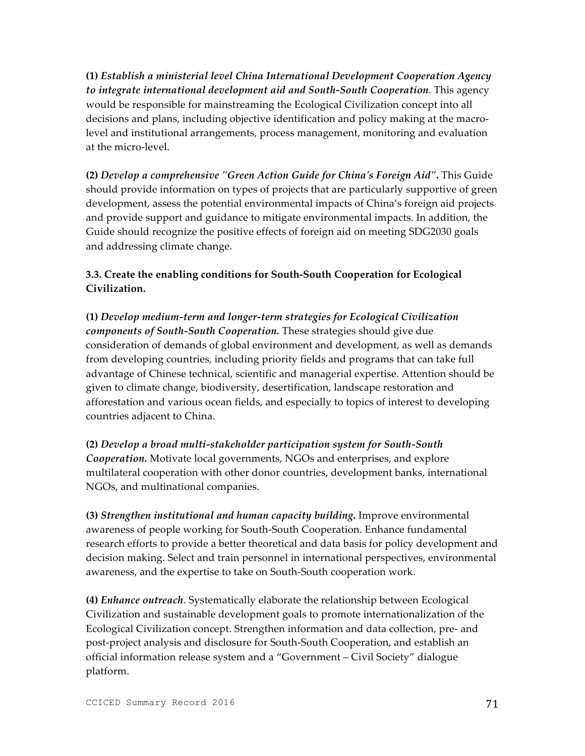**(1)** *Establish a ministerial level China International Development Cooperation Agency to integrate international development aid and South-South Cooperation*. This agency would be responsible for mainstreaming the Ecological Civilization concept into all decisions and plans, including objective identification and policy making at the macrolevel and institutional arrangements, process management, monitoring and evaluation at the micro-level.

**(2)** *Develop a comprehensive "Green Action Guide for China's Foreign Aid"***.** This Guide should provide information on types of projects that are particularly supportive of green development, assess the potential environmental impacts of China's foreign aid projects and provide support and guidance to mitigate environmental impacts. In addition, the Guide should recognize the positive effects of foreign aid on meeting SDG2030 goals and addressing climate change.

## **3.3. Create the enabling conditions for South-South Cooperation for Ecological Civilization.**

**(1)** *Develop medium-term and longer-term strategies for Ecological Civilization components of South-South Cooperation.* These strategies should give due consideration of demands of global environment and development, as well as demands from developing countries, including priority fields and programs that can take full advantage of Chinese technical, scientific and managerial expertise. Attention should be given to climate change, biodiversity, desertification, landscape restoration and afforestation and various ocean fields, and especially to topics of interest to developing countries adjacent to China.

**(2)** *Develop a broad multi-stakeholder participation system for South-South Cooperation.* Motivate local governments, NGOs and enterprises, and explore multilateral cooperation with other donor countries, development banks, international NGOs, and multinational companies.

**(3)** *Strengthen institutional and human capacity building***.** Improve environmental awareness of people working for South-South Cooperation. Enhance fundamental research efforts to provide a better theoretical and data basis for policy development and decision making. Select and train personnel in international perspectives, environmental awareness, and the expertise to take on South-South cooperation work.

**(4)** *Enhance outreach*. Systematically elaborate the relationship between Ecological Civilization and sustainable development goals to promote internationalization of the Ecological Civilization concept. Strengthen information and data collection, pre- and post-project analysis and disclosure for South-South Cooperation, and establish an official information release system and a "Government – Civil Society" dialogue platform.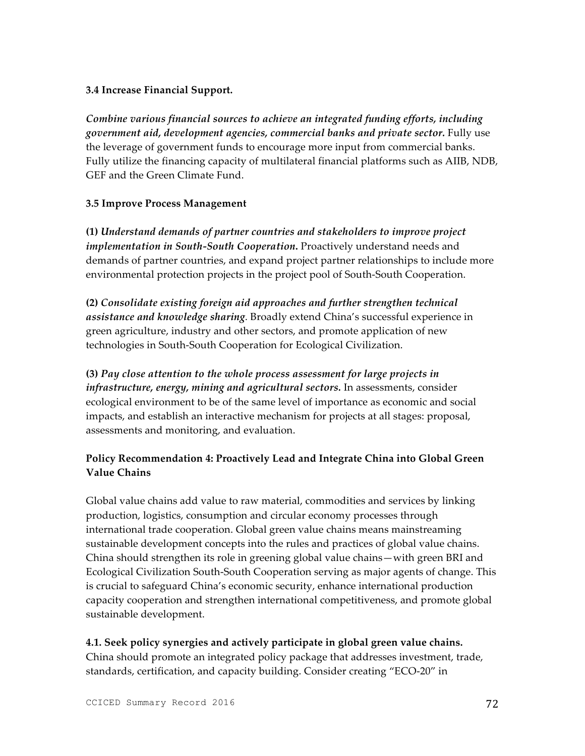## **3.4 Increase Financial Support.**

*Combine various financial sources to achieve an integrated funding efforts, including government aid, development agencies, commercial banks and private sector.* Fully use the leverage of government funds to encourage more input from commercial banks. Fully utilize the financing capacity of multilateral financial platforms such as AIIB, NDB, GEF and the Green Climate Fund.

#### **3.5 Improve Process Management**

**(1)** *Understand demands of partner countries and stakeholders to improve project implementation in South-South Cooperation***.** Proactively understand needs and demands of partner countries, and expand project partner relationships to include more environmental protection projects in the project pool of South-South Cooperation.

**(2)** *Consolidate existing foreign aid approaches and further strengthen technical assistance and knowledge sharing*. Broadly extend China's successful experience in green agriculture, industry and other sectors, and promote application of new technologies in South-South Cooperation for Ecological Civilization.

**(3)** *Pay close attention to the whole process assessment for large projects in infrastructure, energy, mining and agricultural sectors.* In assessments, consider ecological environment to be of the same level of importance as economic and social impacts, and establish an interactive mechanism for projects at all stages: proposal, assessments and monitoring, and evaluation.

# **Policy Recommendation 4: Proactively Lead and Integrate China into Global Green Value Chains**

Global value chains add value to raw material, commodities and services by linking production, logistics, consumption and circular economy processes through international trade cooperation. Global green value chains means mainstreaming sustainable development concepts into the rules and practices of global value chains. China should strengthen its role in greening global value chains—with green BRI and Ecological Civilization South-South Cooperation serving as major agents of change. This is crucial to safeguard China's economic security, enhance international production capacity cooperation and strengthen international competitiveness, and promote global sustainable development.

## **4.1. Seek policy synergies and actively participate in global green value chains.**

China should promote an integrated policy package that addresses investment, trade, standards, certification, and capacity building. Consider creating "ECO-20" in